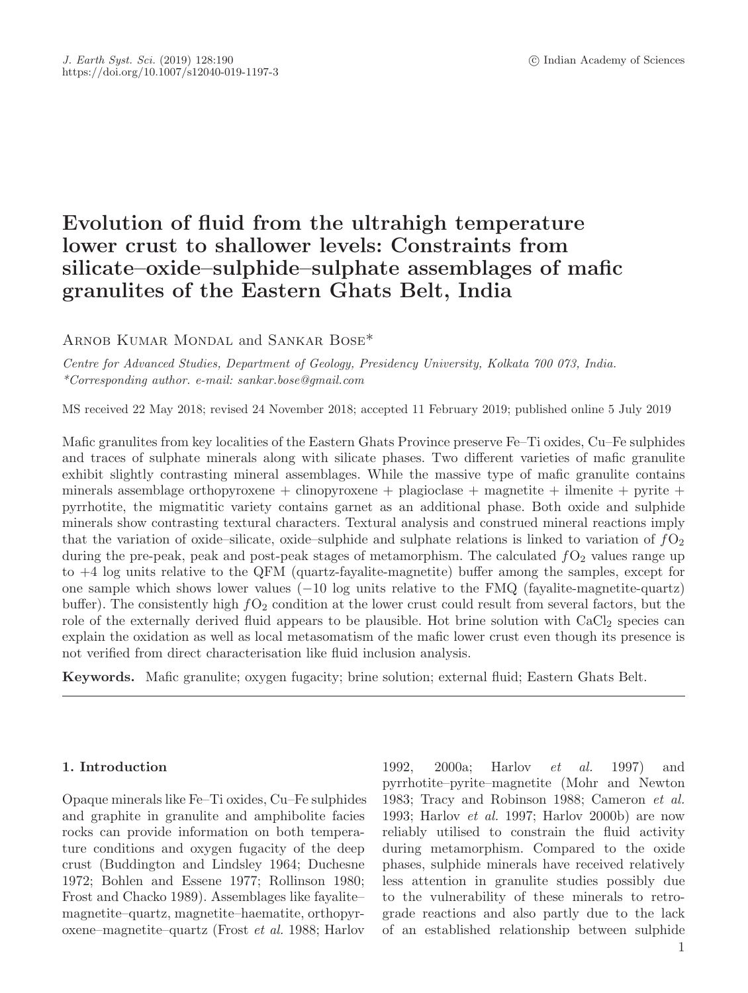# **Evolution of fluid from the ultrahigh temperature lower crust to shallower levels: Constraints from silicate–oxide–sulphide–sulphate assemblages of mafic granulites of the Eastern Ghats Belt, India**

Arnob Kumar Mondal and Sankar Bose\*

*Centre for Advanced Studies, Department of Geology, Presidency University, Kolkata 700 073, India. \*Corresponding author. e-mail: sankar.bose@gmail.com*

MS received 22 May 2018; revised 24 November 2018; accepted 11 February 2019; published online 5 July 2019

Mafic granulites from key localities of the Eastern Ghats Province preserve Fe–Ti oxides, Cu–Fe sulphides and traces of sulphate minerals along with silicate phases. Two different varieties of mafic granulite exhibit slightly contrasting mineral assemblages. While the massive type of mafic granulite contains minerals assemblage orthopyroxene + clinopyroxene + plagioclase + magnetite + ilmenite + pyrite + pyrrhotite, the migmatitic variety contains garnet as an additional phase. Both oxide and sulphide minerals show contrasting textural characters. Textural analysis and construed mineral reactions imply that the variation of oxide–silicate, oxide–sulphide and sulphate relations is linked to variation of  $fO<sub>2</sub>$ during the pre-peak, peak and post-peak stages of metamorphism. The calculated  $fO<sub>2</sub>$  values range up to +4 log units relative to the QFM (quartz-fayalite-magnetite) buffer among the samples, except for one sample which shows lower values (−10 log units relative to the FMQ (fayalite-magnetite-quartz) buffer). The consistently high  $fO_2$  condition at the lower crust could result from several factors, but the role of the externally derived fluid appears to be plausible. Hot brine solution with  $CaCl<sub>2</sub>$  species can explain the oxidation as well as local metasomatism of the mafic lower crust even though its presence is not verified from direct characterisation like fluid inclusion analysis.

**Keywords.** Mafic granulite; oxygen fugacity; brine solution; external fluid; Eastern Ghats Belt.

# **1. Introduction**

Opaque minerals like Fe–Ti oxides, Cu–Fe sulphides and graphite in granulite and amphibolite facies rocks can provide information on both temperature conditions and oxygen fugacity of the deep crust (Buddington and Lindsley 1964; Duchesne 1972; Bohlen and Essene 1977; Rollinson 1980; Frost and Chacko 1989). Assemblages like fayalite– magnetite–quartz, magnetite–haematite, orthopyroxene–magnetite–quartz (Frost *et al.* 1988; Harlov

1992, 2000a; Harlov *et al.* 1997) and pyrrhotite–pyrite–magnetite (Mohr and Newton 1983; Tracy and Robinson 1988; Cameron *et al.* 1993; Harlov *et al.* 1997; Harlov 2000b) are now reliably utilised to constrain the fluid activity during metamorphism. Compared to the oxide phases, sulphide minerals have received relatively less attention in granulite studies possibly due to the vulnerability of these minerals to retrograde reactions and also partly due to the lack of an established relationship between sulphide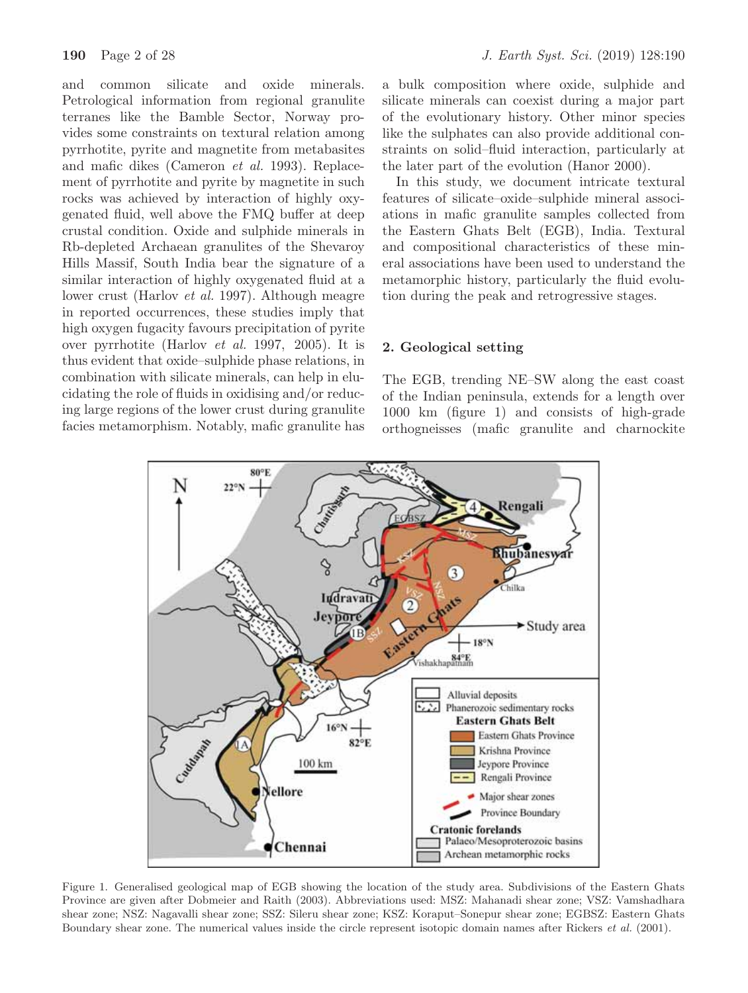and common silicate and oxide minerals. Petrological information from regional granulite terranes like the Bamble Sector, Norway provides some constraints on textural relation among pyrrhotite, pyrite and magnetite from metabasites and mafic dikes (Cameron *et al.* 1993). Replacement of pyrrhotite and pyrite by magnetite in such rocks was achieved by interaction of highly oxygenated fluid, well above the FMQ buffer at deep crustal condition. Oxide and sulphide minerals in Rb-depleted Archaean granulites of the Shevaroy Hills Massif, South India bear the signature of a similar interaction of highly oxygenated fluid at a lower crust (Harlov *et al.* 1997). Although meagre in reported occurrences, these studies imply that high oxygen fugacity favours precipitation of pyrite over pyrrhotite (Harlov *et al.* 1997, 2005). It is thus evident that oxide–sulphide phase relations, in combination with silicate minerals, can help in elucidating the role of fluids in oxidising and/or reducing large regions of the lower crust during granulite facies metamorphism. Notably, mafic granulite has a bulk composition where oxide, sulphide and silicate minerals can coexist during a major part of the evolutionary history. Other minor species like the sulphates can also provide additional constraints on solid–fluid interaction, particularly at the later part of the evolution (Hanor 2000).

In this study, we document intricate textural features of silicate–oxide–sulphide mineral associations in mafic granulite samples collected from the Eastern Ghats Belt (EGB), India. Textural and compositional characteristics of these mineral associations have been used to understand the metamorphic history, particularly the fluid evolution during the peak and retrogressive stages.

# **2. Geological setting**

The EGB, trending NE–SW along the east coast of the Indian peninsula, extends for a length over 1000 km (figure 1) and consists of high-grade orthogneisses (mafic granulite and charnockite



Figure 1. Generalised geological map of EGB showing the location of the study area. Subdivisions of the Eastern Ghats Province are given after Dobmeier and Raith (2003). Abbreviations used: MSZ: Mahanadi shear zone; VSZ: Vamshadhara shear zone; NSZ: Nagavalli shear zone; SSZ: Sileru shear zone; KSZ: Koraput–Sonepur shear zone; EGBSZ: Eastern Ghats Boundary shear zone. The numerical values inside the circle represent isotopic domain names after Rickers et al. (2001).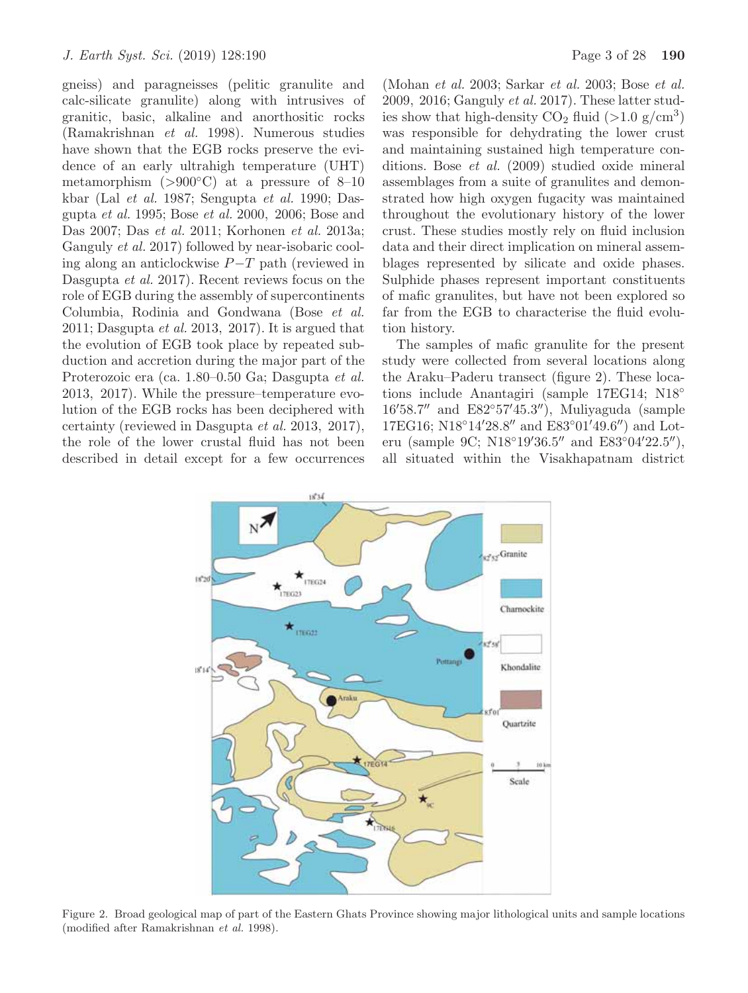gneiss) and paragneisses (pelitic granulite and calc-silicate granulite) along with intrusives of granitic, basic, alkaline and anorthositic rocks (Ramakrishnan *et al.* 1998). Numerous studies have shown that the EGB rocks preserve the evidence of an early ultrahigh temperature (UHT) metamorphism ( $>900\degree$ C) at a pressure of 8–10 kbar (Lal *et al.* 1987; Sengupta *et al.* 1990; Dasgupta *et al.* 1995; Bose *et al.* 2000, 2006; Bose and Das 2007; Das *et al.* 2011; Korhonen *et al.* 2013a; Ganguly *et al.* 2017) followed by near-isobaric cooling along an anticlockwise P−T path (reviewed in Dasgupta *et al.* 2017). Recent reviews focus on the role of EGB during the assembly of supercontinents Columbia, Rodinia and Gondwana (Bose *et al.* 2011; Dasgupta *et al.* 2013, 2017). It is argued that the evolution of EGB took place by repeated subduction and accretion during the major part of the Proterozoic era (ca. 1.80–0.50 Ga; Dasgupta *et al.* 2013, 2017). While the pressure–temperature evolution of the EGB rocks has been deciphered with certainty (reviewed in Dasgupta *et al.* 2013, 2017), the role of the lower crustal fluid has not been described in detail except for a few occurrences

(Mohan *et al.* 2003; Sarkar *et al.* 2003; Bose *et al.* 2009, 2016; Ganguly *et al.* 2017). These latter studies show that high-density  $CO_2$  fluid ( $>1.0 \text{ g/cm}^3$ ) was responsible for dehydrating the lower crust and maintaining sustained high temperature conditions. Bose *et al.* (2009) studied oxide mineral assemblages from a suite of granulites and demonstrated how high oxygen fugacity was maintained throughout the evolutionary history of the lower crust. These studies mostly rely on fluid inclusion data and their direct implication on mineral assemblages represented by silicate and oxide phases. Sulphide phases represent important constituents of mafic granulites, but have not been explored so far from the EGB to characterise the fluid evolution history.

The samples of mafic granulite for the present study were collected from several locations along the Araku–Paderu transect (figure 2). These locations include Anantagiri (sample 17EG14; N18◦ 16'58.7" and E82°57'45.3"), Muliyaguda (sample 17EG16; N18°14′28.8″ and E83°01′49.6″) and Loteru (sample 9C; N18°19′36.5" and E83°04′22.5"), all situated within the Visakhapatnam district



Figure 2. Broad geological map of part of the Eastern Ghats Province showing major lithological units and sample locations (modified after Ramakrishnan et al. 1998).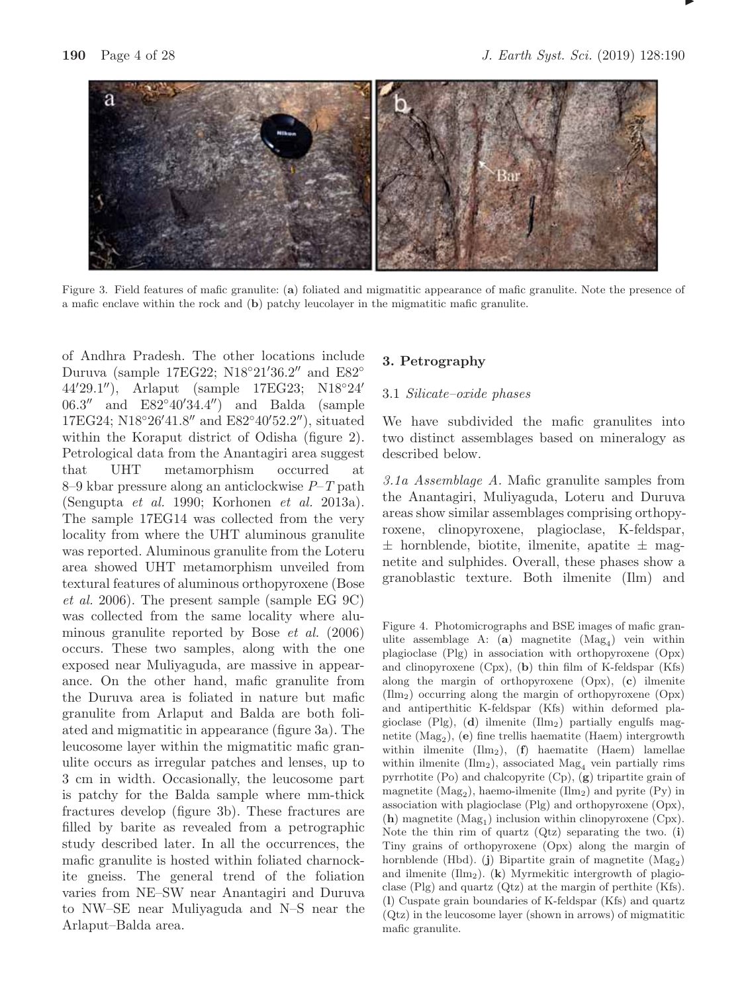-



Figure 3. Field features of mafic granulite: (**a**) foliated and migmatitic appearance of mafic granulite. Note the presence of a mafic enclave within the rock and (**b**) patchy leucolayer in the migmatitic mafic granulite.

of Andhra Pradesh. The other locations include Duruva (sample 17EG22; N18°21′36.2″ and E82° 44 29.1), Arlaput (sample 17EG23; N18◦24 06.3" and E82°40'34.4") and Balda (sample 17EG24; N18°26'41.8" and E82°40'52.2"), situated within the Koraput district of Odisha (figure 2). Petrological data from the Anantagiri area suggest that UHT metamorphism occurred at 8–9 kbar pressure along an anticlockwise *P*–*T* path (Sengupta *et al.* 1990; Korhonen *et al.* 2013a). The sample 17EG14 was collected from the very locality from where the UHT aluminous granulite was reported. Aluminous granulite from the Loteru area showed UHT metamorphism unveiled from textural features of aluminous orthopyroxene (Bose *et al.* 2006). The present sample (sample EG 9C) was collected from the same locality where aluminous granulite reported by Bose *et al.* (2006) occurs. These two samples, along with the one exposed near Muliyaguda, are massive in appearance. On the other hand, mafic granulite from the Duruva area is foliated in nature but mafic granulite from Arlaput and Balda are both foliated and migmatitic in appearance (figure 3a). The leucosome layer within the migmatitic mafic granulite occurs as irregular patches and lenses, up to 3 cm in width. Occasionally, the leucosome part is patchy for the Balda sample where mm-thick fractures develop (figure 3b). These fractures are filled by barite as revealed from a petrographic study described later. In all the occurrences, the mafic granulite is hosted within foliated charnockite gneiss. The general trend of the foliation varies from NE–SW near Anantagiri and Duruva to NW–SE near Muliyaguda and N–S near the Arlaput–Balda area.

# **3. Petrography**

## 3.1 *Silicate–oxide phases*

We have subdivided the mafic granulites into two distinct assemblages based on mineralogy as described below.

*3.1a Assemblage A.* Mafic granulite samples from the Anantagiri, Muliyaguda, Loteru and Duruva areas show similar assemblages comprising orthopyroxene, clinopyroxene, plagioclase, K-feldspar,  $\pm$  hornblende, biotite, ilmenite, apatite  $\pm$  magnetite and sulphides. Overall, these phases show a granoblastic texture. Both ilmenite (Ilm) and

Figure 4. Photomicrographs and BSE images of mafic granulite assemblage A:  $(a)$  magnetite  $(Mag<sub>4</sub>)$  vein within plagioclase (Plg) in association with orthopyroxene (Opx) and clinopyroxene (Cpx), (**b**) thin film of K-feldspar (Kfs) along the margin of orthopyroxene (Opx), (**c**) ilmenite  $(\text{Ilm}_2)$  occurring along the margin of orthopyroxene  $(\text{Opx})$ and antiperthitic K-feldspar (Kfs) within deformed plagioclase  $(PIg)$ ,  $(d)$  ilmenite  $(Ilm<sub>2</sub>)$  partially engulfs magnetite  $(Mag<sub>2</sub>)$ , (**e**) fine trellis haematite (Haem) intergrowth within ilmenite (Ilm2), (**f**) haematite (Haem) lamellae within ilmenite  $(\text{Ilm}_2)$ , associated Mag<sub>4</sub> vein partially rims pyrrhotite (Po) and chalcopyrite (Cp), (**g**) tripartite grain of magnetite  $(Mag<sub>2</sub>)$ , haemo-ilmenite  $(Ilm<sub>2</sub>)$  and pyrite  $(Py)$  in association with plagioclase (Plg) and orthopyroxene (Opx),  $(h)$  magnetite  $(Mag<sub>1</sub>)$  inclusion within clinopyroxene  $(Cpx)$ . Note the thin rim of quartz (Qtz) separating the two. (**i**) Tiny grains of orthopyroxene (Opx) along the margin of hornblende (Hbd). (**j**) Bipartite grain of magnetite  $(Mag_2)$ and ilmenite  $(\text{Ilm}_2)$ .  $(\mathbf{k})$  Myrmekitic intergrowth of plagioclase (Plg) and quartz (Qtz) at the margin of perthite (Kfs). (**l**) Cuspate grain boundaries of K-feldspar (Kfs) and quartz (Qtz) in the leucosome layer (shown in arrows) of migmatitic mafic granulite.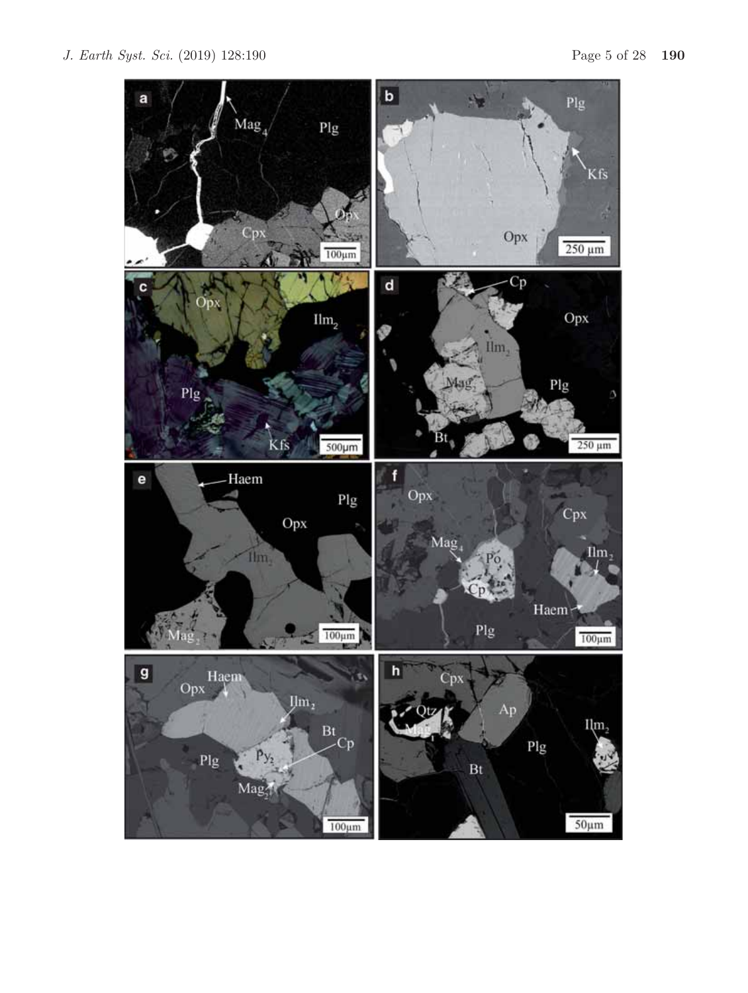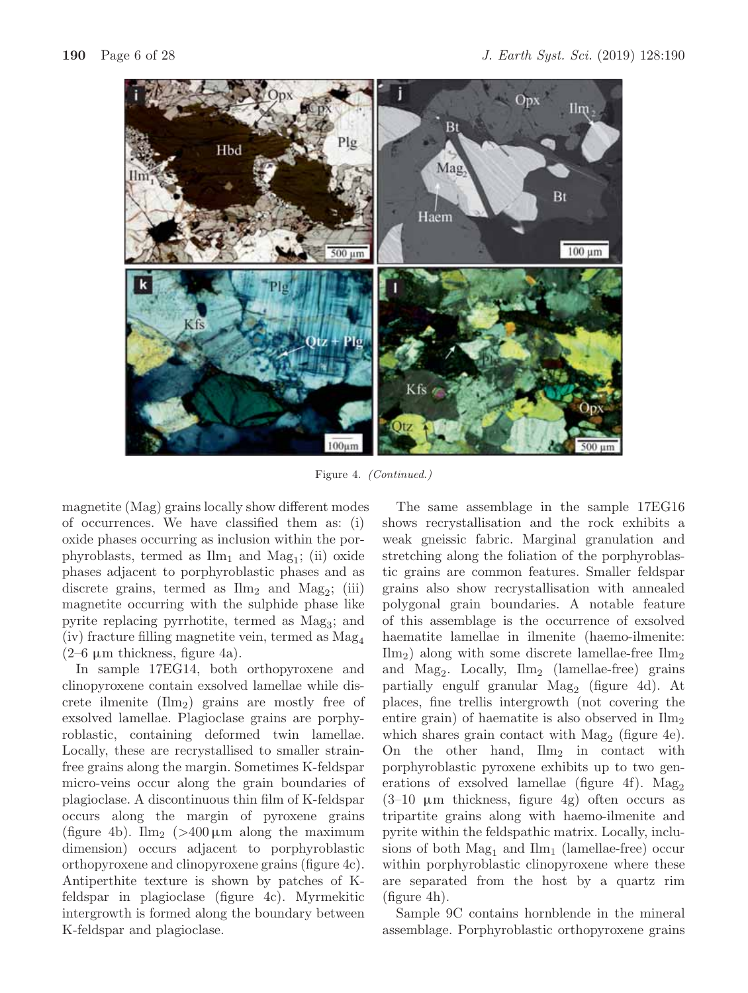

Figure 4. (Continued.)

magnetite (Mag) grains locally show different modes of occurrences. We have classified them as: (i) oxide phases occurring as inclusion within the porphyroblasts, termed as  $\text{Im}_1$  and  $\text{Mag}_1$ ; (ii) oxide phases adjacent to porphyroblastic phases and as discrete grains, termed as  $\text{Ilm}_2$  and  $\text{Mag}_2$ ; (iii) magnetite occurring with the sulphide phase like pyrite replacing pyrrhotite, termed as  $Mag<sub>3</sub>$ ; and (iv) fracture filling magnetite vein, termed as  $Mag<sub>4</sub>$  $(2-6 \mu m)$  thickness, figure 4a).

In sample 17EG14, both orthopyroxene and clinopyroxene contain exsolved lamellae while discrete ilmenite  $(\text{Ilm}_2)$  grains are mostly free of exsolved lamellae. Plagioclase grains are porphyroblastic, containing deformed twin lamellae. Locally, these are recrystallised to smaller strainfree grains along the margin. Sometimes K-feldspar micro-veins occur along the grain boundaries of plagioclase. A discontinuous thin film of K-feldspar occurs along the margin of pyroxene grains (figure 4b). Ilm<sub>2</sub> ( $>400 \mu$ m along the maximum dimension) occurs adjacent to porphyroblastic orthopyroxene and clinopyroxene grains (figure 4c). Antiperthite texture is shown by patches of Kfeldspar in plagioclase (figure 4c). Myrmekitic intergrowth is formed along the boundary between K-feldspar and plagioclase.

The same assemblage in the sample 17EG16 shows recrystallisation and the rock exhibits a weak gneissic fabric. Marginal granulation and stretching along the foliation of the porphyroblastic grains are common features. Smaller feldspar grains also show recrystallisation with annealed polygonal grain boundaries. A notable feature of this assemblage is the occurrence of exsolved haematite lamellae in ilmenite (haemo-ilmenite:  $\text{Ilm}_2$ ) along with some discrete lamellae-free  $\text{Ilm}_2$ and  $Mag_2$ . Locally,  $Ilm_2$  (lamellae-free) grains partially engulf granular Mag<sub>2</sub> (figure 4d). At places, fine trellis intergrowth (not covering the entire grain) of haematite is also observed in  $\lim_{2}$ which shares grain contact with  $Mag<sub>2</sub>$  (figure 4e). On the other hand,  $\lim_{2}$  in contact with porphyroblastic pyroxene exhibits up to two generations of exsolved lamellae (figure 4f).  $\text{Mag}_2$  $(3-10 \mu m)$  thickness, figure 4g) often occurs as tripartite grains along with haemo-ilmenite and pyrite within the feldspathic matrix. Locally, inclusions of both  $Mag_1$  and  $Ilm_1$  (lamellae-free) occur within porphyroblastic clinopyroxene where these are separated from the host by a quartz rim (figure 4h).

Sample 9C contains hornblende in the mineral assemblage. Porphyroblastic orthopyroxene grains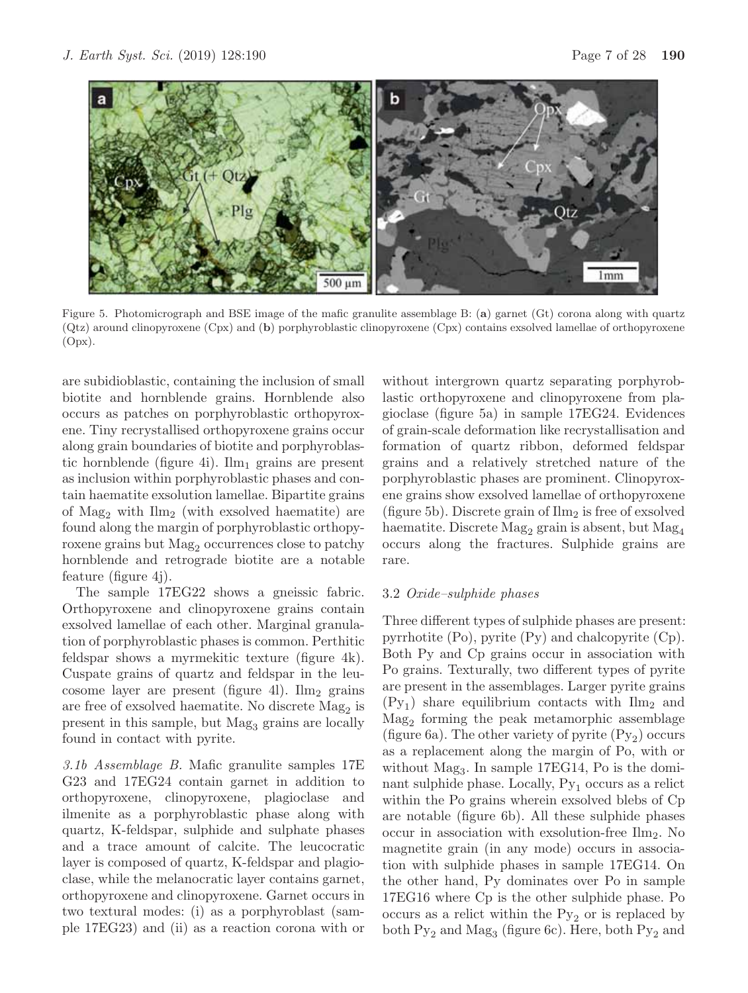

Figure 5. Photomicrograph and BSE image of the mafic granulite assemblage B: (**a**) garnet (Gt) corona along with quartz (Qtz) around clinopyroxene (Cpx) and (**b**) porphyroblastic clinopyroxene (Cpx) contains exsolved lamellae of orthopyroxene (Opx).

are subidioblastic, containing the inclusion of small biotite and hornblende grains. Hornblende also occurs as patches on porphyroblastic orthopyroxene. Tiny recrystallised orthopyroxene grains occur along grain boundaries of biotite and porphyroblastic hornblende (figure 4i).  $\lim_{1}$  grains are present as inclusion within porphyroblastic phases and contain haematite exsolution lamellae. Bipartite grains of  $\text{Mag}_2$  with  $\text{Ilm}_2$  (with exsolved haematite) are found along the margin of porphyroblastic orthopyroxene grains but  $Mag<sub>2</sub>$  occurrences close to patchy hornblende and retrograde biotite are a notable feature (figure 4j).

The sample 17EG22 shows a gneissic fabric. Orthopyroxene and clinopyroxene grains contain exsolved lamellae of each other. Marginal granulation of porphyroblastic phases is common. Perthitic feldspar shows a myrmekitic texture (figure 4k). Cuspate grains of quartz and feldspar in the leucosome layer are present (figure 4l).  $\lim_{2}$  grains are free of exsolved haematite. No discrete  $Mag<sub>2</sub>$  is present in this sample, but Mag<sub>3</sub> grains are locally found in contact with pyrite.

*3.1b Assemblage B.* Mafic granulite samples 17E G23 and 17EG24 contain garnet in addition to orthopyroxene, clinopyroxene, plagioclase and ilmenite as a porphyroblastic phase along with quartz, K-feldspar, sulphide and sulphate phases and a trace amount of calcite. The leucocratic layer is composed of quartz, K-feldspar and plagioclase, while the melanocratic layer contains garnet, orthopyroxene and clinopyroxene. Garnet occurs in two textural modes: (i) as a porphyroblast (sample 17EG23) and (ii) as a reaction corona with or

without intergrown quartz separating porphyroblastic orthopyroxene and clinopyroxene from plagioclase (figure 5a) in sample 17EG24. Evidences of grain-scale deformation like recrystallisation and formation of quartz ribbon, deformed feldspar grains and a relatively stretched nature of the porphyroblastic phases are prominent. Clinopyroxene grains show exsolved lamellae of orthopyroxene (figure 5b). Discrete grain of  $\lim_{2}$  is free of exsolved haematite. Discrete Mag<sub>2</sub> grain is absent, but Mag<sub>4</sub> occurs along the fractures. Sulphide grains are rare.

#### 3.2 *Oxide–sulphide phases*

Three different types of sulphide phases are present: pyrrhotite (Po), pyrite (Py) and chalcopyrite (Cp). Both Py and Cp grains occur in association with Po grains. Texturally, two different types of pyrite are present in the assemblages. Larger pyrite grains  $(Py<sub>1</sub>)$  share equilibrium contacts with  $Ilm<sub>2</sub>$  and Mag<sup>2</sup> forming the peak metamorphic assemblage (figure 6a). The other variety of pyrite  $(Py_2)$  occurs as a replacement along the margin of Po, with or without  $Mag<sub>3</sub>$ . In sample 17EG14, Po is the dominant sulphide phase. Locally,  $Py_1$  occurs as a relict within the Po grains wherein exsolved blebs of Cp are notable (figure 6b). All these sulphide phases occur in association with exsolution-free  $\text{Ilm}_2$ . No magnetite grain (in any mode) occurs in association with sulphide phases in sample 17EG14. On the other hand, Py dominates over Po in sample 17EG16 where Cp is the other sulphide phase. Po occurs as a relict within the  $Py<sub>2</sub>$  or is replaced by both  $Py_2$  and Mag<sub>3</sub> (figure 6c). Here, both  $Py_2$  and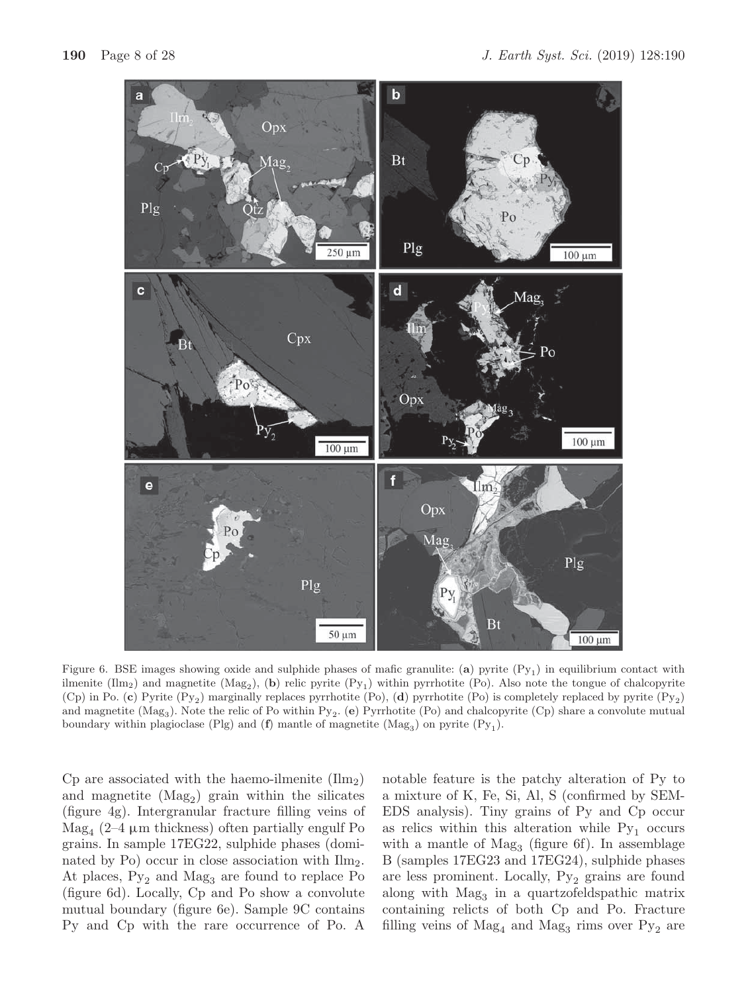

Figure 6. BSE images showing oxide and sulphide phases of mafic granulite: (a) pyrite  $(Py_1)$  in equilibrium contact with ilmenite  $(Ilm<sub>2</sub>)$  and magnetite  $(Ma<sub>2</sub>)$ ,  $(b)$  relic pyrite  $(Py<sub>1</sub>)$  within pyrrhotite  $(Po)$ . Also note the tongue of chalcopyrite (Cp) in Po. (c) Pyrite  $(Py_2)$  marginally replaces pyrrhotite  $(Po)$ , (d) pyrrhotite  $(Po)$  is completely replaced by pyrite  $(Py_2)$ and magnetite (Mag<sub>3</sub>). Note the relic of Po within Py<sub>2</sub>. (**e**) Pyrrhotite (Po) and chalcopyrite (C<sub>p</sub>) share a convolute mutual boundary within plagioclase (Plg) and  $(f)$  mantle of magnetite (Mag<sub>3</sub>) on pyrite  $(Py_1)$ .

Cp are associated with the haemo-ilmenite  $(\text{Ilm}_2)$ and magnetite  $(Mag<sub>2</sub>)$  grain within the silicates (figure 4g). Intergranular fracture filling veins of  $\text{Mag}_4$  (2–4 µm thickness) often partially engulf Po grains. In sample 17EG22, sulphide phases (dominated by Po) occur in close association with  $\lim_{2}$ . At places,  $Py_2$  and Mag<sub>3</sub> are found to replace Po (figure 6d). Locally, Cp and Po show a convolute mutual boundary (figure 6e). Sample 9C contains Py and Cp with the rare occurrence of Po. A

notable feature is the patchy alteration of Py to a mixture of K, Fe, Si, Al, S (confirmed by SEM-EDS analysis). Tiny grains of Py and Cp occur as relics within this alteration while  $Py_1$  occurs with a mantle of  $Mag<sub>3</sub>$  (figure 6f). In assemblage B (samples 17EG23 and 17EG24), sulphide phases are less prominent. Locally,  $Py_2$  grains are found along with  $Mag<sub>3</sub>$  in a quartzofeldspathic matrix containing relicts of both Cp and Po. Fracture filling veins of  $Mag<sub>4</sub>$  and  $Mag<sub>3</sub>$  rims over  $Py<sub>2</sub>$  are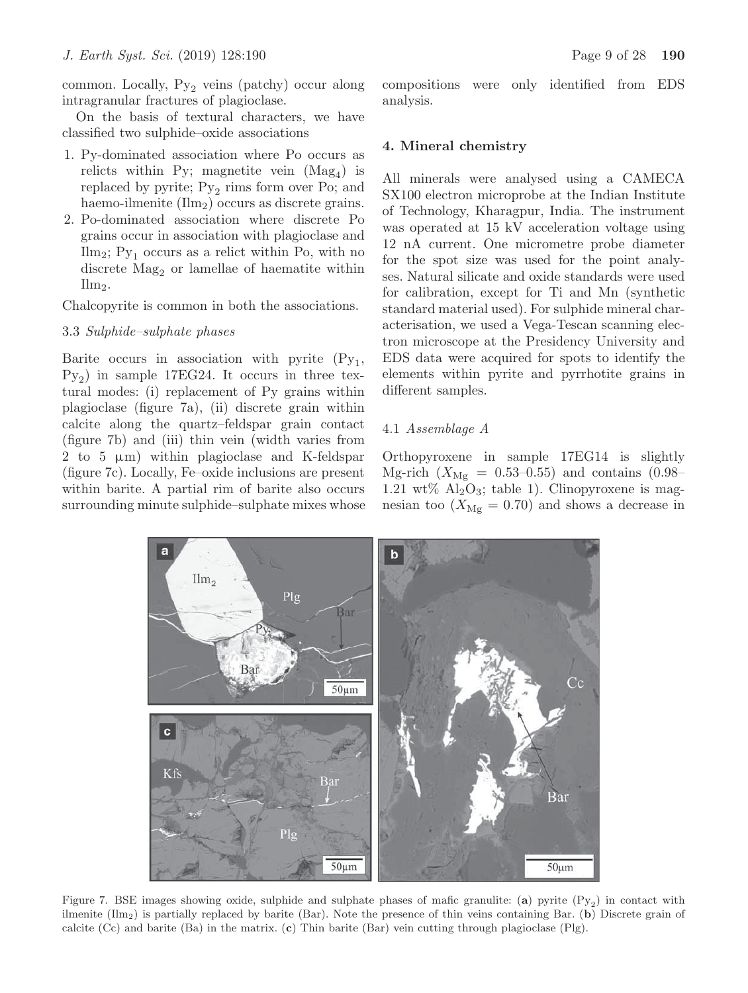common. Locally,  $Py_2$  veins (patchy) occur along intragranular fractures of plagioclase.

On the basis of textural characters, we have classified two sulphide–oxide associations

- 1. Py-dominated association where Po occurs as relicts within Py; magnetite vein  $(Mag_4)$  is replaced by pyrite;  $Py<sub>2</sub>$  rims form over Po; and haemo-ilmenite  $(\text{Ilm}_2)$  occurs as discrete grains.
- 2. Po-dominated association where discrete Po grains occur in association with plagioclase and Ilm<sub>2</sub>; P<sub>y<sub>1</sub></sub> occurs as a relict within Po, with no discrete  $Mag<sub>2</sub>$  or lamellae of haematite within  $\lim_{2}$ .

Chalcopyrite is common in both the associations.

### 3.3 *Sulphide–sulphate phases*

Barite occurs in association with pyrite  $(Py_1,$  $Py<sub>2</sub>$ ) in sample 17EG24. It occurs in three textural modes: (i) replacement of Py grains within plagioclase (figure 7a), (ii) discrete grain within calcite along the quartz–feldspar grain contact (figure 7b) and (iii) thin vein (width varies from 2 to 5 μm) within plagioclase and K-feldspar (figure 7c). Locally, Fe–oxide inclusions are present within barite. A partial rim of barite also occurs surrounding minute sulphide–sulphate mixes whose compositions were only identified from EDS analysis.

### **4. Mineral chemistry**

All minerals were analysed using a CAMECA SX100 electron microprobe at the Indian Institute of Technology, Kharagpur, India. The instrument was operated at 15 kV acceleration voltage using 12 nA current. One micrometre probe diameter for the spot size was used for the point analyses. Natural silicate and oxide standards were used for calibration, except for Ti and Mn (synthetic standard material used). For sulphide mineral characterisation, we used a Vega-Tescan scanning electron microscope at the Presidency University and EDS data were acquired for spots to identify the elements within pyrite and pyrrhotite grains in different samples.

#### 4.1 *Assemblage A*

Orthopyroxene in sample 17EG14 is slightly Mg-rich  $(X_{\text{Mg}} = 0.53{\text -}0.55)$  and contains  $(0.98{\text -}0.53)$ 1.21 wt%  $\mathrm{Al}_2\mathrm{O}_3$ ; table 1). Clinopyroxene is magnesian too  $(X_{\text{Mg}} = 0.70)$  and shows a decrease in



Figure 7. BSE images showing oxide, sulphide and sulphate phases of mafic granulite: (a) pyrite  $(Py_2)$  in contact with ilmenite (Ilm<sub>2</sub>) is partially replaced by barite (Bar). Note the presence of thin veins containing Bar. (**b**) Discrete grain of calcite (Cc) and barite (Ba) in the matrix. (**c**) Thin barite (Bar) vein cutting through plagioclase (Plg).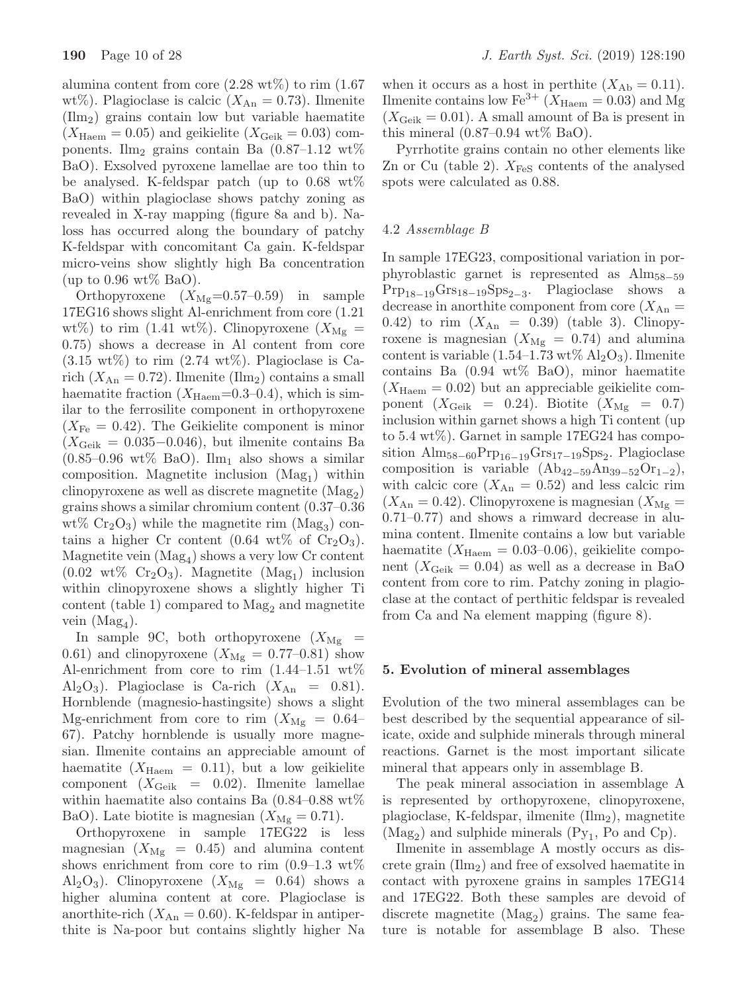alumina content from core  $(2.28 \text{ wt})$  to rim  $(1.67$ wt%). Plagioclase is calcic  $(X_{An} = 0.73)$ . Ilmenite (Ilm2) grains contain low but variable haematite  $(X_{\text{Haem}} = 0.05)$  and geikielite  $(X_{\text{Geik}} = 0.03)$  components. Ilm<sub>2</sub> grains contain Ba  $(0.87-1.12 \text{ wt})$ BaO). Exsolved pyroxene lamellae are too thin to be analysed. K-feldspar patch (up to  $0.68 \text{ wt\%}$ ) BaO) within plagioclase shows patchy zoning as revealed in X-ray mapping (figure 8a and b). Naloss has occurred along the boundary of patchy K-feldspar with concomitant Ca gain. K-feldspar micro-veins show slightly high Ba concentration (up to 0.96 wt% BaO).

Orthopyroxene  $(X_{\text{Mg}}=0.57-0.59)$  in sample 17EG16 shows slight Al-enrichment from core (1.21 wt%) to rim (1.41 wt%). Clinopyroxene  $(X_{\text{Mg}} =$ 0.75) shows a decrease in Al content from core  $(3.15 \text{ wt\%})$  to rim  $(2.74 \text{ wt\%})$ . Plagioclase is Carich ( $X_{\text{An}} = 0.72$ ). Ilmenite (Ilm<sub>2</sub>) contains a small haematite fraction  $(X_{\text{Haem}}=0.3-0.4)$ , which is similar to the ferrosilite component in orthopyroxene  $(X_{\text{Fe}} = 0.42)$ . The Geikielite component is minor  $(X_{\text{Geik}} = 0.035 - 0.046)$ , but ilmenite contains Ba  $(0.85-0.96 \text{ wt\% BaO}).$  Ilm<sub>1</sub> also shows a similar composition. Magnetite inclusion  $(Mag_1)$  within clinopyroxene as well as discrete magnetite  $(Mag_2)$ grains shows a similar chromium content (0.37–0.36 wt%  $Cr_2O_3$ ) while the magnetite rim (Mag<sub>3</sub>) contains a higher Cr content  $(0.64 \text{ wt\% of } Cr_2O_3)$ . Magnetite vein  $(Mag_4)$  shows a very low Cr content  $(0.02 \text{ wt\% } Cr_2O_3)$ . Magnetite  $(Mag_1)$  inclusion within clinopyroxene shows a slightly higher Ti content (table 1) compared to  $Mag<sub>2</sub>$  and magnetite vein  $(Mag_4)$ .

In sample 9C, both orthopyroxene  $(X_{\text{Mg}} =$ 0.61) and clinopyroxene  $(X_{\text{Mg}} = 0.77{\text -}0.81)$  show Al-enrichment from core to rim  $(1.44-1.51 \text{ wt})$  $\text{Al}_2\text{O}_3$ ). Plagioclase is Ca-rich  $(X_{\text{An}} = 0.81)$ . Hornblende (magnesio-hastingsite) shows a slight Mg-enrichment from core to rim  $(X_{\text{Mg}} = 0.64-$ 67). Patchy hornblende is usually more magnesian. Ilmenite contains an appreciable amount of haematite  $(X_{\text{Haem}} = 0.11)$ , but a low geikielite component  $(X_{\text{Geik}} = 0.02)$ . Ilmenite lamellae within haematite also contains Ba  $(0.84-0.88 \text{ wt})$ BaO). Late biotite is magnesian  $(X_{\text{Mg}} = 0.71)$ .

Orthopyroxene in sample 17EG22 is less magnesian  $(X_{\text{Mg}} = 0.45)$  and alumina content shows enrichment from core to rim  $(0.9-1.3 \text{ wt})$  $\text{Al}_2\text{O}_3$ ). Clinopyroxene  $(X_{\text{Mg}} = 0.64)$  shows a higher alumina content at core. Plagioclase is anorthite-rich  $(X_{An} = 0.60)$ . K-feldspar in antiperthite is Na-poor but contains slightly higher Na

when it occurs as a host in perthite  $(X_{\text{Ab}} = 0.11)$ . Ilmenite contains low  $\text{Fe}^{3+}$  ( $X_{\text{Haem}} = 0.03$ ) and Mg  $(X_{\text{Geik}} = 0.01)$ . A small amount of Ba is present in this mineral  $(0.87-0.94 \text{ wt\% BaO}).$ 

Pyrrhotite grains contain no other elements like Zn or Cu (table 2).  $X_{\text{FeS}}$  contents of the analysed spots were calculated as 0.88.

# 4.2 *Assemblage B*

In sample 17EG23, compositional variation in porphyroblastic garnet is represented as Alm<sup>58</sup>−<sup>59</sup>  $Prp_{18-19}Grs_{18-19}Sps_{2-3}$ . Plagioclase shows a decrease in anorthite component from core  $(X_{An} =$ 0.42) to rim  $(X_{An} = 0.39)$  (table 3). Clinopyroxene is magnesian  $(X_{\text{Mg}} = 0.74)$  and alumina content is variable  $(1.54-1.73 \text{ wt\% Al}_2O_3)$ . Ilmenite contains Ba  $(0.94 \text{ wt\% BaO})$ , minor haematite  $(X_{\text{Haem}} = 0.02)$  but an appreciable geikielite component  $(X_{\text{Geik}} = 0.24)$ . Biotite  $(X_{\text{Mg}} = 0.7)$ inclusion within garnet shows a high Ti content (up to 5.4 wt%). Garnet in sample 17EG24 has composition  $\text{Alm}_{58-60}\text{Prp}_{16-19}\text{Grs}_{17-19}\text{Sps}_2$ . Plagioclase composition is variable  $(Ab_{42-59}An_{39-52}Or_{1-2}),$ with calcic core  $(X_{An} = 0.52)$  and less calcic rim  $(X_{\text{An}} = 0.42)$ . Clinopyroxene is magnesian  $(X_{\text{Mg}} =$ 0.71–0.77) and shows a rimward decrease in alumina content. Ilmenite contains a low but variable haematite ( $X_{\text{Haem}} = 0.03{\text -}0.06$ ), geikielite component ( $X_{\text{Geik}} = 0.04$ ) as well as a decrease in BaO content from core to rim. Patchy zoning in plagioclase at the contact of perthitic feldspar is revealed from Ca and Na element mapping (figure 8).

# **5. Evolution of mineral assemblages**

Evolution of the two mineral assemblages can be best described by the sequential appearance of silicate, oxide and sulphide minerals through mineral reactions. Garnet is the most important silicate mineral that appears only in assemblage B.

The peak mineral association in assemblage A is represented by orthopyroxene, clinopyroxene, plagioclase, K-feldspar, ilmenite  $(\text{Ilm}_2)$ , magnetite  $(Mag<sub>2</sub>)$  and sulphide minerals  $(Py<sub>1</sub>, Po and Cp).$ 

Ilmenite in assemblage A mostly occurs as discrete grain  $(\text{Ilm}_2)$  and free of exsolved haematite in contact with pyroxene grains in samples 17EG14 and 17EG22. Both these samples are devoid of discrete magnetite  $(Mag_2)$  grains. The same feature is notable for assemblage B also. These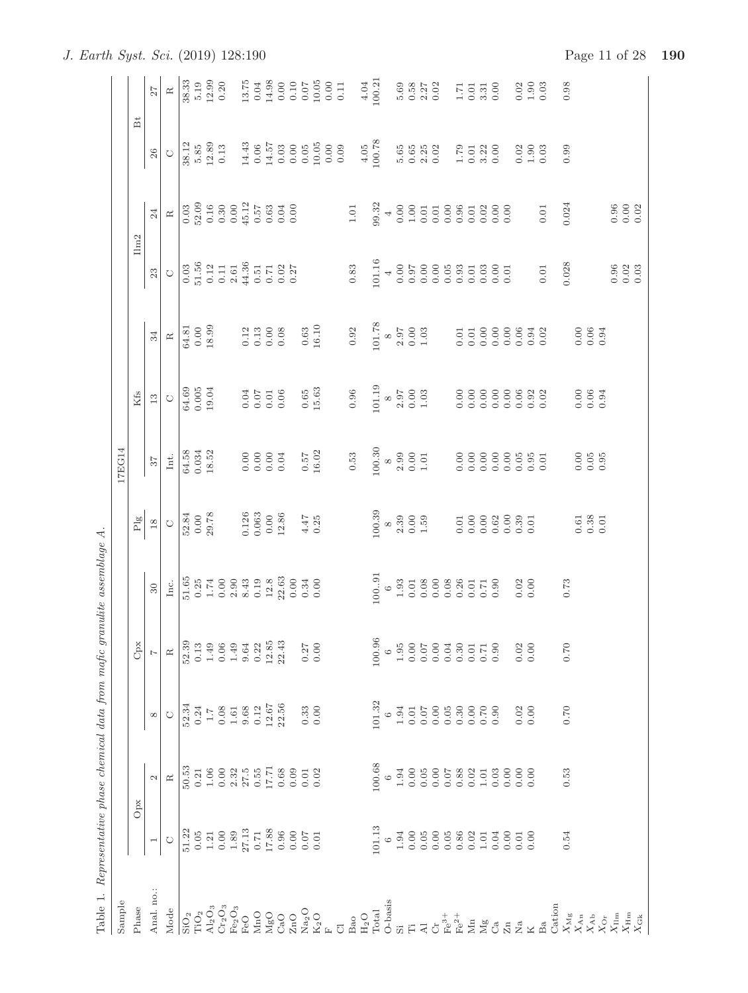| $Table 1. Representative phase chemical data from male granulate assemblage A.$<br>$\label{eq:sample} \text{Sample}$             |                                                                                                           |                                                                                     |                                                                                        |                                                                                              |                                                                                                                                                                                                                                                                                                               |                                                                    | 17EG14                                                             |                                                                    |                                                                                                                                                                                                                                                                                   |                                                             |                                                                                                                                  |                                                                                                                                                                                                                                                                                                               |                                                                                                                                                                                                                                                                                                                                   |
|----------------------------------------------------------------------------------------------------------------------------------|-----------------------------------------------------------------------------------------------------------|-------------------------------------------------------------------------------------|----------------------------------------------------------------------------------------|----------------------------------------------------------------------------------------------|---------------------------------------------------------------------------------------------------------------------------------------------------------------------------------------------------------------------------------------------------------------------------------------------------------------|--------------------------------------------------------------------|--------------------------------------------------------------------|--------------------------------------------------------------------|-----------------------------------------------------------------------------------------------------------------------------------------------------------------------------------------------------------------------------------------------------------------------------------|-------------------------------------------------------------|----------------------------------------------------------------------------------------------------------------------------------|---------------------------------------------------------------------------------------------------------------------------------------------------------------------------------------------------------------------------------------------------------------------------------------------------------------|-----------------------------------------------------------------------------------------------------------------------------------------------------------------------------------------------------------------------------------------------------------------------------------------------------------------------------------|
| ${\tt Phase}$                                                                                                                    | Opx                                                                                                       |                                                                                     |                                                                                        | Cpx                                                                                          |                                                                                                                                                                                                                                                                                                               | $\mathbf{P}\mathbf{I}^{\text{or}}_{\text{S}}$                      |                                                                    | Kfs                                                                |                                                                                                                                                                                                                                                                                   | $\Gamma$ lm2                                                |                                                                                                                                  | $_{\rm B}$                                                                                                                                                                                                                                                                                                    |                                                                                                                                                                                                                                                                                                                                   |
| Anal. no.:                                                                                                                       | $\overline{\phantom{a}}$                                                                                  | $\mathcal{L}$                                                                       | $\infty$                                                                               | $\overline{\phantom{a}}$                                                                     | $30\,$                                                                                                                                                                                                                                                                                                        | $\frac{8}{18}$                                                     | $78$                                                               | $\mathrel{\mathop:}^{\mathrel{\mathop:}}$                          | 34                                                                                                                                                                                                                                                                                | $23\,$                                                      | 24                                                                                                                               | $26\,$                                                                                                                                                                                                                                                                                                        | $\sqrt{2}$                                                                                                                                                                                                                                                                                                                        |
| Mode                                                                                                                             | $\circlearrowright$                                                                                       | $\approx$                                                                           | $\circ$                                                                                | $\simeq$                                                                                     | Inc.                                                                                                                                                                                                                                                                                                          | $\bigcirc$                                                         | Int.                                                               | $\circlearrowright$                                                | $\mathbf{r}$                                                                                                                                                                                                                                                                      | $\circlearrowright$                                         | $\Xi$                                                                                                                            | $\circlearrowright$                                                                                                                                                                                                                                                                                           | $\simeq$                                                                                                                                                                                                                                                                                                                          |
| $\overline{\text{SiO}}_2$                                                                                                        |                                                                                                           |                                                                                     |                                                                                        | 52.39                                                                                        |                                                                                                                                                                                                                                                                                                               |                                                                    | 64.58<br>0.034                                                     | 64.69                                                              |                                                                                                                                                                                                                                                                                   |                                                             |                                                                                                                                  | $38.12$<br>$5.85$                                                                                                                                                                                                                                                                                             |                                                                                                                                                                                                                                                                                                                                   |
| $\rm TiO_2$                                                                                                                      | $\begin{array}{c} 51.22 \\ 0.05 \\ 1.21 \end{array}$                                                      | $50.53$<br>$0.21$                                                                   | $52.34$<br>$0.24$                                                                      |                                                                                              | $\begin{array}{c} 51.65 \\ 0.25 \\ 1.74 \end{array}$                                                                                                                                                                                                                                                          | $\frac{52.84}{0.00}$                                               |                                                                    | $0.005$<br>19.04                                                   | $\begin{array}{c} 64.8\bar{1} \\ 0.00 \\ 18.99 \end{array}$                                                                                                                                                                                                                       | $\begin{array}{c} 0.03 \\ 51.56 \\ 0.12 \end{array}$        |                                                                                                                                  |                                                                                                                                                                                                                                                                                                               |                                                                                                                                                                                                                                                                                                                                   |
| $\rm Al_2O_3$                                                                                                                    |                                                                                                           | $1.06\,$                                                                            |                                                                                        |                                                                                              |                                                                                                                                                                                                                                                                                                               |                                                                    | 18.52                                                              |                                                                    |                                                                                                                                                                                                                                                                                   |                                                             |                                                                                                                                  | $12.89$<br>0.13                                                                                                                                                                                                                                                                                               | $\begin{array}{c} 38.33 \\ 5.19 \\ 12.99 \\ 0.20 \end{array}$                                                                                                                                                                                                                                                                     |
| $\rm Cr_2O_3$                                                                                                                    |                                                                                                           |                                                                                     |                                                                                        |                                                                                              |                                                                                                                                                                                                                                                                                                               |                                                                    |                                                                    |                                                                    |                                                                                                                                                                                                                                                                                   | $0.11\,$                                                    |                                                                                                                                  |                                                                                                                                                                                                                                                                                                               |                                                                                                                                                                                                                                                                                                                                   |
| $\rm Fe_2O_3$                                                                                                                    |                                                                                                           |                                                                                     |                                                                                        |                                                                                              |                                                                                                                                                                                                                                                                                                               |                                                                    |                                                                    |                                                                    |                                                                                                                                                                                                                                                                                   | $2.61\,$                                                    |                                                                                                                                  |                                                                                                                                                                                                                                                                                                               |                                                                                                                                                                                                                                                                                                                                   |
| $_{\rm FeO}$                                                                                                                     |                                                                                                           |                                                                                     |                                                                                        |                                                                                              |                                                                                                                                                                                                                                                                                                               |                                                                    |                                                                    |                                                                    |                                                                                                                                                                                                                                                                                   | 44.36                                                       |                                                                                                                                  |                                                                                                                                                                                                                                                                                                               |                                                                                                                                                                                                                                                                                                                                   |
| MnO                                                                                                                              | $\begin{array}{c} 0.000 \\ 1.89 \\ 27.13 \\ 0.71 \\ 17.88 \\ 0.96 \\ 0.00 \\ 0.01 \\ 0.01 \\ \end{array}$ | $\begin{array}{c} 0.00 \\ 2.32 \\ 2.55 \\ 2.55 \\ 1.71 \\ 0.68 \\ 0.09 \end{array}$ | $\begin{array}{c} 1.7 \\ 0.08 \\ 1.61 \\ 9.68 \\ 1.2.67 \\ 12.67 \\ 22.56 \end{array}$ | $\begin{array}{c} 0.13 \\ 1.49 \\ 0.06 \\ 1.49 \\ 0.49 \\ 0.22 \\ 0.23 \\ 22.43 \end{array}$ | $\begin{array}{c} 0.000 \\ 0.000 \\ 0.010 \\ 0.010 \\ 0.000 \\ 0.000 \\ 0.000 \\ 0.000 \\ 0.000 \\ 0.000 \\ 0.000 \\ 0.000 \\ 0.000 \\ 0.000 \\ 0.000 \\ 0.000 \\ 0.000 \\ 0.000 \\ 0.000 \\ 0.000 \\ 0.000 \\ 0.000 \\ 0.000 \\ 0.000 \\ 0.000 \\ 0.000 \\ 0.000 \\ 0.000 \\ 0.000 \\ 0.000 \\ 0.$           | $\begin{array}{c} 0.126 \\ 0.063 \\ 0.00 \\ 12.86 \end{array}$     |                                                                    | $\begin{array}{c} 0.01 \\ 10.0 \\ 0.0 \\ 0.0 \\ \end{array}$       | $\begin{array}{c} 0.12 \\ 0.13 \\ 0.00 \\ 0.08 \end{array}$                                                                                                                                                                                                                       | $\begin{array}{c} 0.51 \\ 0.71 \\ 0.02 \\ 0.27 \end{array}$ | $\begin{array}{c} 0.03 \\ 0.209 \\ 52.09 \\ 0.30 \\ 0.30 \\ 0.57 \\ 0.57 \\ 0.63 \\ 0.00 \\ 0.00 \\ 0.00 \\ 0.00 \\ \end{array}$ | $\begin{array}{l} 14.43 \\ 14.57 \\ 0.06 \\ 14.57 \\ 0.03 \\ 0.00 \\ 0.05 \\ 0.00 \\ 0.00 \\ 0.00 \\ 0.00 \\ 0.00 \\ 0.00 \\ 0.00 \\ 0.00 \\ 0.00 \\ 0.00 \\ 0.00 \\ 0.00 \\ 0.00 \\ 0.00 \\ 0.00 \\ 0.00 \\ 0.00 \\ 0.00 \\ 0.00 \\ 0.00 \\ 0.00 \\ 0.00 \\ 0.00 \\ 0.00 \\ 0.00 \\ 0.00 \\ 0.00 \\ 0.00 \\$ | $\begin{array}{l} 13.75 \\ 0.04 \\ 0.00 \\ 0.10 \\ 0.10 \\ 0.00 \\ 0.00 \\ 0.01 \\ 0.00 \\ 0.01 \\ 0.01 \\ 0.01 \\ 0.01 \\ 11 \\ 0.01 \\ 11 \\ 12 \\ 0.01 \\ 13 \\ 14 \\ 15 \\ 16 \\ 17 \\ 18 \\ 19 \\ 10 \\ 11 \\ 12 \\ 13 \\ 14 \\ 15 \\ 16 \\ 17 \\ 18 \\ 19 \\ 19 \\ 10 \\ 10 \\ 10 \\ 11 \\ 12 \\ 13 \\ 14 \\ 15 \\ 16 \\ 1$ |
| $_{\rm CaO}^{\rm MO}$                                                                                                            |                                                                                                           |                                                                                     |                                                                                        |                                                                                              |                                                                                                                                                                                                                                                                                                               |                                                                    |                                                                    |                                                                    |                                                                                                                                                                                                                                                                                   |                                                             |                                                                                                                                  |                                                                                                                                                                                                                                                                                                               |                                                                                                                                                                                                                                                                                                                                   |
|                                                                                                                                  |                                                                                                           |                                                                                     |                                                                                        |                                                                                              |                                                                                                                                                                                                                                                                                                               |                                                                    |                                                                    |                                                                    |                                                                                                                                                                                                                                                                                   |                                                             |                                                                                                                                  |                                                                                                                                                                                                                                                                                                               |                                                                                                                                                                                                                                                                                                                                   |
| $_{\mathrm{Na_{2}O}}$                                                                                                            |                                                                                                           |                                                                                     |                                                                                        |                                                                                              |                                                                                                                                                                                                                                                                                                               |                                                                    |                                                                    |                                                                    |                                                                                                                                                                                                                                                                                   |                                                             |                                                                                                                                  |                                                                                                                                                                                                                                                                                                               |                                                                                                                                                                                                                                                                                                                                   |
|                                                                                                                                  |                                                                                                           | $0.01$<br>$0.02$                                                                    | $0.33$<br>$0.00$                                                                       | $0.27$ $0.00$                                                                                |                                                                                                                                                                                                                                                                                                               | $4.47$<br>0.25                                                     | $\begin{array}{c} 0.57 \\ 16.02 \end{array}$                       | $\begin{array}{c} 0.65 \\ 15.63 \end{array}$                       | $\begin{array}{c} 0.63 \\ 16.10 \end{array}$                                                                                                                                                                                                                                      |                                                             |                                                                                                                                  |                                                                                                                                                                                                                                                                                                               |                                                                                                                                                                                                                                                                                                                                   |
| $\rm K_2O$                                                                                                                       |                                                                                                           |                                                                                     |                                                                                        |                                                                                              |                                                                                                                                                                                                                                                                                                               |                                                                    |                                                                    |                                                                    |                                                                                                                                                                                                                                                                                   |                                                             |                                                                                                                                  |                                                                                                                                                                                                                                                                                                               |                                                                                                                                                                                                                                                                                                                                   |
| $\mathbb{E}$                                                                                                                     |                                                                                                           |                                                                                     |                                                                                        |                                                                                              |                                                                                                                                                                                                                                                                                                               |                                                                    |                                                                    |                                                                    |                                                                                                                                                                                                                                                                                   |                                                             |                                                                                                                                  |                                                                                                                                                                                                                                                                                                               |                                                                                                                                                                                                                                                                                                                                   |
| $\overline{C}$                                                                                                                   |                                                                                                           |                                                                                     |                                                                                        |                                                                                              |                                                                                                                                                                                                                                                                                                               |                                                                    |                                                                    |                                                                    |                                                                                                                                                                                                                                                                                   |                                                             |                                                                                                                                  |                                                                                                                                                                                                                                                                                                               |                                                                                                                                                                                                                                                                                                                                   |
| $_{\rm H_2O}^{\rm Bao}$                                                                                                          |                                                                                                           |                                                                                     |                                                                                        |                                                                                              |                                                                                                                                                                                                                                                                                                               |                                                                    | $\rm 0.53$                                                         | $\rm 0.96$                                                         | 0.92                                                                                                                                                                                                                                                                              | $\rm 0.83$                                                  | $1.01\,$                                                                                                                         |                                                                                                                                                                                                                                                                                                               |                                                                                                                                                                                                                                                                                                                                   |
|                                                                                                                                  |                                                                                                           |                                                                                     |                                                                                        |                                                                                              |                                                                                                                                                                                                                                                                                                               |                                                                    |                                                                    |                                                                    |                                                                                                                                                                                                                                                                                   |                                                             |                                                                                                                                  | $4.05$<br>100.78                                                                                                                                                                                                                                                                                              |                                                                                                                                                                                                                                                                                                                                   |
| $\begin{array}{c} {\rm Total} \\ {\rm O-basis} \end{array}$                                                                      | 101.13                                                                                                    | 100.68                                                                              | 10.32                                                                                  | 100.96                                                                                       | 10091                                                                                                                                                                                                                                                                                                         | $\begin{array}{r} 100.39 \\ 8 \\ 2.39 \\ 0.00 \\ 1.59 \end{array}$ | $\begin{array}{r} 100.30 \\ 8 \\ 2.99 \\ 0.00 \\ 1.01 \end{array}$ | $\begin{array}{r} 101.19 \\ 8 \\ 2.97 \\ 0.00 \\ 1.03 \end{array}$ | $\begin{array}{r} 101.78 \\ 8 \\ 2.97 \\ 0.00 \\ 1.03 \end{array}$                                                                                                                                                                                                                | 101.16                                                      | 99.32                                                                                                                            |                                                                                                                                                                                                                                                                                                               | $4.04$<br>100.21                                                                                                                                                                                                                                                                                                                  |
|                                                                                                                                  |                                                                                                           | $\circ$                                                                             |                                                                                        |                                                                                              | $\circ$                                                                                                                                                                                                                                                                                                       |                                                                    |                                                                    |                                                                    |                                                                                                                                                                                                                                                                                   | $\overline{4}$                                              |                                                                                                                                  |                                                                                                                                                                                                                                                                                                               |                                                                                                                                                                                                                                                                                                                                   |
| $\tilde{\varpi}$ ii                                                                                                              | $0.94$<br>0.00<br>0.05                                                                                    | $1.94$<br>0.00                                                                      | $\begin{array}{c} 6 \\ 0.94 \\ 0.01 \\ 0.07 \end{array}$                               |                                                                                              |                                                                                                                                                                                                                                                                                                               |                                                                    |                                                                    |                                                                    |                                                                                                                                                                                                                                                                                   |                                                             |                                                                                                                                  |                                                                                                                                                                                                                                                                                                               |                                                                                                                                                                                                                                                                                                                                   |
|                                                                                                                                  |                                                                                                           |                                                                                     |                                                                                        |                                                                                              |                                                                                                                                                                                                                                                                                                               |                                                                    |                                                                    |                                                                    |                                                                                                                                                                                                                                                                                   |                                                             |                                                                                                                                  |                                                                                                                                                                                                                                                                                                               |                                                                                                                                                                                                                                                                                                                                   |
| $\Xi$                                                                                                                            |                                                                                                           | $0.05\,$                                                                            |                                                                                        |                                                                                              |                                                                                                                                                                                                                                                                                                               |                                                                    |                                                                    |                                                                    |                                                                                                                                                                                                                                                                                   |                                                             |                                                                                                                                  | $\begin{array}{c} 65 \\ 566 \\ 0 \\ 0 \\ 0 \\ \end{array}$                                                                                                                                                                                                                                                    | $\begin{array}{c} 69 \\ 5.58 \\ 0.57 \\ 0.02 \end{array}$                                                                                                                                                                                                                                                                         |
|                                                                                                                                  |                                                                                                           |                                                                                     |                                                                                        |                                                                                              |                                                                                                                                                                                                                                                                                                               |                                                                    |                                                                    |                                                                    |                                                                                                                                                                                                                                                                                   |                                                             |                                                                                                                                  |                                                                                                                                                                                                                                                                                                               |                                                                                                                                                                                                                                                                                                                                   |
|                                                                                                                                  |                                                                                                           |                                                                                     |                                                                                        |                                                                                              |                                                                                                                                                                                                                                                                                                               |                                                                    |                                                                    |                                                                    |                                                                                                                                                                                                                                                                                   |                                                             |                                                                                                                                  |                                                                                                                                                                                                                                                                                                               |                                                                                                                                                                                                                                                                                                                                   |
|                                                                                                                                  |                                                                                                           |                                                                                     |                                                                                        |                                                                                              |                                                                                                                                                                                                                                                                                                               |                                                                    |                                                                    |                                                                    |                                                                                                                                                                                                                                                                                   |                                                             |                                                                                                                                  |                                                                                                                                                                                                                                                                                                               |                                                                                                                                                                                                                                                                                                                                   |
| $\begin{array}{l} \rm{C\,r} \atop \rm{Fe}^{3+} \\ \rm{Fe}^{2+} \\ \rm{K\,m} \\ \rm{M\,m} \\ \rm{M\,g} \\ \rm{M\,g} \end{array}$  | $\begin{array}{c} 0.00 \\ 0.05 \\ 0.86 \\ 0.02 \\ 1.01 \end{array}$                                       |                                                                                     | $\begin{array}{c} 0.00000 \\ 0.00000 \\ 0.00000 \\ 0.0000 \\ \end{array}$              |                                                                                              | $\begin{array}{l} 1.93 \\ 1.01 \\ 0.000 \\ 0.000 \\ 0.000 \\ 0.01 \\ 0.01 \\ 0.01 \\ 0.01 \\ 0.00 \\ 0.00 \\ 0.00 \\ 0.00 \\ 0.00 \\ 0.00 \\ 0.00 \\ 0.00 \\ 0.00 \\ 0.00 \\ 0.00 \\ 0.00 \\ 0.00 \\ 0.00 \\ 0.00 \\ 0.00 \\ 0.00 \\ 0.00 \\ 0.00 \\ 0.00 \\ 0.00 \\ 0.00 \\ 0.00 \\ 0.00 \\ 0.00 \\ 0.00 \\$ | $\begin{array}{c} 0.01 \\ 0.00 \\ 0.00 \end{array}$                |                                                                    |                                                                    | $\begin{array}{cccccccccc} 0.01 & 0.00 & 0.00 & 0.00 & 0.00 & 0.00 & 0.00 & 0.00 & 0.00 & 0.00 & 0.00 & 0.00 & 0.00 & 0.00 & 0.00 & 0.00 & 0.00 & 0.00 & 0.00 & 0.00 & 0.00 & 0.00 & 0.00 & 0.00 & 0.00 & 0.00 & 0.00 & 0.00 & 0.00 & 0.00 & 0.00 & 0.00 & 0.00 & 0.00 & 0.00 & $ |                                                             |                                                                                                                                  | $\begin{array}{c} 1.79 \\ 0.01 \\ 0.02 \\ 0.00 \end{array}$                                                                                                                                                                                                                                                   | $\begin{array}{c} 1.71 \\ 0.31 \\ 0.30 \\ 0.00 \end{array}$                                                                                                                                                                                                                                                                       |
|                                                                                                                                  |                                                                                                           |                                                                                     |                                                                                        |                                                                                              |                                                                                                                                                                                                                                                                                                               |                                                                    |                                                                    |                                                                    |                                                                                                                                                                                                                                                                                   |                                                             |                                                                                                                                  |                                                                                                                                                                                                                                                                                                               |                                                                                                                                                                                                                                                                                                                                   |
| $C^a$                                                                                                                            | $0.04\,$                                                                                                  |                                                                                     |                                                                                        |                                                                                              |                                                                                                                                                                                                                                                                                                               | 0.62                                                               | $_{0.00}$                                                          |                                                                    |                                                                                                                                                                                                                                                                                   |                                                             |                                                                                                                                  |                                                                                                                                                                                                                                                                                                               |                                                                                                                                                                                                                                                                                                                                   |
| $\rm Zn$                                                                                                                         | 0.00                                                                                                      |                                                                                     |                                                                                        |                                                                                              |                                                                                                                                                                                                                                                                                                               | $0.00$<br>$0.39$<br>$0.01$                                         | $0.00$                                                             |                                                                    |                                                                                                                                                                                                                                                                                   |                                                             |                                                                                                                                  |                                                                                                                                                                                                                                                                                                               |                                                                                                                                                                                                                                                                                                                                   |
| $\rm \stackrel{a}{\Sigma}$                                                                                                       | $\begin{array}{c} 0.01 \\ 0.00 \end{array}$                                                               |                                                                                     | $0.02$<br>0.00                                                                         | 0.02                                                                                         | $\begin{array}{c} 0.02 \\ 0.00 \end{array}$                                                                                                                                                                                                                                                                   |                                                                    |                                                                    |                                                                    |                                                                                                                                                                                                                                                                                   |                                                             |                                                                                                                                  |                                                                                                                                                                                                                                                                                                               |                                                                                                                                                                                                                                                                                                                                   |
| $\mathbf{x}$                                                                                                                     |                                                                                                           |                                                                                     |                                                                                        |                                                                                              |                                                                                                                                                                                                                                                                                                               |                                                                    | $\begin{array}{c} 0.05 \\ 0.95 \\ 0.01 \end{array}$                |                                                                    |                                                                                                                                                                                                                                                                                   |                                                             |                                                                                                                                  | $0.02$<br>$1.90$<br>$0.03$                                                                                                                                                                                                                                                                                    | $\begin{array}{c} 0.02 \\ 1.90 \\ 0.03 \end{array}$                                                                                                                                                                                                                                                                               |
| $_{\rm Ba}$                                                                                                                      |                                                                                                           |                                                                                     |                                                                                        |                                                                                              |                                                                                                                                                                                                                                                                                                               |                                                                    |                                                                    |                                                                    |                                                                                                                                                                                                                                                                                   | $0.01\,$                                                    | $0.01\,$                                                                                                                         |                                                                                                                                                                                                                                                                                                               |                                                                                                                                                                                                                                                                                                                                   |
| Cation                                                                                                                           | $0.54\,$                                                                                                  | $\!0.53\!$                                                                          | $0.70$                                                                                 | $0.70$                                                                                       | 0.73                                                                                                                                                                                                                                                                                                          |                                                                    |                                                                    |                                                                    |                                                                                                                                                                                                                                                                                   | 0.028                                                       | 0.024                                                                                                                            | 0.99                                                                                                                                                                                                                                                                                                          | 0.98                                                                                                                                                                                                                                                                                                                              |
|                                                                                                                                  |                                                                                                           |                                                                                     |                                                                                        |                                                                                              |                                                                                                                                                                                                                                                                                                               |                                                                    |                                                                    |                                                                    |                                                                                                                                                                                                                                                                                   |                                                             |                                                                                                                                  |                                                                                                                                                                                                                                                                                                               |                                                                                                                                                                                                                                                                                                                                   |
|                                                                                                                                  |                                                                                                           |                                                                                     |                                                                                        |                                                                                              |                                                                                                                                                                                                                                                                                                               |                                                                    |                                                                    |                                                                    |                                                                                                                                                                                                                                                                                   |                                                             |                                                                                                                                  |                                                                                                                                                                                                                                                                                                               |                                                                                                                                                                                                                                                                                                                                   |
|                                                                                                                                  |                                                                                                           |                                                                                     |                                                                                        |                                                                                              |                                                                                                                                                                                                                                                                                                               | $\begin{array}{c} 0.61 \\ 0.38 \\ 0.01 \end{array}$                | $0.05$<br>$0.05$<br>$0.05$                                         | $0.06$<br>$0.05$<br>$0.34$                                         | $0.06$<br>$0.05$<br>$0.34$                                                                                                                                                                                                                                                        |                                                             |                                                                                                                                  |                                                                                                                                                                                                                                                                                                               |                                                                                                                                                                                                                                                                                                                                   |
|                                                                                                                                  |                                                                                                           |                                                                                     |                                                                                        |                                                                                              |                                                                                                                                                                                                                                                                                                               |                                                                    |                                                                    |                                                                    |                                                                                                                                                                                                                                                                                   | $0.96\,$                                                    |                                                                                                                                  |                                                                                                                                                                                                                                                                                                               |                                                                                                                                                                                                                                                                                                                                   |
| $\begin{array}{l} X_{M_{\rm g}} \\ X_{A\rm n} \\ X_{A\rm b} \\ X_{C\rm r} \\ X_{H\rm m} \\ X_{H\rm m} \\ X_{G\rm k} \end{array}$ |                                                                                                           |                                                                                     |                                                                                        |                                                                                              |                                                                                                                                                                                                                                                                                                               |                                                                    |                                                                    |                                                                    |                                                                                                                                                                                                                                                                                   |                                                             | $0.96$<br>$0.00$<br>$0.02$                                                                                                       |                                                                                                                                                                                                                                                                                                               |                                                                                                                                                                                                                                                                                                                                   |
|                                                                                                                                  |                                                                                                           |                                                                                     |                                                                                        |                                                                                              |                                                                                                                                                                                                                                                                                                               |                                                                    |                                                                    |                                                                    |                                                                                                                                                                                                                                                                                   | $0.02$<br>0.03                                              |                                                                                                                                  |                                                                                                                                                                                                                                                                                                               |                                                                                                                                                                                                                                                                                                                                   |
|                                                                                                                                  |                                                                                                           |                                                                                     |                                                                                        |                                                                                              |                                                                                                                                                                                                                                                                                                               |                                                                    |                                                                    |                                                                    |                                                                                                                                                                                                                                                                                   |                                                             |                                                                                                                                  |                                                                                                                                                                                                                                                                                                               |                                                                                                                                                                                                                                                                                                                                   |

*J. Earth Syst. Sci.* (2019) 128:190 Page 11 of 28 **190**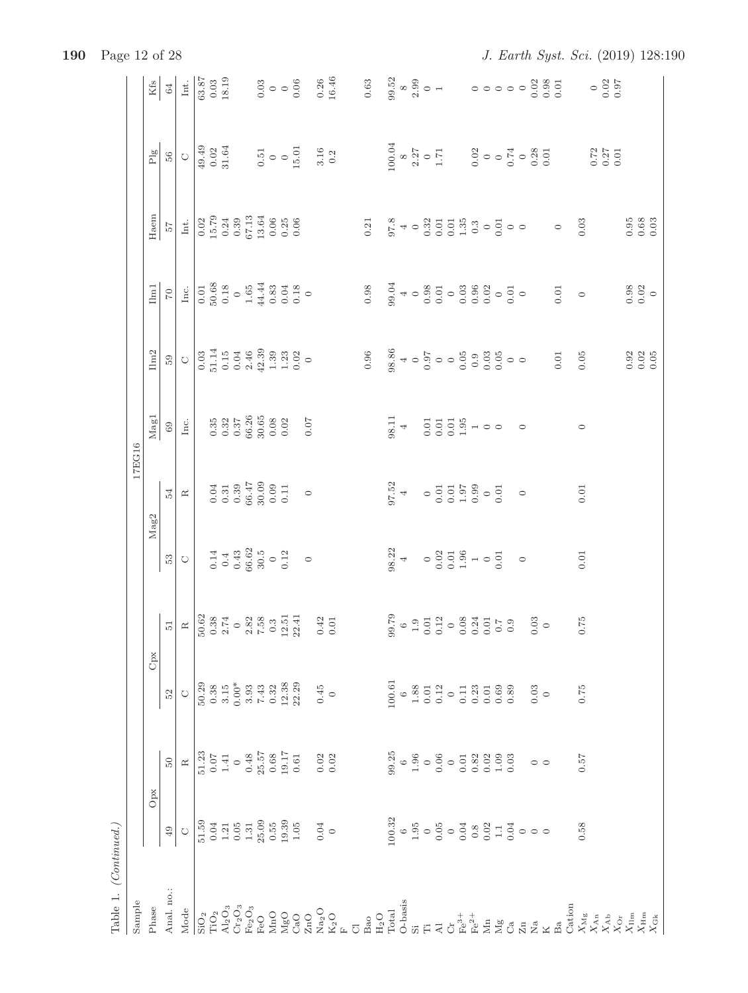| Table 1. (Continued.)                                                                                                                                                                                                                                                                                                                      |                                                                                                                       |                                                                       |                                                                                                                                                                                                                                                                                                         |                                                                                                                      |                                                                             |                                                                                                          |                                                                                  |                                                                                                                                                                                                                                                                                               |                                                                                                                                                                                                                                                                                                                                 |                                                                                                                 |                                                                                                                                                                                                                                                                                                                                                    |                                                                                                            |
|--------------------------------------------------------------------------------------------------------------------------------------------------------------------------------------------------------------------------------------------------------------------------------------------------------------------------------------------|-----------------------------------------------------------------------------------------------------------------------|-----------------------------------------------------------------------|---------------------------------------------------------------------------------------------------------------------------------------------------------------------------------------------------------------------------------------------------------------------------------------------------------|----------------------------------------------------------------------------------------------------------------------|-----------------------------------------------------------------------------|----------------------------------------------------------------------------------------------------------|----------------------------------------------------------------------------------|-----------------------------------------------------------------------------------------------------------------------------------------------------------------------------------------------------------------------------------------------------------------------------------------------|---------------------------------------------------------------------------------------------------------------------------------------------------------------------------------------------------------------------------------------------------------------------------------------------------------------------------------|-----------------------------------------------------------------------------------------------------------------|----------------------------------------------------------------------------------------------------------------------------------------------------------------------------------------------------------------------------------------------------------------------------------------------------------------------------------------------------|------------------------------------------------------------------------------------------------------------|
| Sample                                                                                                                                                                                                                                                                                                                                     |                                                                                                                       |                                                                       |                                                                                                                                                                                                                                                                                                         |                                                                                                                      |                                                                             | 17EG16                                                                                                   |                                                                                  |                                                                                                                                                                                                                                                                                               |                                                                                                                                                                                                                                                                                                                                 |                                                                                                                 |                                                                                                                                                                                                                                                                                                                                                    |                                                                                                            |
| ${\tt Phase}$                                                                                                                                                                                                                                                                                                                              | $_{\mathrm{opx}}$                                                                                                     |                                                                       | Cpx                                                                                                                                                                                                                                                                                                     |                                                                                                                      | Mag <sub>2</sub>                                                            |                                                                                                          | Mag1                                                                             | $\frac{1}{2}$                                                                                                                                                                                                                                                                                 | $\rm{Inn1}$                                                                                                                                                                                                                                                                                                                     | $H^{aem}$                                                                                                       | $\mathbf{P}$ lg                                                                                                                                                                                                                                                                                                                                    |                                                                                                            |
| Anal. no.:                                                                                                                                                                                                                                                                                                                                 | $49\,$                                                                                                                | $50\,$                                                                | 52                                                                                                                                                                                                                                                                                                      | $\frac{1}{2}$                                                                                                        | $53\,$                                                                      | 54                                                                                                       | $_{\rm 69}$                                                                      | $59\,$                                                                                                                                                                                                                                                                                        | $\sqrt{2}$                                                                                                                                                                                                                                                                                                                      | $\angle{G}$                                                                                                     | $56\,$                                                                                                                                                                                                                                                                                                                                             | $\frac{\text{Kfs}}{64}$                                                                                    |
| Mode                                                                                                                                                                                                                                                                                                                                       | $\circ$                                                                                                               | $\mathbf{r}$                                                          | $\bigcirc$                                                                                                                                                                                                                                                                                              | $\begin{array}{r} \text{R} \\ 50.62 \\ 0.38 \\ 2.74 \\ 0.82 \\ 7.58 \\ 0.38 \\ 7.51 \\ 0.31 \\ 21.41 \\ \end{array}$ | $\bigcirc$                                                                  | $\mathbf{R}$                                                                                             | Inc.                                                                             |                                                                                                                                                                                                                                                                                               | Inc.                                                                                                                                                                                                                                                                                                                            | Int.                                                                                                            | $\bigcirc$                                                                                                                                                                                                                                                                                                                                         | $\frac{\text{Int.}}{63.87}$ 0.03<br>0.03                                                                   |
| $\rm SiO_{2}$                                                                                                                                                                                                                                                                                                                              |                                                                                                                       |                                                                       |                                                                                                                                                                                                                                                                                                         |                                                                                                                      |                                                                             |                                                                                                          |                                                                                  |                                                                                                                                                                                                                                                                                               | $\begin{bmatrix} 1 & 1 & 1 & 1 \\ 1 & 1 & 1 & 1 \\ 1 & 1 & 1 & 1 \\ 1 & 1 & 1 & 1 \\ 1 & 1 & 1 & 1 \\ 1 & 1 & 1 & 1 \\ 1 & 1 & 1 & 1 \\ 1 & 1 & 1 & 1 \\ 1 & 1 & 1 & 1 \\ 1 & 1 & 1 & 1 \\ 1 & 1 & 1 & 1 \\ 1 & 1 & 1 & 1 \\ 1 & 1 & 1 & 1 \\ 1 & 1 & 1 & 1 \\ 1 & 1 & 1 & 1 \\ 1 & 1 & 1 & 1 \\ 1 & 1 & 1 & 1 \\ 1 & 1 & 1 & $ |                                                                                                                 | $\frac{49.49}{0.02}$<br>31.64                                                                                                                                                                                                                                                                                                                      |                                                                                                            |
|                                                                                                                                                                                                                                                                                                                                            |                                                                                                                       | $\begin{array}{c} 51.23 \\ 0.07 \\ 1.41 \end{array}$                  |                                                                                                                                                                                                                                                                                                         |                                                                                                                      |                                                                             |                                                                                                          |                                                                                  |                                                                                                                                                                                                                                                                                               |                                                                                                                                                                                                                                                                                                                                 |                                                                                                                 |                                                                                                                                                                                                                                                                                                                                                    |                                                                                                            |
| $\begin{array}{l} {\rm TiO}_2 \\ {\rm Al}_2{\rm O}_3 \\ {\rm Cr}_2{\rm O}_3 \\ {\rm Fe}_2{\rm O}_3 \end{array}$                                                                                                                                                                                                                            | $\begin{array}{c} 51.59 \\ 0.04 \\ -1.21 \\ 0.51 \\ -1.31 \\ 2.509 \\ -1.93 \\ -1.05 \\ 1.05 \\ -1.05 \\ \end{array}$ |                                                                       | $\begin{array}{l} 50.29 \\ 0.38 \\ 0.515 \\ 0.00^* \\ 0.33 \\ 7.43 \\ 0.32 \\ 22.29 \end{array}$                                                                                                                                                                                                        |                                                                                                                      | $0.14$<br>$0.43$<br>$0.60$<br>$0.5$<br>$0.5$<br>$0.12$                      | $\begin{array}{c} 0.31 \\ 0.33 \\ 0.39 \\ 66.47 \\ 66.40 \\ 9.00 \\ 0.01 \\ 0.01 \\ 0.01 \\ \end{array}$ | $\begin{array}{c} 0.35 \\ 0.32 \\ 0.37 \\ 66.36 \\ 90.65 \\ 0.02 \\ \end{array}$ |                                                                                                                                                                                                                                                                                               |                                                                                                                                                                                                                                                                                                                                 | $\begin{array}{c} 0.02 \\ 15.79 \\ 0.24 \\ 6.79 \\ 67.13 \\ 67.13 \\ 13.64 \\ 0.06 \\ 0.05 \\ 0.06 \end{array}$ |                                                                                                                                                                                                                                                                                                                                                    |                                                                                                            |
|                                                                                                                                                                                                                                                                                                                                            |                                                                                                                       | $\circ$                                                               |                                                                                                                                                                                                                                                                                                         |                                                                                                                      |                                                                             |                                                                                                          |                                                                                  |                                                                                                                                                                                                                                                                                               |                                                                                                                                                                                                                                                                                                                                 |                                                                                                                 |                                                                                                                                                                                                                                                                                                                                                    |                                                                                                            |
|                                                                                                                                                                                                                                                                                                                                            |                                                                                                                       | $\begin{array}{c} 0.48 \\ 25.57 \\ 0.68 \\ 19.17 \\ 0.61 \end{array}$ |                                                                                                                                                                                                                                                                                                         |                                                                                                                      |                                                                             |                                                                                                          |                                                                                  |                                                                                                                                                                                                                                                                                               |                                                                                                                                                                                                                                                                                                                                 |                                                                                                                 | $0.51$<br>0 0<br>15.01<br>15.01<br>3.16                                                                                                                                                                                                                                                                                                            |                                                                                                            |
| $_{\rm FeO}$                                                                                                                                                                                                                                                                                                                               |                                                                                                                       |                                                                       |                                                                                                                                                                                                                                                                                                         |                                                                                                                      |                                                                             |                                                                                                          |                                                                                  |                                                                                                                                                                                                                                                                                               |                                                                                                                                                                                                                                                                                                                                 |                                                                                                                 |                                                                                                                                                                                                                                                                                                                                                    |                                                                                                            |
| MnO                                                                                                                                                                                                                                                                                                                                        |                                                                                                                       |                                                                       |                                                                                                                                                                                                                                                                                                         |                                                                                                                      |                                                                             |                                                                                                          |                                                                                  |                                                                                                                                                                                                                                                                                               |                                                                                                                                                                                                                                                                                                                                 |                                                                                                                 |                                                                                                                                                                                                                                                                                                                                                    |                                                                                                            |
|                                                                                                                                                                                                                                                                                                                                            |                                                                                                                       |                                                                       |                                                                                                                                                                                                                                                                                                         |                                                                                                                      |                                                                             |                                                                                                          |                                                                                  |                                                                                                                                                                                                                                                                                               |                                                                                                                                                                                                                                                                                                                                 |                                                                                                                 |                                                                                                                                                                                                                                                                                                                                                    |                                                                                                            |
| $\begin{array}{l} \rm MgO\\ \rm CaO\\ \rm ZnO \end{array}$                                                                                                                                                                                                                                                                                 |                                                                                                                       |                                                                       |                                                                                                                                                                                                                                                                                                         |                                                                                                                      | $\circ$                                                                     |                                                                                                          |                                                                                  |                                                                                                                                                                                                                                                                                               |                                                                                                                                                                                                                                                                                                                                 |                                                                                                                 |                                                                                                                                                                                                                                                                                                                                                    |                                                                                                            |
|                                                                                                                                                                                                                                                                                                                                            |                                                                                                                       |                                                                       |                                                                                                                                                                                                                                                                                                         |                                                                                                                      |                                                                             | $\circ$                                                                                                  | 0.07                                                                             |                                                                                                                                                                                                                                                                                               |                                                                                                                                                                                                                                                                                                                                 |                                                                                                                 |                                                                                                                                                                                                                                                                                                                                                    |                                                                                                            |
| $_{\rm{K_2O}}^{\rm Na_2O}$                                                                                                                                                                                                                                                                                                                 | $\begin{array}{c} 0.04 \\ 0 \end{array}$                                                                              | $0.02$<br>$0.02$                                                      | $0.45$                                                                                                                                                                                                                                                                                                  | $0.42$<br>$0.01$                                                                                                     |                                                                             |                                                                                                          |                                                                                  |                                                                                                                                                                                                                                                                                               |                                                                                                                                                                                                                                                                                                                                 |                                                                                                                 |                                                                                                                                                                                                                                                                                                                                                    |                                                                                                            |
|                                                                                                                                                                                                                                                                                                                                            |                                                                                                                       |                                                                       |                                                                                                                                                                                                                                                                                                         |                                                                                                                      |                                                                             |                                                                                                          |                                                                                  |                                                                                                                                                                                                                                                                                               |                                                                                                                                                                                                                                                                                                                                 |                                                                                                                 |                                                                                                                                                                                                                                                                                                                                                    | $0.03$<br>$0.06$<br>$0.26$<br>$0.26$<br>$0.36$<br>$0.36$<br>$0.36$<br>$0.36$<br>$0.36$<br>$0.03$<br>$0.01$ |
|                                                                                                                                                                                                                                                                                                                                            |                                                                                                                       |                                                                       |                                                                                                                                                                                                                                                                                                         |                                                                                                                      |                                                                             |                                                                                                          |                                                                                  |                                                                                                                                                                                                                                                                                               |                                                                                                                                                                                                                                                                                                                                 |                                                                                                                 |                                                                                                                                                                                                                                                                                                                                                    |                                                                                                            |
| $\overline{\circ}$                                                                                                                                                                                                                                                                                                                         |                                                                                                                       |                                                                       |                                                                                                                                                                                                                                                                                                         |                                                                                                                      |                                                                             |                                                                                                          |                                                                                  |                                                                                                                                                                                                                                                                                               |                                                                                                                                                                                                                                                                                                                                 |                                                                                                                 |                                                                                                                                                                                                                                                                                                                                                    |                                                                                                            |
| Bao                                                                                                                                                                                                                                                                                                                                        |                                                                                                                       |                                                                       |                                                                                                                                                                                                                                                                                                         |                                                                                                                      |                                                                             |                                                                                                          |                                                                                  | 0.96                                                                                                                                                                                                                                                                                          |                                                                                                                                                                                                                                                                                                                                 | 0.21                                                                                                            |                                                                                                                                                                                                                                                                                                                                                    |                                                                                                            |
| $\rm H_2O$                                                                                                                                                                                                                                                                                                                                 |                                                                                                                       |                                                                       |                                                                                                                                                                                                                                                                                                         |                                                                                                                      |                                                                             |                                                                                                          |                                                                                  |                                                                                                                                                                                                                                                                                               |                                                                                                                                                                                                                                                                                                                                 |                                                                                                                 |                                                                                                                                                                                                                                                                                                                                                    |                                                                                                            |
| $\operatorname{\mathsf{Total}}$                                                                                                                                                                                                                                                                                                            |                                                                                                                       |                                                                       |                                                                                                                                                                                                                                                                                                         |                                                                                                                      | 98.22                                                                       | $-37.52$                                                                                                 |                                                                                  |                                                                                                                                                                                                                                                                                               |                                                                                                                                                                                                                                                                                                                                 |                                                                                                                 |                                                                                                                                                                                                                                                                                                                                                    |                                                                                                            |
| $O-basis$                                                                                                                                                                                                                                                                                                                                  |                                                                                                                       |                                                                       |                                                                                                                                                                                                                                                                                                         |                                                                                                                      |                                                                             |                                                                                                          |                                                                                  |                                                                                                                                                                                                                                                                                               |                                                                                                                                                                                                                                                                                                                                 |                                                                                                                 |                                                                                                                                                                                                                                                                                                                                                    |                                                                                                            |
| Si                                                                                                                                                                                                                                                                                                                                         |                                                                                                                       |                                                                       |                                                                                                                                                                                                                                                                                                         |                                                                                                                      |                                                                             |                                                                                                          |                                                                                  |                                                                                                                                                                                                                                                                                               |                                                                                                                                                                                                                                                                                                                                 |                                                                                                                 |                                                                                                                                                                                                                                                                                                                                                    |                                                                                                            |
| $\overline{F}$                                                                                                                                                                                                                                                                                                                             |                                                                                                                       |                                                                       |                                                                                                                                                                                                                                                                                                         |                                                                                                                      |                                                                             |                                                                                                          |                                                                                  |                                                                                                                                                                                                                                                                                               |                                                                                                                                                                                                                                                                                                                                 |                                                                                                                 |                                                                                                                                                                                                                                                                                                                                                    |                                                                                                            |
| $\overline{A}$                                                                                                                                                                                                                                                                                                                             |                                                                                                                       |                                                                       |                                                                                                                                                                                                                                                                                                         |                                                                                                                      |                                                                             |                                                                                                          |                                                                                  |                                                                                                                                                                                                                                                                                               |                                                                                                                                                                                                                                                                                                                                 |                                                                                                                 |                                                                                                                                                                                                                                                                                                                                                    |                                                                                                            |
| $\ddot{\circ}$                                                                                                                                                                                                                                                                                                                             |                                                                                                                       |                                                                       |                                                                                                                                                                                                                                                                                                         |                                                                                                                      |                                                                             |                                                                                                          |                                                                                  |                                                                                                                                                                                                                                                                                               |                                                                                                                                                                                                                                                                                                                                 |                                                                                                                 |                                                                                                                                                                                                                                                                                                                                                    |                                                                                                            |
|                                                                                                                                                                                                                                                                                                                                            | $100.32$<br>$60.95$<br>$1.95$<br>$0.05$<br>$0.32$<br>$0.32$<br>$0.32$<br>$0.11$<br>$0.04$                             |                                                                       | $\begin{array}{cccc} 100.61 & & & \\ 0.8 & 0.7 & 0.7 & 0.7 & \\ 0.1 & 0.7 & 0.7 & 0.7 & \\ 0.0 & 0.7 & 0.7 & 0.8 & \\ 0.0 & 0.0 & 0.0 & 0.8 & \\ 0.0 & 0.0 & 0.0 & 0.8 & \\ 0.0 & 0.0 & 0.0 & 0.8 & \\ 0.0 & 0.0 & 0.0 & 0.8 & \\ 0.0 & 0.0 & 0.0 & 0.8 & \\ 0.0 & 0.0 & 0.0 & 0.8 & \\ 0.0 & 0.0 & 0.$ | $99.79$<br>$60.9$<br>$10.12$<br>$0.034$<br>$0.012$<br>$0.0000$<br>$0.0000$<br>$0.9$                                  | $\begin{array}{c} 0.02 \\ 0.01 \\ 1.96 \\ 1.96 \\ 0.01 \\ 0.01 \end{array}$ |                                                                                                          | $98.11$<br>$4$<br>$0.01010$<br>$0.0101$<br>$0.0101$<br>$0.001$<br>$0.001$        | $98.86$<br>$9.5$<br>$9.5$<br>$-0.5$<br>$-0.5$<br>$-0.5$<br>$-0.5$<br>$-0.5$<br>$-0.5$<br>$-0.5$<br>$-0.5$<br>$-0.5$<br>$-0.5$<br>$-0.5$<br>$-0.5$<br>$-0.5$<br>$-0.5$<br>$-0.5$<br>$-0.5$<br>$-0.5$<br>$-0.5$<br>$-0.5$<br>$-0.5$<br>$-0.5$<br>$-0.5$<br>$-0.5$<br>$-0.5$<br>$-0.5$<br>$-0.5$ |                                                                                                                                                                                                                                                                                                                                 | $97.8$<br>$9 - 0.32$<br>$0.011$<br>$0.011$<br>$0.001$<br>$0.000$<br>$0.000$<br>$0.000$                          | $\begin{array}{cc}\n 100.04 \\  2.27 \\  1.71 \\  0.02 \\  0.03 \\  0.01 \\  0.01 \\  0.01 \\  0.01 \\  0.01 \\  0.01 \\  0.01 \\  0.01 \\  0.01 \\  0.01 \\  0.01 \\  0.01 \\  0.01 \\  0.01 \\  0.01 \\  0.01 \\  0.01 \\  0.01 \\  0.01 \\  0.01 \\  0.01 \\  0.01 \\  0.01 \\  0.01 \\  0.01 \\  0.01 \\  0.01 \\  0.01 \\  0.01 \\  0.01 \\ $ |                                                                                                            |
|                                                                                                                                                                                                                                                                                                                                            |                                                                                                                       |                                                                       |                                                                                                                                                                                                                                                                                                         |                                                                                                                      |                                                                             |                                                                                                          |                                                                                  |                                                                                                                                                                                                                                                                                               |                                                                                                                                                                                                                                                                                                                                 |                                                                                                                 |                                                                                                                                                                                                                                                                                                                                                    |                                                                                                            |
|                                                                                                                                                                                                                                                                                                                                            |                                                                                                                       |                                                                       |                                                                                                                                                                                                                                                                                                         |                                                                                                                      |                                                                             |                                                                                                          |                                                                                  |                                                                                                                                                                                                                                                                                               |                                                                                                                                                                                                                                                                                                                                 |                                                                                                                 |                                                                                                                                                                                                                                                                                                                                                    |                                                                                                            |
|                                                                                                                                                                                                                                                                                                                                            |                                                                                                                       |                                                                       |                                                                                                                                                                                                                                                                                                         |                                                                                                                      |                                                                             |                                                                                                          |                                                                                  |                                                                                                                                                                                                                                                                                               |                                                                                                                                                                                                                                                                                                                                 |                                                                                                                 |                                                                                                                                                                                                                                                                                                                                                    |                                                                                                            |
|                                                                                                                                                                                                                                                                                                                                            |                                                                                                                       |                                                                       |                                                                                                                                                                                                                                                                                                         |                                                                                                                      |                                                                             |                                                                                                          |                                                                                  |                                                                                                                                                                                                                                                                                               |                                                                                                                                                                                                                                                                                                                                 |                                                                                                                 |                                                                                                                                                                                                                                                                                                                                                    |                                                                                                            |
| $_{\rm Zn}$                                                                                                                                                                                                                                                                                                                                | $\circ$                                                                                                               |                                                                       |                                                                                                                                                                                                                                                                                                         |                                                                                                                      | $\circ$                                                                     | $\circ$                                                                                                  | $\circ$                                                                          |                                                                                                                                                                                                                                                                                               |                                                                                                                                                                                                                                                                                                                                 |                                                                                                                 |                                                                                                                                                                                                                                                                                                                                                    |                                                                                                            |
| $\sum_{\alpha}$                                                                                                                                                                                                                                                                                                                            | $\circ$ $\circ$                                                                                                       | $\circ$                                                               | $0.03$ $0$                                                                                                                                                                                                                                                                                              | $0.03$ $0$                                                                                                           |                                                                             |                                                                                                          |                                                                                  |                                                                                                                                                                                                                                                                                               |                                                                                                                                                                                                                                                                                                                                 |                                                                                                                 |                                                                                                                                                                                                                                                                                                                                                    |                                                                                                            |
|                                                                                                                                                                                                                                                                                                                                            |                                                                                                                       |                                                                       |                                                                                                                                                                                                                                                                                                         |                                                                                                                      |                                                                             |                                                                                                          |                                                                                  |                                                                                                                                                                                                                                                                                               |                                                                                                                                                                                                                                                                                                                                 |                                                                                                                 |                                                                                                                                                                                                                                                                                                                                                    |                                                                                                            |
| Ba                                                                                                                                                                                                                                                                                                                                         |                                                                                                                       |                                                                       |                                                                                                                                                                                                                                                                                                         |                                                                                                                      |                                                                             |                                                                                                          |                                                                                  | 0.01                                                                                                                                                                                                                                                                                          | 0.01                                                                                                                                                                                                                                                                                                                            | $\circ$                                                                                                         |                                                                                                                                                                                                                                                                                                                                                    |                                                                                                            |
|                                                                                                                                                                                                                                                                                                                                            |                                                                                                                       |                                                                       |                                                                                                                                                                                                                                                                                                         |                                                                                                                      |                                                                             |                                                                                                          |                                                                                  |                                                                                                                                                                                                                                                                                               |                                                                                                                                                                                                                                                                                                                                 |                                                                                                                 |                                                                                                                                                                                                                                                                                                                                                    |                                                                                                            |
| $\begin{array}{l} \mathrm{Cation} \\ \mathrm{X}_{\mathrm{Mg}} \\ \mathrm{X}_{\mathrm{A},\mathrm{h}} \\ \mathrm{X}_{\mathrm{A},\mathrm{h}} \\ \mathrm{X}_{\mathrm{A},\mathrm{h}} \\ \mathrm{X}_{\mathrm{C},\mathrm{h}} \\ \mathrm{X}_{\mathrm{Hm}} \\ \mathrm{X}_{\mathrm{G},\mathrm{h}} \\ \mathrm{X}_{\mathrm{G},\mathrm{h}} \end{array}$ | 0.58                                                                                                                  | 75.0                                                                  | $0.75$                                                                                                                                                                                                                                                                                                  | 0.75                                                                                                                 | 0.01                                                                        | 0.01                                                                                                     | $\circ$                                                                          | 0.05                                                                                                                                                                                                                                                                                          | $\circ$                                                                                                                                                                                                                                                                                                                         | 0.03                                                                                                            |                                                                                                                                                                                                                                                                                                                                                    |                                                                                                            |
|                                                                                                                                                                                                                                                                                                                                            |                                                                                                                       |                                                                       |                                                                                                                                                                                                                                                                                                         |                                                                                                                      |                                                                             |                                                                                                          |                                                                                  |                                                                                                                                                                                                                                                                                               |                                                                                                                                                                                                                                                                                                                                 |                                                                                                                 |                                                                                                                                                                                                                                                                                                                                                    |                                                                                                            |
|                                                                                                                                                                                                                                                                                                                                            |                                                                                                                       |                                                                       |                                                                                                                                                                                                                                                                                                         |                                                                                                                      |                                                                             |                                                                                                          |                                                                                  |                                                                                                                                                                                                                                                                                               |                                                                                                                                                                                                                                                                                                                                 |                                                                                                                 | $\begin{array}{c} 0.72 \\ 0.27 \\ 0.01 \end{array}$                                                                                                                                                                                                                                                                                                | $0.02$<br>0.02                                                                                             |
|                                                                                                                                                                                                                                                                                                                                            |                                                                                                                       |                                                                       |                                                                                                                                                                                                                                                                                                         |                                                                                                                      |                                                                             |                                                                                                          |                                                                                  |                                                                                                                                                                                                                                                                                               |                                                                                                                                                                                                                                                                                                                                 |                                                                                                                 |                                                                                                                                                                                                                                                                                                                                                    |                                                                                                            |
|                                                                                                                                                                                                                                                                                                                                            |                                                                                                                       |                                                                       |                                                                                                                                                                                                                                                                                                         |                                                                                                                      |                                                                             |                                                                                                          |                                                                                  | $0.38$<br>0.05                                                                                                                                                                                                                                                                                | $\begin{array}{c} 0.98 \\ 0.02 \end{array}$                                                                                                                                                                                                                                                                                     | $0.95$<br>$0.68$<br>$0.03$                                                                                      |                                                                                                                                                                                                                                                                                                                                                    |                                                                                                            |
|                                                                                                                                                                                                                                                                                                                                            |                                                                                                                       |                                                                       |                                                                                                                                                                                                                                                                                                         |                                                                                                                      |                                                                             |                                                                                                          |                                                                                  |                                                                                                                                                                                                                                                                                               |                                                                                                                                                                                                                                                                                                                                 |                                                                                                                 |                                                                                                                                                                                                                                                                                                                                                    |                                                                                                            |
|                                                                                                                                                                                                                                                                                                                                            |                                                                                                                       |                                                                       |                                                                                                                                                                                                                                                                                                         |                                                                                                                      |                                                                             |                                                                                                          |                                                                                  |                                                                                                                                                                                                                                                                                               |                                                                                                                                                                                                                                                                                                                                 |                                                                                                                 |                                                                                                                                                                                                                                                                                                                                                    |                                                                                                            |
|                                                                                                                                                                                                                                                                                                                                            |                                                                                                                       |                                                                       |                                                                                                                                                                                                                                                                                                         |                                                                                                                      |                                                                             |                                                                                                          |                                                                                  |                                                                                                                                                                                                                                                                                               |                                                                                                                                                                                                                                                                                                                                 |                                                                                                                 |                                                                                                                                                                                                                                                                                                                                                    |                                                                                                            |

**190** Page 12 of 28 *J. Earth Syst. Sci.* (2019) 128:190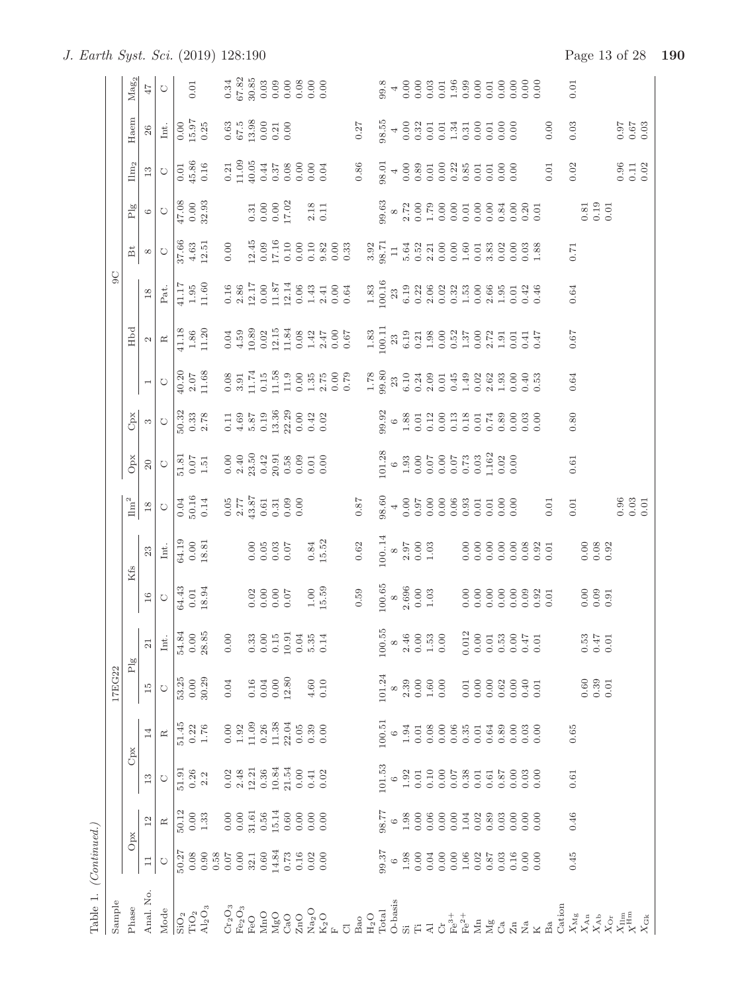| $\mathrm{Ma}\mathrm{g}_2$<br>$\begin{array}{c} 34 \\ 0.34 \\ 67.82 \\ 67.83 \\ 69.83 \\ 60.09 \\ 60.00 \\ 60.00 \\ 60.00 \\ 60.00 \\ 60.00 \\ 60.00 \\ 60.00 \\ 60.00 \\ 60.00 \\ 60.00 \\ 60.00 \\ 60.00 \\ 60.00 \\ 60.00 \\ 60.00 \\ 60.00 \\ 60.00 \\ 60.00 \\ 60.00 \\ 60.00 \\ 60.00 \\ 60.00 \\ 60.00 \\ 60.00 \\ 60.00 \\$<br>$0.01\,$<br>9.8<br>0.01<br>$47\,$<br>$\bigcirc$<br>$\label{eq:1} \operatorname{Haem}$<br>$\begin{array}{c} 0.00 \\ 15.97 \\ 0.25 \end{array}$<br>$\begin{array}{c} 0.63 \\ 67.5 \\ 13.98 \\ 0.00 \\ 0.31 \\ 0.00 \\ \end{array}$<br>98.55<br>$\begin{array}{c} 0.67 \\ 1.67 \\ 0.03 \end{array}$<br>0.27<br>$\begin{array}{c} 0.83 \\ 0.93 \\ 0.95 \\ 0.96 \\ 0.97 \\ 0.97 \\ 0.97 \\ 0.97 \\ 0.97 \\ 0.97 \\ 0.97 \\ 0.97 \\ 0.90 \\ 0.90 \\ 0.90 \\ 0.90 \\ 0.90 \\ 0.90 \\ 0.90 \\ 0.90 \\ 0.90 \\ 0.90 \\ 0.90 \\ 0.90 \\ 0.90 \\ 0.90 \\ 0.90 \\ 0.90 \\ 0.90 \\ 0.90 \\ 0.90 \\ 0.90 \\ 0.90 \\ 0.90 \\ 0.90 \\ 0.$<br>0.00<br>0.03<br>$26\,$<br>Int.<br>$\begin{array}{c} 0.21 \\ 11.09 \\ 40.05 \end{array}$<br>45.86<br>$0.16\,$<br>$0.44$<br>0.37<br>$0.08\,$<br>$38.01$<br>$4$<br>$0.00$<br>$0.89$<br>$0.01$<br>$\lim_{2}$<br>0.00<br>0.000<br>0.86<br>0.96<br>$\begin{array}{c} 0.11 \\ 0.02 \end{array}$<br>$0.3850$<br>$0.3850$<br>$0.0000$<br>0.02<br>0.01<br>0.01<br>13<br>$\circ$<br>$\begin{array}{c} 47.08 \\ 0.00 \\ 32.93 \end{array}$<br>$\begin{array}{c} 0.31 \\ 0.00 \\ 0.00 \\ 17.02 \end{array}$<br>99.63<br>$\begin{array}{c} 2.18 \\ 0.11 \end{array}$<br>0.19<br>$87.79$<br>0.00<br>1.79<br>0.00<br>0.00<br>$\begin{array}{c} 0.20 \\ 0.01 \end{array}$<br>0.00<br>0.81<br>0.01<br>Plg<br>0.84<br>$\circlearrowright$<br>$\circ$<br>$\begin{array}{c} 12.45 \\ 0.09 \\ 17.16 \\ 0.10 \end{array}$<br>$\begin{array}{c} 37.66 \\ 4.63 \\ 12.51 \end{array}$<br>0.00<br>0.00<br>$\begin{array}{c} 10 \\ 0.82 \\ 0.00 \\ 0.03 \end{array}$<br>$3.92$<br>$98.71$<br>$\begin{array}{c} 64 \\ 0.52 \\ 2.31 \\ 0.00 \\ 0.00 \\ 1.60 \end{array}$<br>$\begin{array}{c} 0.01 \\ 3.83 \end{array}$<br>$\begin{array}{c} 0.03 \\ 1.88 \end{array}$<br>0.71<br>0.02<br>0.00<br>Bt<br>$\Xi$<br>$\circlearrowright$<br>${}^{\circ}$<br>$\frac{1.83}{100.16}$<br>11.60<br>$41.17$<br>$\begin{array}{c} 0.16 \\ 2.86 \\ 12.17 \\ 0.00 \\ 11.87 \\ 12.14 \end{array}$<br>$1.95\,$<br>$\begin{array}{c} 0.06 \\ 1.43 \\ 2.41 \\ 0.00 \\ 0.64 \end{array}$<br>$\begin{array}{c} 19 \\ 0.21 \\ 0.30 \\ 0.00 \\ 0.01 \\ 0.53 \\ \end{array}$<br>$0.64\,$<br>$0.00\,$ $2.66$<br>$_{23}$<br>1.95<br>$0.42$<br>0.46<br>0.01<br>Pat.<br>$18\,$<br>Hbd<br>$1.83$<br>100.11<br>$\begin{array}{c} 1.86 \\ 11.20 \end{array}$<br>41.18<br>$\begin{array}{c} 0.04 \\ 4.59 \\ 10.89 \\ 0.02 \\ 12.15 \\ 11.84 \end{array}$<br>0.08<br>$\begin{array}{l} 2.47 \\ 0.00 \\ 0.67 \end{array}$<br>$6.19\,$<br>0.67<br>1.42<br>$\begin{array}{c} 0.21 \\ 1.98 \\ 0.00 \end{array}$<br>$\begin{array}{c} 0.52 \\ 1.37 \end{array}$<br>$0.00$<br>2.72<br>0.47<br>$23\,$<br>1.91<br>0.01<br>0.41<br>$\mathbf{r}$<br>$\mathbf{\Omega}$<br>$\begin{array}{l} 40.20 \\ 2.07 \\ 11.68 \end{array}$<br>$\begin{array}{c} 0.08 \\ 3.91 \\ 11.74 \\ 0.15 \\ 11.58 \end{array}$<br>$\frac{1.78}{99.80}$<br>$11.9\,$<br>$\begin{array}{c} 0.00 \\ 1.35 \\ 2.75 \\ 0.00 \\ 0.79 \end{array}$<br>0.64<br>$0.40$<br>$0.53$<br>$23\,$<br>$\circlearrowright$<br>$\overline{a}$<br>$\begin{array}{l} 50.32 \\ 0.33 \\ 2.78 \end{array}$<br>99.92<br>0.80<br>$\begin{array}{c} 111 \\ 0.4 \\ 0.5 \\ 0.19 \\ 0.36 \\ 0.03 \\ 0.00 \\ 0.02 \\ 0.03 \\ 0.00 \\ 0.00 \\ 0.00 \\ 0.00 \\ 0.00 \\ 0.00 \\ 0.00 \\ 0.00 \\ 0.00 \\ 0.00 \\ 0.00 \\ 0.00 \\ 0.00 \\ 0.00 \\ 0.00 \\ 0.00 \\ 0.00 \\ 0.00 \\ 0.00 \\ 0.00 \\ 0.00 \\ 0.00 \\ 0.00 \\ 0.00 \\ 0.00 \\ 0.00 \\ 0.00 \\$<br>Cpx<br>$\begin{array}{c} 6 \\ 1.88 \\ 0.01 \end{array}$<br>0.12<br>$\begin{array}{c} 0.00 \\ 0.13 \\ 0.18 \end{array}$<br>$0.01$<br>$0.74$<br>0.89<br>0.00<br>0.03<br>$\circlearrowright$<br>$\infty$<br>101.28<br>$\begin{array}{c} 0.00 \\ 2.40 \\ 23.50 \\ 0.42 \\ 20.91 \end{array}$<br>Opx<br>$\begin{array}{c} 0.58 \\ 0.01 \\ 0.01 \\ 0.00 \end{array}$<br>0.02<br>$0.61\,$<br>$\begin{array}{c} 51.81 \\ 0.07 \\ 1.51 \end{array}$<br>$20\,$<br>$\circ$<br>$\begin{array}{c} 0.04 \\ 50.16 \\ 0.14 \end{array}$<br>$\begin{array}{c} 0.05 \\ 2.77 \\ 43.87 \\ 0.61 \\ 0.09 \\ 0.00 \\ \end{array}$<br>$\mathrm{Ilm}^2$<br>$98.60$ $4$<br>$0.87\,$<br>$\begin{array}{c} 0.96 \\ 0.03 \\ 0.01 \end{array}$<br>$0.06$<br>$0.06$<br>$0.33$<br>0.000000<br>$\!0.01\!$<br>$\begin{array}{c} 0.01 \\ 0.01 \end{array}$<br>0.01<br>$^{18}$<br>$\circlearrowright$<br>10014<br>64.19<br>$0.84$<br>15.52<br>$\begin{array}{c} 0.00 \\ 18.81 \end{array}$<br>$0.62\,$<br>$80.97$<br>0.00 1.03<br>$0.08$<br>$0.92$<br>$0.00$<br>0.00<br>$\begin{array}{c} 0.08 \\ 0.92 \\ 0.01 \end{array}$<br>0.00<br>Int.<br>23<br>Kfs<br>$\begin{array}{r} 100.65 \\ 8 \\ 2.696 \\ 0.00 \\ 1.03 \end{array}$<br>64.43<br>18.94<br>$1.00$<br>$15.59$<br>0.59<br>$0.01\,$<br>$0.02$<br>$0.00$<br>$0.00$<br>$0.07\,$<br>$\begin{array}{c} 0.00 \\ 0.00 \\ 0.00 \end{array}$<br>$0.00$<br>0.00<br>0.09<br>$0.92$<br>$0.01$<br>$16\,$<br>$\circlearrowright$<br>28.85<br>100.55<br>0.012<br>54.84<br>$0.00$<br>$0.00$<br>$1.53\,$<br>$0.01\,$<br>$0.33$<br>$0.00$<br>0.04<br>$2.46$<br>$0.00$<br>$0.15\,$<br>10.91<br>0.00<br>5.35<br>0.14<br>$0.00$<br>$\,0.53$<br>$0.00$<br>747<br>0.47<br>$0.53\,$<br>$0.01\,$<br>0.01<br>Int.<br>$\overline{21}$<br>$_{\rm Plg}$<br>101.24<br>30.29<br>53.25<br>12.80<br>$0.00$<br>$0.00$<br>0.10<br>$0.39$<br>$0.01$<br>$0.04\,$<br>$0.04\,$<br>$2.39\,$<br>$0.60\,$<br>0.16<br>0.00<br>$1.60\,$<br>0.00<br>4.60<br>0.00<br>0.00<br>0.01<br>0.62<br>0.00<br>0.40<br>0.01<br>15<br>$\circ$<br>100.51<br>51.45<br>11.09<br>11.38<br>22.04<br>$0.39$<br>$0.00$<br>0.65<br>$1.76\,$<br>0.26<br>$0.05\,$<br>0.22<br>$1.92\,$<br>1.94<br>0.08<br>0.00<br>0.06<br>0.35<br>0.00<br>0.64<br>0.01<br>0.01<br>0.89<br>0.03<br>0.00<br>0.00<br>14<br>$\approx$<br>Cpx<br>101.53<br>12.21<br>10.84<br>21.54<br>0.61<br>51.91<br>$0.26\,$<br>$\,0.36$<br>0.02<br>$1.92\,$<br>2.48<br>0.00<br>0.10<br>0.38<br>0.41<br>0.00<br>0.00<br>0.02<br>0.01<br>0.07<br>0.01<br>0.61<br>0.87<br>0.00<br>0.03<br>2.2<br>13<br>$\circ$<br>50.12<br>15.14<br>98.77<br>$1.98\,$<br>0.46<br>$\begin{array}{c} 0.00 \\ 0.00 \\ 31.61 \end{array}$<br>$0.56\,$<br>$0.00$<br>$1.33$<br>0.02<br>0.89<br>$0.60\,$<br>0.00<br>0.00<br>0.00<br>0.00<br>0.06<br>0.00<br>$0.00$<br>1.04<br>0.03<br>0.00<br>0.00<br>0.00<br>12<br>$\circ$<br>$\approx$<br>Opx<br>50.27<br>14.84<br>99.37<br>$0.60\,$<br>0.45<br>$0.08\,$<br>0.90<br>0.58<br>0.00<br>$1.98\,$<br>$0.07$<br>32.1<br>$0.73\,$<br>0.16<br>0.00<br>$0.04\,$<br>0.00<br>1.06<br>$0.02\,$<br>$0.87$<br>0.16<br>0.02<br>0.00<br>0.00<br>0.03<br>0.00<br>0.00<br>$\circ$<br>$\Box$<br>$\circ$<br>Anal. No.<br>O-basis<br>Cation<br>$\rm Cr_2O_3$<br>Phase<br>$\text{Al}_2\text{O}_3$<br>$\rm Fe_2O_3$<br>Mode<br>$\operatorname{\mathsf{Total}}$<br>$_{\rm Na_2O}$<br>$\rm TiO_2$<br>$_{\rm{MnO}}$<br>MgO<br>$\rm SiO_2$<br>$_{\rm ZnO}$<br>$X_{\rm lim}^{\rm lim}$<br>CaO<br>$\rm K_2O$<br>$X_{\rm Mg}$<br>FeO<br>$X_{\rm An}$<br>$\rm H_2O$<br>$\mathrm{Fe}^{3+}$<br>$X_{\rm Ab}$<br>$\rm Fe^{2+}$<br>$X_{\rm Or}$<br>$X_{\rm GK}$<br>$_{\rm Bao}$<br>$_{\rm Mn}$<br>$\rm\thinspace Mg$<br>$C^a$<br>$\rm \stackrel{a}{\Sigma}$<br>Ba<br>$_{\rm Zn}$<br>$\ddot{\circ}$<br>$\overline{C}$<br>$\ddot{\tilde{\omega}}$<br>$\widetilde{\Box}$<br>$\Xi$<br>K<br>$\mathbb{E}$ | Sample |  |  | 17EG22 |  |  |  |  | $\overline{5}$ |  |  |  |
|-----------------------------------------------------------------------------------------------------------------------------------------------------------------------------------------------------------------------------------------------------------------------------------------------------------------------------------------------------------------------------------------------------------------------------------------------------------------------------------------------------------------------------------------------------------------------------------------------------------------------------------------------------------------------------------------------------------------------------------------------------------------------------------------------------------------------------------------------------------------------------------------------------------------------------------------------------------------------------------------------------------------------------------------------------------------------------------------------------------------------------------------------------------------------------------------------------------------------------------------------------------------------------------------------------------------------------------------------------------------------------------------------------------------------------------------------------------------------------------------------------------------------------------------------------------------------------------------------------------------------------------------------------------------------------------------------------------------------------------------------------------------------------------------------------------------------------------------------------------------------------------------------------------------------------------------------------------------------------------------------------------------------------------------------------------------------------------------------------------------------------------------------------------------------------------------------------------------------------------------------------------------------------------------------------------------------------------------------------------------------------------------------------------------------------------------------------------------------------------------------------------------------------------------------------------------------------------------------------------------------------------------------------------------------------------------------------------------------------------------------------------------------------------------------------------------------------------------------------------------------------------------------------------------------------------------------------------------------------------------------------------------------------------------------------------------------------------------------------------------------------------------------------------------------------------------------------------------------------------------------------------------------------------------------------------------------------------------------------------------------------------------------------------------------------------------------------------------------------------------------------------------------------------------------------------------------------------------------------------------------------------------------------------------------------------------------------------------------------------------------------------------------------------------------------------------------------------------------------------------------------------------------------------------------------------------------------------------------------------------------------------------------------------------------------------------------------------------------------------------------------------------------------------------------------------------------------------------------------------------------------------------------------------------------------------------------------------------------------------------------------------------------------------------------------------------------------------------------------------------------------------------------------------------------------------------------------------------------------------------------------------------------------------------------------------------------------------------------------------------------------------------------------------------------------------------------------------------------------------------------------------------------------------------------------------------------------------------------------------------------------------------------------------------------------------------------------------------------------------------------------------------------------------------------------------------------------------------------------------------------------------------------------------------------------------------------------------------------------------------------------------------------------------------------------------------------------------------------------------------------------------------------------------------------------------------------------------------------------------------------------------------------------------------------------------------------------------------------------------------------------------------------------------------------------------------------------------------------------------------------------------------------------------------------------------------------------------------------------------------------------------------------------------------------------------------------------------------------------------------------------------------------------------------------------------------------------------------------------------------------------------------------------------------------------------------------------------------------------------------------------------------------------------------------------------------------------------------------------------------------------------------------------------------------------------------------------------------------------------------------------------------------------------------------------------------------------------------------------------------------------------------------------------------------------------------------------------------------------------------------------------------------------------------------------------------------------------------------------------------------------------------------------------------------------------------------------------------------------------------------------------------------------------------------------------------------------------------------------------------------------------------------------------------------------------------------------------------------------------------------------------------------------------------------------------------------------------------------------------------------------------------------------------------------------------------------------------------------------|--------|--|--|--------|--|--|--|--|----------------|--|--|--|
|                                                                                                                                                                                                                                                                                                                                                                                                                                                                                                                                                                                                                                                                                                                                                                                                                                                                                                                                                                                                                                                                                                                                                                                                                                                                                                                                                                                                                                                                                                                                                                                                                                                                                                                                                                                                                                                                                                                                                                                                                                                                                                                                                                                                                                                                                                                                                                                                                                                                                                                                                                                                                                                                                                                                                                                                                                                                                                                                                                                                                                                                                                                                                                                                                                                                                                                                                                                                                                                                                                                                                                                                                                                                                                                                                                                                                                                                                                                                                                                                                                                                                                                                                                                                                                                                                                                                                                                                                                                                                                                                                                                                                                                                                                                                                                                                                                                                                                                                                                                                                                                                                                                                                                                                                                                                                                                                                                                                                                                                                                                                                                                                                                                                                                                                                                                                                                                                                                                                                                                                                                                                                                                                                                                                                                                                                                                                                                                                                                                                                                                                                                                                                                                                                                                                                                                                                                                                                                                                                                                                                                                                                                                                                                                                                                                                                                                                                                                                                                                                                                                                                                                                     |        |  |  |        |  |  |  |  |                |  |  |  |
|                                                                                                                                                                                                                                                                                                                                                                                                                                                                                                                                                                                                                                                                                                                                                                                                                                                                                                                                                                                                                                                                                                                                                                                                                                                                                                                                                                                                                                                                                                                                                                                                                                                                                                                                                                                                                                                                                                                                                                                                                                                                                                                                                                                                                                                                                                                                                                                                                                                                                                                                                                                                                                                                                                                                                                                                                                                                                                                                                                                                                                                                                                                                                                                                                                                                                                                                                                                                                                                                                                                                                                                                                                                                                                                                                                                                                                                                                                                                                                                                                                                                                                                                                                                                                                                                                                                                                                                                                                                                                                                                                                                                                                                                                                                                                                                                                                                                                                                                                                                                                                                                                                                                                                                                                                                                                                                                                                                                                                                                                                                                                                                                                                                                                                                                                                                                                                                                                                                                                                                                                                                                                                                                                                                                                                                                                                                                                                                                                                                                                                                                                                                                                                                                                                                                                                                                                                                                                                                                                                                                                                                                                                                                                                                                                                                                                                                                                                                                                                                                                                                                                                                                     |        |  |  |        |  |  |  |  |                |  |  |  |
|                                                                                                                                                                                                                                                                                                                                                                                                                                                                                                                                                                                                                                                                                                                                                                                                                                                                                                                                                                                                                                                                                                                                                                                                                                                                                                                                                                                                                                                                                                                                                                                                                                                                                                                                                                                                                                                                                                                                                                                                                                                                                                                                                                                                                                                                                                                                                                                                                                                                                                                                                                                                                                                                                                                                                                                                                                                                                                                                                                                                                                                                                                                                                                                                                                                                                                                                                                                                                                                                                                                                                                                                                                                                                                                                                                                                                                                                                                                                                                                                                                                                                                                                                                                                                                                                                                                                                                                                                                                                                                                                                                                                                                                                                                                                                                                                                                                                                                                                                                                                                                                                                                                                                                                                                                                                                                                                                                                                                                                                                                                                                                                                                                                                                                                                                                                                                                                                                                                                                                                                                                                                                                                                                                                                                                                                                                                                                                                                                                                                                                                                                                                                                                                                                                                                                                                                                                                                                                                                                                                                                                                                                                                                                                                                                                                                                                                                                                                                                                                                                                                                                                                                     |        |  |  |        |  |  |  |  |                |  |  |  |
|                                                                                                                                                                                                                                                                                                                                                                                                                                                                                                                                                                                                                                                                                                                                                                                                                                                                                                                                                                                                                                                                                                                                                                                                                                                                                                                                                                                                                                                                                                                                                                                                                                                                                                                                                                                                                                                                                                                                                                                                                                                                                                                                                                                                                                                                                                                                                                                                                                                                                                                                                                                                                                                                                                                                                                                                                                                                                                                                                                                                                                                                                                                                                                                                                                                                                                                                                                                                                                                                                                                                                                                                                                                                                                                                                                                                                                                                                                                                                                                                                                                                                                                                                                                                                                                                                                                                                                                                                                                                                                                                                                                                                                                                                                                                                                                                                                                                                                                                                                                                                                                                                                                                                                                                                                                                                                                                                                                                                                                                                                                                                                                                                                                                                                                                                                                                                                                                                                                                                                                                                                                                                                                                                                                                                                                                                                                                                                                                                                                                                                                                                                                                                                                                                                                                                                                                                                                                                                                                                                                                                                                                                                                                                                                                                                                                                                                                                                                                                                                                                                                                                                                                     |        |  |  |        |  |  |  |  |                |  |  |  |
|                                                                                                                                                                                                                                                                                                                                                                                                                                                                                                                                                                                                                                                                                                                                                                                                                                                                                                                                                                                                                                                                                                                                                                                                                                                                                                                                                                                                                                                                                                                                                                                                                                                                                                                                                                                                                                                                                                                                                                                                                                                                                                                                                                                                                                                                                                                                                                                                                                                                                                                                                                                                                                                                                                                                                                                                                                                                                                                                                                                                                                                                                                                                                                                                                                                                                                                                                                                                                                                                                                                                                                                                                                                                                                                                                                                                                                                                                                                                                                                                                                                                                                                                                                                                                                                                                                                                                                                                                                                                                                                                                                                                                                                                                                                                                                                                                                                                                                                                                                                                                                                                                                                                                                                                                                                                                                                                                                                                                                                                                                                                                                                                                                                                                                                                                                                                                                                                                                                                                                                                                                                                                                                                                                                                                                                                                                                                                                                                                                                                                                                                                                                                                                                                                                                                                                                                                                                                                                                                                                                                                                                                                                                                                                                                                                                                                                                                                                                                                                                                                                                                                                                                     |        |  |  |        |  |  |  |  |                |  |  |  |
|                                                                                                                                                                                                                                                                                                                                                                                                                                                                                                                                                                                                                                                                                                                                                                                                                                                                                                                                                                                                                                                                                                                                                                                                                                                                                                                                                                                                                                                                                                                                                                                                                                                                                                                                                                                                                                                                                                                                                                                                                                                                                                                                                                                                                                                                                                                                                                                                                                                                                                                                                                                                                                                                                                                                                                                                                                                                                                                                                                                                                                                                                                                                                                                                                                                                                                                                                                                                                                                                                                                                                                                                                                                                                                                                                                                                                                                                                                                                                                                                                                                                                                                                                                                                                                                                                                                                                                                                                                                                                                                                                                                                                                                                                                                                                                                                                                                                                                                                                                                                                                                                                                                                                                                                                                                                                                                                                                                                                                                                                                                                                                                                                                                                                                                                                                                                                                                                                                                                                                                                                                                                                                                                                                                                                                                                                                                                                                                                                                                                                                                                                                                                                                                                                                                                                                                                                                                                                                                                                                                                                                                                                                                                                                                                                                                                                                                                                                                                                                                                                                                                                                                                     |        |  |  |        |  |  |  |  |                |  |  |  |
|                                                                                                                                                                                                                                                                                                                                                                                                                                                                                                                                                                                                                                                                                                                                                                                                                                                                                                                                                                                                                                                                                                                                                                                                                                                                                                                                                                                                                                                                                                                                                                                                                                                                                                                                                                                                                                                                                                                                                                                                                                                                                                                                                                                                                                                                                                                                                                                                                                                                                                                                                                                                                                                                                                                                                                                                                                                                                                                                                                                                                                                                                                                                                                                                                                                                                                                                                                                                                                                                                                                                                                                                                                                                                                                                                                                                                                                                                                                                                                                                                                                                                                                                                                                                                                                                                                                                                                                                                                                                                                                                                                                                                                                                                                                                                                                                                                                                                                                                                                                                                                                                                                                                                                                                                                                                                                                                                                                                                                                                                                                                                                                                                                                                                                                                                                                                                                                                                                                                                                                                                                                                                                                                                                                                                                                                                                                                                                                                                                                                                                                                                                                                                                                                                                                                                                                                                                                                                                                                                                                                                                                                                                                                                                                                                                                                                                                                                                                                                                                                                                                                                                                                     |        |  |  |        |  |  |  |  |                |  |  |  |
|                                                                                                                                                                                                                                                                                                                                                                                                                                                                                                                                                                                                                                                                                                                                                                                                                                                                                                                                                                                                                                                                                                                                                                                                                                                                                                                                                                                                                                                                                                                                                                                                                                                                                                                                                                                                                                                                                                                                                                                                                                                                                                                                                                                                                                                                                                                                                                                                                                                                                                                                                                                                                                                                                                                                                                                                                                                                                                                                                                                                                                                                                                                                                                                                                                                                                                                                                                                                                                                                                                                                                                                                                                                                                                                                                                                                                                                                                                                                                                                                                                                                                                                                                                                                                                                                                                                                                                                                                                                                                                                                                                                                                                                                                                                                                                                                                                                                                                                                                                                                                                                                                                                                                                                                                                                                                                                                                                                                                                                                                                                                                                                                                                                                                                                                                                                                                                                                                                                                                                                                                                                                                                                                                                                                                                                                                                                                                                                                                                                                                                                                                                                                                                                                                                                                                                                                                                                                                                                                                                                                                                                                                                                                                                                                                                                                                                                                                                                                                                                                                                                                                                                                     |        |  |  |        |  |  |  |  |                |  |  |  |
|                                                                                                                                                                                                                                                                                                                                                                                                                                                                                                                                                                                                                                                                                                                                                                                                                                                                                                                                                                                                                                                                                                                                                                                                                                                                                                                                                                                                                                                                                                                                                                                                                                                                                                                                                                                                                                                                                                                                                                                                                                                                                                                                                                                                                                                                                                                                                                                                                                                                                                                                                                                                                                                                                                                                                                                                                                                                                                                                                                                                                                                                                                                                                                                                                                                                                                                                                                                                                                                                                                                                                                                                                                                                                                                                                                                                                                                                                                                                                                                                                                                                                                                                                                                                                                                                                                                                                                                                                                                                                                                                                                                                                                                                                                                                                                                                                                                                                                                                                                                                                                                                                                                                                                                                                                                                                                                                                                                                                                                                                                                                                                                                                                                                                                                                                                                                                                                                                                                                                                                                                                                                                                                                                                                                                                                                                                                                                                                                                                                                                                                                                                                                                                                                                                                                                                                                                                                                                                                                                                                                                                                                                                                                                                                                                                                                                                                                                                                                                                                                                                                                                                                                     |        |  |  |        |  |  |  |  |                |  |  |  |
|                                                                                                                                                                                                                                                                                                                                                                                                                                                                                                                                                                                                                                                                                                                                                                                                                                                                                                                                                                                                                                                                                                                                                                                                                                                                                                                                                                                                                                                                                                                                                                                                                                                                                                                                                                                                                                                                                                                                                                                                                                                                                                                                                                                                                                                                                                                                                                                                                                                                                                                                                                                                                                                                                                                                                                                                                                                                                                                                                                                                                                                                                                                                                                                                                                                                                                                                                                                                                                                                                                                                                                                                                                                                                                                                                                                                                                                                                                                                                                                                                                                                                                                                                                                                                                                                                                                                                                                                                                                                                                                                                                                                                                                                                                                                                                                                                                                                                                                                                                                                                                                                                                                                                                                                                                                                                                                                                                                                                                                                                                                                                                                                                                                                                                                                                                                                                                                                                                                                                                                                                                                                                                                                                                                                                                                                                                                                                                                                                                                                                                                                                                                                                                                                                                                                                                                                                                                                                                                                                                                                                                                                                                                                                                                                                                                                                                                                                                                                                                                                                                                                                                                                     |        |  |  |        |  |  |  |  |                |  |  |  |
|                                                                                                                                                                                                                                                                                                                                                                                                                                                                                                                                                                                                                                                                                                                                                                                                                                                                                                                                                                                                                                                                                                                                                                                                                                                                                                                                                                                                                                                                                                                                                                                                                                                                                                                                                                                                                                                                                                                                                                                                                                                                                                                                                                                                                                                                                                                                                                                                                                                                                                                                                                                                                                                                                                                                                                                                                                                                                                                                                                                                                                                                                                                                                                                                                                                                                                                                                                                                                                                                                                                                                                                                                                                                                                                                                                                                                                                                                                                                                                                                                                                                                                                                                                                                                                                                                                                                                                                                                                                                                                                                                                                                                                                                                                                                                                                                                                                                                                                                                                                                                                                                                                                                                                                                                                                                                                                                                                                                                                                                                                                                                                                                                                                                                                                                                                                                                                                                                                                                                                                                                                                                                                                                                                                                                                                                                                                                                                                                                                                                                                                                                                                                                                                                                                                                                                                                                                                                                                                                                                                                                                                                                                                                                                                                                                                                                                                                                                                                                                                                                                                                                                                                     |        |  |  |        |  |  |  |  |                |  |  |  |
|                                                                                                                                                                                                                                                                                                                                                                                                                                                                                                                                                                                                                                                                                                                                                                                                                                                                                                                                                                                                                                                                                                                                                                                                                                                                                                                                                                                                                                                                                                                                                                                                                                                                                                                                                                                                                                                                                                                                                                                                                                                                                                                                                                                                                                                                                                                                                                                                                                                                                                                                                                                                                                                                                                                                                                                                                                                                                                                                                                                                                                                                                                                                                                                                                                                                                                                                                                                                                                                                                                                                                                                                                                                                                                                                                                                                                                                                                                                                                                                                                                                                                                                                                                                                                                                                                                                                                                                                                                                                                                                                                                                                                                                                                                                                                                                                                                                                                                                                                                                                                                                                                                                                                                                                                                                                                                                                                                                                                                                                                                                                                                                                                                                                                                                                                                                                                                                                                                                                                                                                                                                                                                                                                                                                                                                                                                                                                                                                                                                                                                                                                                                                                                                                                                                                                                                                                                                                                                                                                                                                                                                                                                                                                                                                                                                                                                                                                                                                                                                                                                                                                                                                     |        |  |  |        |  |  |  |  |                |  |  |  |
|                                                                                                                                                                                                                                                                                                                                                                                                                                                                                                                                                                                                                                                                                                                                                                                                                                                                                                                                                                                                                                                                                                                                                                                                                                                                                                                                                                                                                                                                                                                                                                                                                                                                                                                                                                                                                                                                                                                                                                                                                                                                                                                                                                                                                                                                                                                                                                                                                                                                                                                                                                                                                                                                                                                                                                                                                                                                                                                                                                                                                                                                                                                                                                                                                                                                                                                                                                                                                                                                                                                                                                                                                                                                                                                                                                                                                                                                                                                                                                                                                                                                                                                                                                                                                                                                                                                                                                                                                                                                                                                                                                                                                                                                                                                                                                                                                                                                                                                                                                                                                                                                                                                                                                                                                                                                                                                                                                                                                                                                                                                                                                                                                                                                                                                                                                                                                                                                                                                                                                                                                                                                                                                                                                                                                                                                                                                                                                                                                                                                                                                                                                                                                                                                                                                                                                                                                                                                                                                                                                                                                                                                                                                                                                                                                                                                                                                                                                                                                                                                                                                                                                                                     |        |  |  |        |  |  |  |  |                |  |  |  |
|                                                                                                                                                                                                                                                                                                                                                                                                                                                                                                                                                                                                                                                                                                                                                                                                                                                                                                                                                                                                                                                                                                                                                                                                                                                                                                                                                                                                                                                                                                                                                                                                                                                                                                                                                                                                                                                                                                                                                                                                                                                                                                                                                                                                                                                                                                                                                                                                                                                                                                                                                                                                                                                                                                                                                                                                                                                                                                                                                                                                                                                                                                                                                                                                                                                                                                                                                                                                                                                                                                                                                                                                                                                                                                                                                                                                                                                                                                                                                                                                                                                                                                                                                                                                                                                                                                                                                                                                                                                                                                                                                                                                                                                                                                                                                                                                                                                                                                                                                                                                                                                                                                                                                                                                                                                                                                                                                                                                                                                                                                                                                                                                                                                                                                                                                                                                                                                                                                                                                                                                                                                                                                                                                                                                                                                                                                                                                                                                                                                                                                                                                                                                                                                                                                                                                                                                                                                                                                                                                                                                                                                                                                                                                                                                                                                                                                                                                                                                                                                                                                                                                                                                     |        |  |  |        |  |  |  |  |                |  |  |  |
|                                                                                                                                                                                                                                                                                                                                                                                                                                                                                                                                                                                                                                                                                                                                                                                                                                                                                                                                                                                                                                                                                                                                                                                                                                                                                                                                                                                                                                                                                                                                                                                                                                                                                                                                                                                                                                                                                                                                                                                                                                                                                                                                                                                                                                                                                                                                                                                                                                                                                                                                                                                                                                                                                                                                                                                                                                                                                                                                                                                                                                                                                                                                                                                                                                                                                                                                                                                                                                                                                                                                                                                                                                                                                                                                                                                                                                                                                                                                                                                                                                                                                                                                                                                                                                                                                                                                                                                                                                                                                                                                                                                                                                                                                                                                                                                                                                                                                                                                                                                                                                                                                                                                                                                                                                                                                                                                                                                                                                                                                                                                                                                                                                                                                                                                                                                                                                                                                                                                                                                                                                                                                                                                                                                                                                                                                                                                                                                                                                                                                                                                                                                                                                                                                                                                                                                                                                                                                                                                                                                                                                                                                                                                                                                                                                                                                                                                                                                                                                                                                                                                                                                                     |        |  |  |        |  |  |  |  |                |  |  |  |
|                                                                                                                                                                                                                                                                                                                                                                                                                                                                                                                                                                                                                                                                                                                                                                                                                                                                                                                                                                                                                                                                                                                                                                                                                                                                                                                                                                                                                                                                                                                                                                                                                                                                                                                                                                                                                                                                                                                                                                                                                                                                                                                                                                                                                                                                                                                                                                                                                                                                                                                                                                                                                                                                                                                                                                                                                                                                                                                                                                                                                                                                                                                                                                                                                                                                                                                                                                                                                                                                                                                                                                                                                                                                                                                                                                                                                                                                                                                                                                                                                                                                                                                                                                                                                                                                                                                                                                                                                                                                                                                                                                                                                                                                                                                                                                                                                                                                                                                                                                                                                                                                                                                                                                                                                                                                                                                                                                                                                                                                                                                                                                                                                                                                                                                                                                                                                                                                                                                                                                                                                                                                                                                                                                                                                                                                                                                                                                                                                                                                                                                                                                                                                                                                                                                                                                                                                                                                                                                                                                                                                                                                                                                                                                                                                                                                                                                                                                                                                                                                                                                                                                                                     |        |  |  |        |  |  |  |  |                |  |  |  |
|                                                                                                                                                                                                                                                                                                                                                                                                                                                                                                                                                                                                                                                                                                                                                                                                                                                                                                                                                                                                                                                                                                                                                                                                                                                                                                                                                                                                                                                                                                                                                                                                                                                                                                                                                                                                                                                                                                                                                                                                                                                                                                                                                                                                                                                                                                                                                                                                                                                                                                                                                                                                                                                                                                                                                                                                                                                                                                                                                                                                                                                                                                                                                                                                                                                                                                                                                                                                                                                                                                                                                                                                                                                                                                                                                                                                                                                                                                                                                                                                                                                                                                                                                                                                                                                                                                                                                                                                                                                                                                                                                                                                                                                                                                                                                                                                                                                                                                                                                                                                                                                                                                                                                                                                                                                                                                                                                                                                                                                                                                                                                                                                                                                                                                                                                                                                                                                                                                                                                                                                                                                                                                                                                                                                                                                                                                                                                                                                                                                                                                                                                                                                                                                                                                                                                                                                                                                                                                                                                                                                                                                                                                                                                                                                                                                                                                                                                                                                                                                                                                                                                                                                     |        |  |  |        |  |  |  |  |                |  |  |  |
|                                                                                                                                                                                                                                                                                                                                                                                                                                                                                                                                                                                                                                                                                                                                                                                                                                                                                                                                                                                                                                                                                                                                                                                                                                                                                                                                                                                                                                                                                                                                                                                                                                                                                                                                                                                                                                                                                                                                                                                                                                                                                                                                                                                                                                                                                                                                                                                                                                                                                                                                                                                                                                                                                                                                                                                                                                                                                                                                                                                                                                                                                                                                                                                                                                                                                                                                                                                                                                                                                                                                                                                                                                                                                                                                                                                                                                                                                                                                                                                                                                                                                                                                                                                                                                                                                                                                                                                                                                                                                                                                                                                                                                                                                                                                                                                                                                                                                                                                                                                                                                                                                                                                                                                                                                                                                                                                                                                                                                                                                                                                                                                                                                                                                                                                                                                                                                                                                                                                                                                                                                                                                                                                                                                                                                                                                                                                                                                                                                                                                                                                                                                                                                                                                                                                                                                                                                                                                                                                                                                                                                                                                                                                                                                                                                                                                                                                                                                                                                                                                                                                                                                                     |        |  |  |        |  |  |  |  |                |  |  |  |
|                                                                                                                                                                                                                                                                                                                                                                                                                                                                                                                                                                                                                                                                                                                                                                                                                                                                                                                                                                                                                                                                                                                                                                                                                                                                                                                                                                                                                                                                                                                                                                                                                                                                                                                                                                                                                                                                                                                                                                                                                                                                                                                                                                                                                                                                                                                                                                                                                                                                                                                                                                                                                                                                                                                                                                                                                                                                                                                                                                                                                                                                                                                                                                                                                                                                                                                                                                                                                                                                                                                                                                                                                                                                                                                                                                                                                                                                                                                                                                                                                                                                                                                                                                                                                                                                                                                                                                                                                                                                                                                                                                                                                                                                                                                                                                                                                                                                                                                                                                                                                                                                                                                                                                                                                                                                                                                                                                                                                                                                                                                                                                                                                                                                                                                                                                                                                                                                                                                                                                                                                                                                                                                                                                                                                                                                                                                                                                                                                                                                                                                                                                                                                                                                                                                                                                                                                                                                                                                                                                                                                                                                                                                                                                                                                                                                                                                                                                                                                                                                                                                                                                                                     |        |  |  |        |  |  |  |  |                |  |  |  |
|                                                                                                                                                                                                                                                                                                                                                                                                                                                                                                                                                                                                                                                                                                                                                                                                                                                                                                                                                                                                                                                                                                                                                                                                                                                                                                                                                                                                                                                                                                                                                                                                                                                                                                                                                                                                                                                                                                                                                                                                                                                                                                                                                                                                                                                                                                                                                                                                                                                                                                                                                                                                                                                                                                                                                                                                                                                                                                                                                                                                                                                                                                                                                                                                                                                                                                                                                                                                                                                                                                                                                                                                                                                                                                                                                                                                                                                                                                                                                                                                                                                                                                                                                                                                                                                                                                                                                                                                                                                                                                                                                                                                                                                                                                                                                                                                                                                                                                                                                                                                                                                                                                                                                                                                                                                                                                                                                                                                                                                                                                                                                                                                                                                                                                                                                                                                                                                                                                                                                                                                                                                                                                                                                                                                                                                                                                                                                                                                                                                                                                                                                                                                                                                                                                                                                                                                                                                                                                                                                                                                                                                                                                                                                                                                                                                                                                                                                                                                                                                                                                                                                                                                     |        |  |  |        |  |  |  |  |                |  |  |  |
|                                                                                                                                                                                                                                                                                                                                                                                                                                                                                                                                                                                                                                                                                                                                                                                                                                                                                                                                                                                                                                                                                                                                                                                                                                                                                                                                                                                                                                                                                                                                                                                                                                                                                                                                                                                                                                                                                                                                                                                                                                                                                                                                                                                                                                                                                                                                                                                                                                                                                                                                                                                                                                                                                                                                                                                                                                                                                                                                                                                                                                                                                                                                                                                                                                                                                                                                                                                                                                                                                                                                                                                                                                                                                                                                                                                                                                                                                                                                                                                                                                                                                                                                                                                                                                                                                                                                                                                                                                                                                                                                                                                                                                                                                                                                                                                                                                                                                                                                                                                                                                                                                                                                                                                                                                                                                                                                                                                                                                                                                                                                                                                                                                                                                                                                                                                                                                                                                                                                                                                                                                                                                                                                                                                                                                                                                                                                                                                                                                                                                                                                                                                                                                                                                                                                                                                                                                                                                                                                                                                                                                                                                                                                                                                                                                                                                                                                                                                                                                                                                                                                                                                                     |        |  |  |        |  |  |  |  |                |  |  |  |
|                                                                                                                                                                                                                                                                                                                                                                                                                                                                                                                                                                                                                                                                                                                                                                                                                                                                                                                                                                                                                                                                                                                                                                                                                                                                                                                                                                                                                                                                                                                                                                                                                                                                                                                                                                                                                                                                                                                                                                                                                                                                                                                                                                                                                                                                                                                                                                                                                                                                                                                                                                                                                                                                                                                                                                                                                                                                                                                                                                                                                                                                                                                                                                                                                                                                                                                                                                                                                                                                                                                                                                                                                                                                                                                                                                                                                                                                                                                                                                                                                                                                                                                                                                                                                                                                                                                                                                                                                                                                                                                                                                                                                                                                                                                                                                                                                                                                                                                                                                                                                                                                                                                                                                                                                                                                                                                                                                                                                                                                                                                                                                                                                                                                                                                                                                                                                                                                                                                                                                                                                                                                                                                                                                                                                                                                                                                                                                                                                                                                                                                                                                                                                                                                                                                                                                                                                                                                                                                                                                                                                                                                                                                                                                                                                                                                                                                                                                                                                                                                                                                                                                                                     |        |  |  |        |  |  |  |  |                |  |  |  |
|                                                                                                                                                                                                                                                                                                                                                                                                                                                                                                                                                                                                                                                                                                                                                                                                                                                                                                                                                                                                                                                                                                                                                                                                                                                                                                                                                                                                                                                                                                                                                                                                                                                                                                                                                                                                                                                                                                                                                                                                                                                                                                                                                                                                                                                                                                                                                                                                                                                                                                                                                                                                                                                                                                                                                                                                                                                                                                                                                                                                                                                                                                                                                                                                                                                                                                                                                                                                                                                                                                                                                                                                                                                                                                                                                                                                                                                                                                                                                                                                                                                                                                                                                                                                                                                                                                                                                                                                                                                                                                                                                                                                                                                                                                                                                                                                                                                                                                                                                                                                                                                                                                                                                                                                                                                                                                                                                                                                                                                                                                                                                                                                                                                                                                                                                                                                                                                                                                                                                                                                                                                                                                                                                                                                                                                                                                                                                                                                                                                                                                                                                                                                                                                                                                                                                                                                                                                                                                                                                                                                                                                                                                                                                                                                                                                                                                                                                                                                                                                                                                                                                                                                     |        |  |  |        |  |  |  |  |                |  |  |  |
|                                                                                                                                                                                                                                                                                                                                                                                                                                                                                                                                                                                                                                                                                                                                                                                                                                                                                                                                                                                                                                                                                                                                                                                                                                                                                                                                                                                                                                                                                                                                                                                                                                                                                                                                                                                                                                                                                                                                                                                                                                                                                                                                                                                                                                                                                                                                                                                                                                                                                                                                                                                                                                                                                                                                                                                                                                                                                                                                                                                                                                                                                                                                                                                                                                                                                                                                                                                                                                                                                                                                                                                                                                                                                                                                                                                                                                                                                                                                                                                                                                                                                                                                                                                                                                                                                                                                                                                                                                                                                                                                                                                                                                                                                                                                                                                                                                                                                                                                                                                                                                                                                                                                                                                                                                                                                                                                                                                                                                                                                                                                                                                                                                                                                                                                                                                                                                                                                                                                                                                                                                                                                                                                                                                                                                                                                                                                                                                                                                                                                                                                                                                                                                                                                                                                                                                                                                                                                                                                                                                                                                                                                                                                                                                                                                                                                                                                                                                                                                                                                                                                                                                                     |        |  |  |        |  |  |  |  |                |  |  |  |
|                                                                                                                                                                                                                                                                                                                                                                                                                                                                                                                                                                                                                                                                                                                                                                                                                                                                                                                                                                                                                                                                                                                                                                                                                                                                                                                                                                                                                                                                                                                                                                                                                                                                                                                                                                                                                                                                                                                                                                                                                                                                                                                                                                                                                                                                                                                                                                                                                                                                                                                                                                                                                                                                                                                                                                                                                                                                                                                                                                                                                                                                                                                                                                                                                                                                                                                                                                                                                                                                                                                                                                                                                                                                                                                                                                                                                                                                                                                                                                                                                                                                                                                                                                                                                                                                                                                                                                                                                                                                                                                                                                                                                                                                                                                                                                                                                                                                                                                                                                                                                                                                                                                                                                                                                                                                                                                                                                                                                                                                                                                                                                                                                                                                                                                                                                                                                                                                                                                                                                                                                                                                                                                                                                                                                                                                                                                                                                                                                                                                                                                                                                                                                                                                                                                                                                                                                                                                                                                                                                                                                                                                                                                                                                                                                                                                                                                                                                                                                                                                                                                                                                                                     |        |  |  |        |  |  |  |  |                |  |  |  |
|                                                                                                                                                                                                                                                                                                                                                                                                                                                                                                                                                                                                                                                                                                                                                                                                                                                                                                                                                                                                                                                                                                                                                                                                                                                                                                                                                                                                                                                                                                                                                                                                                                                                                                                                                                                                                                                                                                                                                                                                                                                                                                                                                                                                                                                                                                                                                                                                                                                                                                                                                                                                                                                                                                                                                                                                                                                                                                                                                                                                                                                                                                                                                                                                                                                                                                                                                                                                                                                                                                                                                                                                                                                                                                                                                                                                                                                                                                                                                                                                                                                                                                                                                                                                                                                                                                                                                                                                                                                                                                                                                                                                                                                                                                                                                                                                                                                                                                                                                                                                                                                                                                                                                                                                                                                                                                                                                                                                                                                                                                                                                                                                                                                                                                                                                                                                                                                                                                                                                                                                                                                                                                                                                                                                                                                                                                                                                                                                                                                                                                                                                                                                                                                                                                                                                                                                                                                                                                                                                                                                                                                                                                                                                                                                                                                                                                                                                                                                                                                                                                                                                                                                     |        |  |  |        |  |  |  |  |                |  |  |  |
|                                                                                                                                                                                                                                                                                                                                                                                                                                                                                                                                                                                                                                                                                                                                                                                                                                                                                                                                                                                                                                                                                                                                                                                                                                                                                                                                                                                                                                                                                                                                                                                                                                                                                                                                                                                                                                                                                                                                                                                                                                                                                                                                                                                                                                                                                                                                                                                                                                                                                                                                                                                                                                                                                                                                                                                                                                                                                                                                                                                                                                                                                                                                                                                                                                                                                                                                                                                                                                                                                                                                                                                                                                                                                                                                                                                                                                                                                                                                                                                                                                                                                                                                                                                                                                                                                                                                                                                                                                                                                                                                                                                                                                                                                                                                                                                                                                                                                                                                                                                                                                                                                                                                                                                                                                                                                                                                                                                                                                                                                                                                                                                                                                                                                                                                                                                                                                                                                                                                                                                                                                                                                                                                                                                                                                                                                                                                                                                                                                                                                                                                                                                                                                                                                                                                                                                                                                                                                                                                                                                                                                                                                                                                                                                                                                                                                                                                                                                                                                                                                                                                                                                                     |        |  |  |        |  |  |  |  |                |  |  |  |
|                                                                                                                                                                                                                                                                                                                                                                                                                                                                                                                                                                                                                                                                                                                                                                                                                                                                                                                                                                                                                                                                                                                                                                                                                                                                                                                                                                                                                                                                                                                                                                                                                                                                                                                                                                                                                                                                                                                                                                                                                                                                                                                                                                                                                                                                                                                                                                                                                                                                                                                                                                                                                                                                                                                                                                                                                                                                                                                                                                                                                                                                                                                                                                                                                                                                                                                                                                                                                                                                                                                                                                                                                                                                                                                                                                                                                                                                                                                                                                                                                                                                                                                                                                                                                                                                                                                                                                                                                                                                                                                                                                                                                                                                                                                                                                                                                                                                                                                                                                                                                                                                                                                                                                                                                                                                                                                                                                                                                                                                                                                                                                                                                                                                                                                                                                                                                                                                                                                                                                                                                                                                                                                                                                                                                                                                                                                                                                                                                                                                                                                                                                                                                                                                                                                                                                                                                                                                                                                                                                                                                                                                                                                                                                                                                                                                                                                                                                                                                                                                                                                                                                                                     |        |  |  |        |  |  |  |  |                |  |  |  |
|                                                                                                                                                                                                                                                                                                                                                                                                                                                                                                                                                                                                                                                                                                                                                                                                                                                                                                                                                                                                                                                                                                                                                                                                                                                                                                                                                                                                                                                                                                                                                                                                                                                                                                                                                                                                                                                                                                                                                                                                                                                                                                                                                                                                                                                                                                                                                                                                                                                                                                                                                                                                                                                                                                                                                                                                                                                                                                                                                                                                                                                                                                                                                                                                                                                                                                                                                                                                                                                                                                                                                                                                                                                                                                                                                                                                                                                                                                                                                                                                                                                                                                                                                                                                                                                                                                                                                                                                                                                                                                                                                                                                                                                                                                                                                                                                                                                                                                                                                                                                                                                                                                                                                                                                                                                                                                                                                                                                                                                                                                                                                                                                                                                                                                                                                                                                                                                                                                                                                                                                                                                                                                                                                                                                                                                                                                                                                                                                                                                                                                                                                                                                                                                                                                                                                                                                                                                                                                                                                                                                                                                                                                                                                                                                                                                                                                                                                                                                                                                                                                                                                                                                     |        |  |  |        |  |  |  |  |                |  |  |  |
|                                                                                                                                                                                                                                                                                                                                                                                                                                                                                                                                                                                                                                                                                                                                                                                                                                                                                                                                                                                                                                                                                                                                                                                                                                                                                                                                                                                                                                                                                                                                                                                                                                                                                                                                                                                                                                                                                                                                                                                                                                                                                                                                                                                                                                                                                                                                                                                                                                                                                                                                                                                                                                                                                                                                                                                                                                                                                                                                                                                                                                                                                                                                                                                                                                                                                                                                                                                                                                                                                                                                                                                                                                                                                                                                                                                                                                                                                                                                                                                                                                                                                                                                                                                                                                                                                                                                                                                                                                                                                                                                                                                                                                                                                                                                                                                                                                                                                                                                                                                                                                                                                                                                                                                                                                                                                                                                                                                                                                                                                                                                                                                                                                                                                                                                                                                                                                                                                                                                                                                                                                                                                                                                                                                                                                                                                                                                                                                                                                                                                                                                                                                                                                                                                                                                                                                                                                                                                                                                                                                                                                                                                                                                                                                                                                                                                                                                                                                                                                                                                                                                                                                                     |        |  |  |        |  |  |  |  |                |  |  |  |
|                                                                                                                                                                                                                                                                                                                                                                                                                                                                                                                                                                                                                                                                                                                                                                                                                                                                                                                                                                                                                                                                                                                                                                                                                                                                                                                                                                                                                                                                                                                                                                                                                                                                                                                                                                                                                                                                                                                                                                                                                                                                                                                                                                                                                                                                                                                                                                                                                                                                                                                                                                                                                                                                                                                                                                                                                                                                                                                                                                                                                                                                                                                                                                                                                                                                                                                                                                                                                                                                                                                                                                                                                                                                                                                                                                                                                                                                                                                                                                                                                                                                                                                                                                                                                                                                                                                                                                                                                                                                                                                                                                                                                                                                                                                                                                                                                                                                                                                                                                                                                                                                                                                                                                                                                                                                                                                                                                                                                                                                                                                                                                                                                                                                                                                                                                                                                                                                                                                                                                                                                                                                                                                                                                                                                                                                                                                                                                                                                                                                                                                                                                                                                                                                                                                                                                                                                                                                                                                                                                                                                                                                                                                                                                                                                                                                                                                                                                                                                                                                                                                                                                                                     |        |  |  |        |  |  |  |  |                |  |  |  |
|                                                                                                                                                                                                                                                                                                                                                                                                                                                                                                                                                                                                                                                                                                                                                                                                                                                                                                                                                                                                                                                                                                                                                                                                                                                                                                                                                                                                                                                                                                                                                                                                                                                                                                                                                                                                                                                                                                                                                                                                                                                                                                                                                                                                                                                                                                                                                                                                                                                                                                                                                                                                                                                                                                                                                                                                                                                                                                                                                                                                                                                                                                                                                                                                                                                                                                                                                                                                                                                                                                                                                                                                                                                                                                                                                                                                                                                                                                                                                                                                                                                                                                                                                                                                                                                                                                                                                                                                                                                                                                                                                                                                                                                                                                                                                                                                                                                                                                                                                                                                                                                                                                                                                                                                                                                                                                                                                                                                                                                                                                                                                                                                                                                                                                                                                                                                                                                                                                                                                                                                                                                                                                                                                                                                                                                                                                                                                                                                                                                                                                                                                                                                                                                                                                                                                                                                                                                                                                                                                                                                                                                                                                                                                                                                                                                                                                                                                                                                                                                                                                                                                                                                     |        |  |  |        |  |  |  |  |                |  |  |  |
|                                                                                                                                                                                                                                                                                                                                                                                                                                                                                                                                                                                                                                                                                                                                                                                                                                                                                                                                                                                                                                                                                                                                                                                                                                                                                                                                                                                                                                                                                                                                                                                                                                                                                                                                                                                                                                                                                                                                                                                                                                                                                                                                                                                                                                                                                                                                                                                                                                                                                                                                                                                                                                                                                                                                                                                                                                                                                                                                                                                                                                                                                                                                                                                                                                                                                                                                                                                                                                                                                                                                                                                                                                                                                                                                                                                                                                                                                                                                                                                                                                                                                                                                                                                                                                                                                                                                                                                                                                                                                                                                                                                                                                                                                                                                                                                                                                                                                                                                                                                                                                                                                                                                                                                                                                                                                                                                                                                                                                                                                                                                                                                                                                                                                                                                                                                                                                                                                                                                                                                                                                                                                                                                                                                                                                                                                                                                                                                                                                                                                                                                                                                                                                                                                                                                                                                                                                                                                                                                                                                                                                                                                                                                                                                                                                                                                                                                                                                                                                                                                                                                                                                                     |        |  |  |        |  |  |  |  |                |  |  |  |
|                                                                                                                                                                                                                                                                                                                                                                                                                                                                                                                                                                                                                                                                                                                                                                                                                                                                                                                                                                                                                                                                                                                                                                                                                                                                                                                                                                                                                                                                                                                                                                                                                                                                                                                                                                                                                                                                                                                                                                                                                                                                                                                                                                                                                                                                                                                                                                                                                                                                                                                                                                                                                                                                                                                                                                                                                                                                                                                                                                                                                                                                                                                                                                                                                                                                                                                                                                                                                                                                                                                                                                                                                                                                                                                                                                                                                                                                                                                                                                                                                                                                                                                                                                                                                                                                                                                                                                                                                                                                                                                                                                                                                                                                                                                                                                                                                                                                                                                                                                                                                                                                                                                                                                                                                                                                                                                                                                                                                                                                                                                                                                                                                                                                                                                                                                                                                                                                                                                                                                                                                                                                                                                                                                                                                                                                                                                                                                                                                                                                                                                                                                                                                                                                                                                                                                                                                                                                                                                                                                                                                                                                                                                                                                                                                                                                                                                                                                                                                                                                                                                                                                                                     |        |  |  |        |  |  |  |  |                |  |  |  |
|                                                                                                                                                                                                                                                                                                                                                                                                                                                                                                                                                                                                                                                                                                                                                                                                                                                                                                                                                                                                                                                                                                                                                                                                                                                                                                                                                                                                                                                                                                                                                                                                                                                                                                                                                                                                                                                                                                                                                                                                                                                                                                                                                                                                                                                                                                                                                                                                                                                                                                                                                                                                                                                                                                                                                                                                                                                                                                                                                                                                                                                                                                                                                                                                                                                                                                                                                                                                                                                                                                                                                                                                                                                                                                                                                                                                                                                                                                                                                                                                                                                                                                                                                                                                                                                                                                                                                                                                                                                                                                                                                                                                                                                                                                                                                                                                                                                                                                                                                                                                                                                                                                                                                                                                                                                                                                                                                                                                                                                                                                                                                                                                                                                                                                                                                                                                                                                                                                                                                                                                                                                                                                                                                                                                                                                                                                                                                                                                                                                                                                                                                                                                                                                                                                                                                                                                                                                                                                                                                                                                                                                                                                                                                                                                                                                                                                                                                                                                                                                                                                                                                                                                     |        |  |  |        |  |  |  |  |                |  |  |  |
|                                                                                                                                                                                                                                                                                                                                                                                                                                                                                                                                                                                                                                                                                                                                                                                                                                                                                                                                                                                                                                                                                                                                                                                                                                                                                                                                                                                                                                                                                                                                                                                                                                                                                                                                                                                                                                                                                                                                                                                                                                                                                                                                                                                                                                                                                                                                                                                                                                                                                                                                                                                                                                                                                                                                                                                                                                                                                                                                                                                                                                                                                                                                                                                                                                                                                                                                                                                                                                                                                                                                                                                                                                                                                                                                                                                                                                                                                                                                                                                                                                                                                                                                                                                                                                                                                                                                                                                                                                                                                                                                                                                                                                                                                                                                                                                                                                                                                                                                                                                                                                                                                                                                                                                                                                                                                                                                                                                                                                                                                                                                                                                                                                                                                                                                                                                                                                                                                                                                                                                                                                                                                                                                                                                                                                                                                                                                                                                                                                                                                                                                                                                                                                                                                                                                                                                                                                                                                                                                                                                                                                                                                                                                                                                                                                                                                                                                                                                                                                                                                                                                                                                                     |        |  |  |        |  |  |  |  |                |  |  |  |
|                                                                                                                                                                                                                                                                                                                                                                                                                                                                                                                                                                                                                                                                                                                                                                                                                                                                                                                                                                                                                                                                                                                                                                                                                                                                                                                                                                                                                                                                                                                                                                                                                                                                                                                                                                                                                                                                                                                                                                                                                                                                                                                                                                                                                                                                                                                                                                                                                                                                                                                                                                                                                                                                                                                                                                                                                                                                                                                                                                                                                                                                                                                                                                                                                                                                                                                                                                                                                                                                                                                                                                                                                                                                                                                                                                                                                                                                                                                                                                                                                                                                                                                                                                                                                                                                                                                                                                                                                                                                                                                                                                                                                                                                                                                                                                                                                                                                                                                                                                                                                                                                                                                                                                                                                                                                                                                                                                                                                                                                                                                                                                                                                                                                                                                                                                                                                                                                                                                                                                                                                                                                                                                                                                                                                                                                                                                                                                                                                                                                                                                                                                                                                                                                                                                                                                                                                                                                                                                                                                                                                                                                                                                                                                                                                                                                                                                                                                                                                                                                                                                                                                                                     |        |  |  |        |  |  |  |  |                |  |  |  |
|                                                                                                                                                                                                                                                                                                                                                                                                                                                                                                                                                                                                                                                                                                                                                                                                                                                                                                                                                                                                                                                                                                                                                                                                                                                                                                                                                                                                                                                                                                                                                                                                                                                                                                                                                                                                                                                                                                                                                                                                                                                                                                                                                                                                                                                                                                                                                                                                                                                                                                                                                                                                                                                                                                                                                                                                                                                                                                                                                                                                                                                                                                                                                                                                                                                                                                                                                                                                                                                                                                                                                                                                                                                                                                                                                                                                                                                                                                                                                                                                                                                                                                                                                                                                                                                                                                                                                                                                                                                                                                                                                                                                                                                                                                                                                                                                                                                                                                                                                                                                                                                                                                                                                                                                                                                                                                                                                                                                                                                                                                                                                                                                                                                                                                                                                                                                                                                                                                                                                                                                                                                                                                                                                                                                                                                                                                                                                                                                                                                                                                                                                                                                                                                                                                                                                                                                                                                                                                                                                                                                                                                                                                                                                                                                                                                                                                                                                                                                                                                                                                                                                                                                     |        |  |  |        |  |  |  |  |                |  |  |  |
|                                                                                                                                                                                                                                                                                                                                                                                                                                                                                                                                                                                                                                                                                                                                                                                                                                                                                                                                                                                                                                                                                                                                                                                                                                                                                                                                                                                                                                                                                                                                                                                                                                                                                                                                                                                                                                                                                                                                                                                                                                                                                                                                                                                                                                                                                                                                                                                                                                                                                                                                                                                                                                                                                                                                                                                                                                                                                                                                                                                                                                                                                                                                                                                                                                                                                                                                                                                                                                                                                                                                                                                                                                                                                                                                                                                                                                                                                                                                                                                                                                                                                                                                                                                                                                                                                                                                                                                                                                                                                                                                                                                                                                                                                                                                                                                                                                                                                                                                                                                                                                                                                                                                                                                                                                                                                                                                                                                                                                                                                                                                                                                                                                                                                                                                                                                                                                                                                                                                                                                                                                                                                                                                                                                                                                                                                                                                                                                                                                                                                                                                                                                                                                                                                                                                                                                                                                                                                                                                                                                                                                                                                                                                                                                                                                                                                                                                                                                                                                                                                                                                                                                                     |        |  |  |        |  |  |  |  |                |  |  |  |

*J. Earth Syst. Sci.* (2019) 128:190 Page 13 of 28 **190**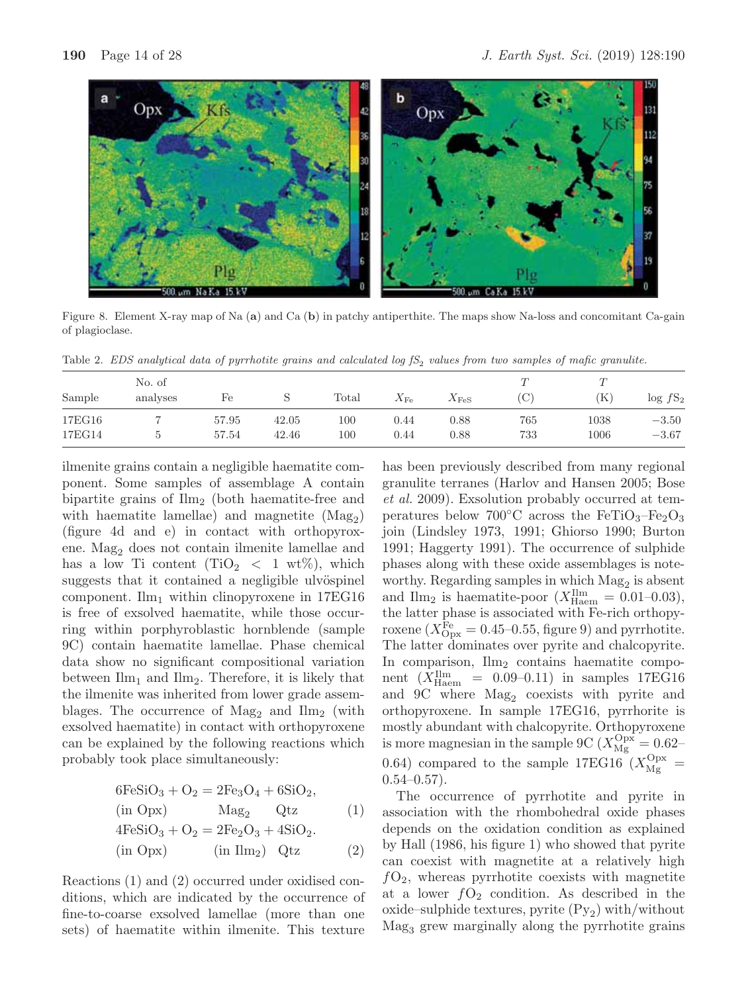

Figure 8. Element X-ray map of Na (**a**) and Ca (**b**) in patchy antiperthite. The maps show Na-loss and concomitant Ca-gain of plagioclase.

Table 2. EDS analytical data of pyrrhotite grains and calculated log  $fS<sub>2</sub>$  values from two samples of mafic granulite.

| Sample | No. of<br>analyses | Fe    |       | Total | $X_{\rm Fe}$ | $X_{\rm FeS}$ | (C  | 'K`  | $\log fS_2$ |
|--------|--------------------|-------|-------|-------|--------------|---------------|-----|------|-------------|
| 17EG16 |                    | 57.95 | 42.05 | 100   | 0.44         | 0.88          | 765 | 1038 | $-3.50$     |
| 17EG14 |                    | 57.54 | 42.46 | 100   | 0.44         | 0.88          | 733 | 1006 | $-3.67$     |

ilmenite grains contain a negligible haematite component. Some samples of assemblage A contain bipartite grains of  $\lim_{2}$  (both haematite-free and with haematite lamellae) and magnetite  $(Mag<sub>2</sub>)$ (figure 4d and e) in contact with orthopyroxene.  $Mag<sub>2</sub>$  does not contain ilmenite lamellae and has a low Ti content (TiO<sub>2</sub> < 1 wt%), which suggests that it contained a negligible ulvöspinel component.  $\lim_{1}$  within clinopyroxene in 17EG16 is free of exsolved haematite, while those occurring within porphyroblastic hornblende (sample 9C) contain haematite lamellae. Phase chemical data show no significant compositional variation between  $\text{Ilm}_1$  and  $\text{Ilm}_2$ . Therefore, it is likely that the ilmenite was inherited from lower grade assemblages. The occurrence of  $Mag_2$  and  $\lim_2$  (with exsolved haematite) in contact with orthopyroxene can be explained by the following reactions which probably took place simultaneously:

$$
6FeSiO3 + O2 = 2Fe3O4 + 6SiO2,(in Opx) Mag2 Qtz (1)4FeSiO3 + O2 = 2Fe2O3 + 4SiO2.(in Opx) (in Ilm2) Qtz (2)
$$

Reactions (1) and (2) occurred under oxidised conditions, which are indicated by the occurrence of fine-to-coarse exsolved lamellae (more than one sets) of haematite within ilmenite. This texture

has been previously described from many regional granulite terranes (Harlov and Hansen 2005; Bose *et al.* 2009). Exsolution probably occurred at temperatures below 700 $^{\circ}$ C across the FeTiO<sub>3</sub>–Fe<sub>2</sub>O<sub>3</sub> join (Lindsley 1973, 1991; Ghiorso 1990; Burton 1991; Haggerty 1991). The occurrence of sulphide phases along with these oxide assemblages is noteworthy. Regarding samples in which  $Mag<sub>2</sub>$  is absent and Ilm<sub>2</sub> is haematite-poor  $(X_{\text{Haem}}^{\text{Ilm}} = 0.01{\text -}0.03)$ , the latter phase is associated with Fe-rich orthopyroxene ( $X_{\text{Opx}}^{\text{Fe}} = 0.45{\text{-}}0.55$ , figure 9) and pyrrhotite. The latter dominates over pyrite and chalcopyrite. In comparison,  $\lim_{2}$  contains haematite component  $(X_{\text{Haem}}^{\text{Ilm}} = 0.09{\text -}0.11)$  in samples 17EG16 and 9C where  $Mag<sub>2</sub>$  coexists with pyrite and orthopyroxene. In sample 17EG16, pyrrhorite is mostly abundant with chalcopyrite. Orthopyroxene is more magnesian in the sample 9C ( $X_{\text{Mg}}^{\text{Opx}} = 0.62-$ 0.64) compared to the sample 17EG16  $(X_{\text{Mg}}^{\text{Opx}})$  $0.54 - 0.57$ .

The occurrence of pyrrhotite and pyrite in association with the rhombohedral oxide phases depends on the oxidation condition as explained by Hall (1986, his figure 1) who showed that pyrite can coexist with magnetite at a relatively high  $fO<sub>2</sub>$ , whereas pyrrhotite coexists with magnetite at a lower  $fO_2$  condition. As described in the oxide–sulphide textures, pyrite  $(Py_2)$  with/without Mag<sub>3</sub> grew marginally along the pyrrhotite grains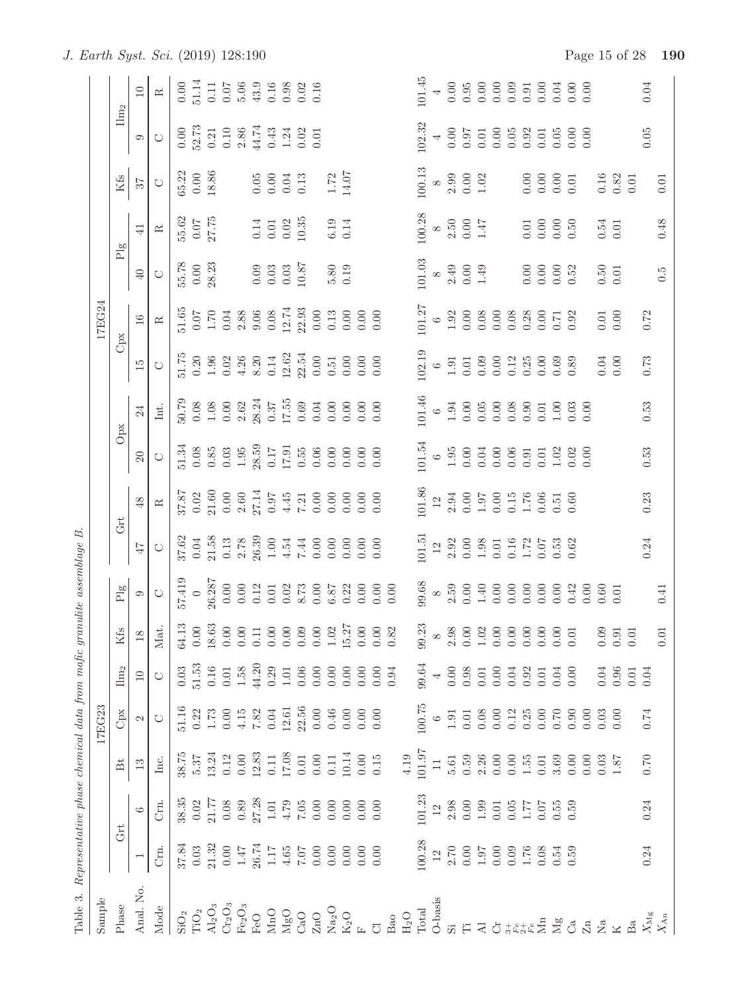| Table 3. Representative phase chemical data from mafic granulite assemblage $B$                                                                |                                                               |                                                       |                                                       |                                             |                                                      |                                              |                                                                                                                                                                                                                                                                  |                                                                                                                   |                                                                                                        |                                                                                                               |                                                                     |                                                                                                                                                                                                                                                                                                               |                                                                                                 |                                                             |                                                              |                                             |                                                                                                                        |                                                                                        |
|------------------------------------------------------------------------------------------------------------------------------------------------|---------------------------------------------------------------|-------------------------------------------------------|-------------------------------------------------------|---------------------------------------------|------------------------------------------------------|----------------------------------------------|------------------------------------------------------------------------------------------------------------------------------------------------------------------------------------------------------------------------------------------------------------------|-------------------------------------------------------------------------------------------------------------------|--------------------------------------------------------------------------------------------------------|---------------------------------------------------------------------------------------------------------------|---------------------------------------------------------------------|---------------------------------------------------------------------------------------------------------------------------------------------------------------------------------------------------------------------------------------------------------------------------------------------------------------|-------------------------------------------------------------------------------------------------|-------------------------------------------------------------|--------------------------------------------------------------|---------------------------------------------|------------------------------------------------------------------------------------------------------------------------|----------------------------------------------------------------------------------------|
| ${\bf Sample}$                                                                                                                                 |                                                               |                                                       |                                                       | 17EG23                                      |                                                      |                                              |                                                                                                                                                                                                                                                                  |                                                                                                                   |                                                                                                        |                                                                                                               |                                                                     |                                                                                                                                                                                                                                                                                                               | 17EG24                                                                                          |                                                             |                                                              |                                             |                                                                                                                        |                                                                                        |
| ${\rm Phase}$                                                                                                                                  | Grt                                                           |                                                       | $\rm{B}t$                                             | Cpx                                         | $\rm{Im}z$                                           | Kfs                                          | $\mathbf{P} \mathbf{g}$                                                                                                                                                                                                                                          | Grt                                                                                                               |                                                                                                        | Opx                                                                                                           |                                                                     | $\mathrm{Cpx}$                                                                                                                                                                                                                                                                                                |                                                                                                 | Plg                                                         |                                                              | $\rm Kfs$                                   | $\rm{Im}z$                                                                                                             |                                                                                        |
| Anal. No.                                                                                                                                      |                                                               | $\circ$                                               | 13                                                    | $\mathcal{L}$                               | $\Box$                                               | $18\,$                                       | $\mathbb{C}$                                                                                                                                                                                                                                                     | $41$                                                                                                              | $48\,$                                                                                                 | $20\,$                                                                                                        | $24\,$                                                              | $\frac{5}{2}$                                                                                                                                                                                                                                                                                                 | 16                                                                                              | $40\,$                                                      | $\overline{41}$                                              | $\sqrt{6}$                                  | $\circ$                                                                                                                | 10                                                                                     |
| Mode                                                                                                                                           | Cm.                                                           | Crn.                                                  | Inc.                                                  | $\circlearrowright$                         | $\bigcirc$                                           | Mat.                                         | $\circlearrowright$                                                                                                                                                                                                                                              | $\bigcirc$                                                                                                        | $\mathbf{R}$                                                                                           | $\circ$                                                                                                       | Int.                                                                | $\circlearrowright$                                                                                                                                                                                                                                                                                           | $\simeq$                                                                                        | $\circ$                                                     | $\mathbf{\underline{\upmu}}$                                 | $\circ$                                     | $\bigcirc$                                                                                                             | $\approx$                                                                              |
| $\rm SiO_2$                                                                                                                                    |                                                               |                                                       |                                                       | 51.16                                       |                                                      | 64.13                                        | 57.419                                                                                                                                                                                                                                                           |                                                                                                                   |                                                                                                        |                                                                                                               |                                                                     |                                                                                                                                                                                                                                                                                                               |                                                                                                 |                                                             |                                                              |                                             |                                                                                                                        |                                                                                        |
| $\rm TiO_2$                                                                                                                                    | $\begin{array}{c} 37.84 \\ 0.03 \\ 21.32 \\ 0.00 \end{array}$ | $\begin{array}{c} 38.35 \\ 0.02 \\ 21.77 \end{array}$ | $\frac{38.75}{5.37}$                                  |                                             | $\begin{array}{c} 0.03 \\ 51.53 \\ 0.16 \end{array}$ | 0.00                                         | $\circ$                                                                                                                                                                                                                                                          |                                                                                                                   | $\begin{array}{c} 37.87 \\ 0.02 \\ 21.60 \\ 0.00 \end{array}$                                          |                                                                                                               |                                                                     |                                                                                                                                                                                                                                                                                                               |                                                                                                 | $\begin{array}{c} 55.78 \\ 0.00 \\ 28.23 \end{array}$       | $\begin{array}{c} 55.62 \\ 0.07 \\ 27.75 \end{array}$        | $65.22$<br>$0.00$<br>$18.86$                |                                                                                                                        | $0.00$<br>$51.14$<br>$0.11$                                                            |
| $Al_2O_3$                                                                                                                                      |                                                               |                                                       | 13.24                                                 | $\begin{array}{c} 0.22 \\ 1.73 \end{array}$ |                                                      |                                              |                                                                                                                                                                                                                                                                  |                                                                                                                   |                                                                                                        |                                                                                                               |                                                                     |                                                                                                                                                                                                                                                                                                               |                                                                                                 |                                                             |                                                              |                                             |                                                                                                                        |                                                                                        |
| $\rm Cr_2O_3$                                                                                                                                  |                                                               | $0.08\,$                                              | $0.12\,$                                              | $0.00\,$                                    | $0.01\,$                                             | $\begin{array}{c} 18.63 \\ 0.00 \end{array}$ | $26.287\phantom{000}0.00$                                                                                                                                                                                                                                        |                                                                                                                   |                                                                                                        |                                                                                                               | $\begin{array}{c} 50.79 \\ 0.08 \\ 1.08 \\ 2.62 \end{array}$        |                                                                                                                                                                                                                                                                                                               |                                                                                                 |                                                             |                                                              |                                             |                                                                                                                        |                                                                                        |
| $\rm Fe_2O_3$                                                                                                                                  | $1.47\,$                                                      | $0.89\,$                                              | $0.00\,$                                              |                                             | $1.58\,$                                             | 0.00                                         |                                                                                                                                                                                                                                                                  |                                                                                                                   | $2.60\,$                                                                                               |                                                                                                               |                                                                     |                                                                                                                                                                                                                                                                                                               |                                                                                                 |                                                             |                                                              |                                             |                                                                                                                        |                                                                                        |
| FeO                                                                                                                                            | 26.74                                                         | 27.28                                                 | $\begin{array}{c} 12.83 \\ 0.11 \\ 17.08 \end{array}$ | $4.15$<br>7.82<br>0.04                      | $44.20$<br>0.29<br>1.01                              | $0.11$<br>$0.00$<br>$0.00$                   |                                                                                                                                                                                                                                                                  | $\begin{array}{l} 37.62 \\ 0.04 \\ 21.58 \\ 0.13 \\ 0.13 \\ 2.78 \\ 36.39 \\ 1.00 \\ 1.54 \\ 1.44 \\ \end{array}$ | 27.14                                                                                                  | $\begin{array}{c} 1.34 \\ 0.88 \\ 0.38 \\ 0.33 \\ 0.34 \\ 0.17 \\ 0.5 \\ 0.06 \\ 0.06 \\ 0.06 \\ \end{array}$ | $\begin{array}{c} 28.24 \\ 0.37 \\ 17.55 \\ 0.69 \end{array}$       | $\begin{array}{l} 7.50 \\ 1.51 \\ 1.52 \\ 1.53 \\ 1.54 \\ 1.55 \\ 1.56 \\ 1.57 \\ 1.57 \\ 1.57 \\ 1.57 \\ 1.57 \\ 1.57 \\ 1.57 \\ 1.57 \\ 1.59 \\ 1.51 \\ 1.53 \\ 1.53 \\ 1.53 \\ 1.55 \\ 1.55 \\ 1.55 \\ 1.55 \\ 1.55 \\ 1.55 \\ 1.55 \\ 1.55 \\ 1.55 \\ 1.55 \\ 1.55 \\ 1.55 \\ 1.55 \\ 1.55 \\ 1.55 \\ 1.$ | $\begin{array}{c} 51.65 \\ 0.07 \\ 1.70 \\ 0.04 \\ 0.08 \\ 0.08 \\ 0.08 \\ 0.08 \\ \end{array}$ | $\begin{array}{c} 0.09 \\ 0.03 \\ 0.03 \\ 0.04 \end{array}$ | $\begin{array}{c} 0.14 \\ 0.01 \\ 0.02 \\ 10.35 \end{array}$ | $0.05$<br>$0.04$<br>$0.13$                  | $\begin{array}{c} 0.00 \\ 0.21 \\ 0.21 \\ 0.38 \\ 0.43 \\ 0.44 \\ 0.43 \\ 0.00 \\ 0.01 \\ 0.00 \\ 0.01 \\ \end{array}$ | $\begin{array}{c} 0.07 \\ 5.06 \\ 43.9 \\ 0.16 \\ 0.03 \\ 0.02 \\ 0.16 \\ \end{array}$ |
| MnO                                                                                                                                            | $\begin{array}{c} 1.17 \\ 4.65 \\ 7.07 \end{array}$           | $1.01$<br>$4.79$<br>7.05                              |                                                       |                                             |                                                      |                                              |                                                                                                                                                                                                                                                                  |                                                                                                                   | $0.97$ 4.45                                                                                            |                                                                                                               |                                                                     |                                                                                                                                                                                                                                                                                                               |                                                                                                 |                                                             |                                                              |                                             |                                                                                                                        |                                                                                        |
| $\rm MgO$                                                                                                                                      |                                                               |                                                       |                                                       | $12.61$<br>$22.56$                          |                                                      |                                              |                                                                                                                                                                                                                                                                  |                                                                                                                   |                                                                                                        |                                                                                                               |                                                                     |                                                                                                                                                                                                                                                                                                               |                                                                                                 |                                                             |                                                              |                                             |                                                                                                                        |                                                                                        |
| CaO                                                                                                                                            |                                                               |                                                       | $0.01\,$                                              |                                             | 0.06                                                 | 0.09                                         |                                                                                                                                                                                                                                                                  |                                                                                                                   | 7.21                                                                                                   |                                                                                                               |                                                                     |                                                                                                                                                                                                                                                                                                               |                                                                                                 |                                                             |                                                              |                                             |                                                                                                                        |                                                                                        |
| $\rm ZnO$                                                                                                                                      | 0.0000                                                        | $0.00\,$                                              | $0.00\,$                                              | 0.00                                        | $0.00\,$                                             | 0.00                                         |                                                                                                                                                                                                                                                                  | 0.00                                                                                                              | 0.00                                                                                                   |                                                                                                               | 0.04                                                                |                                                                                                                                                                                                                                                                                                               |                                                                                                 |                                                             |                                                              |                                             |                                                                                                                        |                                                                                        |
| $\rm Na_2O$                                                                                                                                    |                                                               |                                                       | $0.11\,$                                              |                                             | $0.00\,$                                             | 1.02                                         |                                                                                                                                                                                                                                                                  |                                                                                                                   |                                                                                                        | 0.00                                                                                                          |                                                                     |                                                                                                                                                                                                                                                                                                               |                                                                                                 | $\frac{5.80}{0.19}$                                         | $6.19$<br>$0.14$                                             | $1.72$ $14.07$                              |                                                                                                                        |                                                                                        |
| $\rm K_2O$                                                                                                                                     |                                                               |                                                       | $\begin{array}{c} 10.14 \\ 0.00 \\ 0.15 \end{array}$  | $0.46$<br>0.00<br>0.00<br>0.00              | $0.00\,$                                             | $15.27$<br>0.00<br>0.00<br>0.82              |                                                                                                                                                                                                                                                                  |                                                                                                                   |                                                                                                        |                                                                                                               | $\begin{array}{c} 0.0000 \\ 0.0000 \\ 0.0000 \end{array}$           |                                                                                                                                                                                                                                                                                                               | $12.74$<br>$22.93$<br>$0.00$<br>$0.13$<br>$0.00$<br>$0.00$                                      |                                                             |                                                              |                                             |                                                                                                                        |                                                                                        |
| $\left[ \frac{1}{2} \right]$                                                                                                                   |                                                               |                                                       |                                                       |                                             |                                                      |                                              |                                                                                                                                                                                                                                                                  |                                                                                                                   |                                                                                                        |                                                                                                               |                                                                     |                                                                                                                                                                                                                                                                                                               |                                                                                                 |                                                             |                                                              |                                             |                                                                                                                        |                                                                                        |
| $\overline{C}$                                                                                                                                 |                                                               |                                                       |                                                       |                                             | $0.00$<br>$0.94$                                     |                                              |                                                                                                                                                                                                                                                                  |                                                                                                                   |                                                                                                        |                                                                                                               |                                                                     |                                                                                                                                                                                                                                                                                                               |                                                                                                 |                                                             |                                                              |                                             |                                                                                                                        |                                                                                        |
| Bao                                                                                                                                            |                                                               |                                                       |                                                       |                                             |                                                      |                                              |                                                                                                                                                                                                                                                                  |                                                                                                                   |                                                                                                        |                                                                                                               |                                                                     |                                                                                                                                                                                                                                                                                                               |                                                                                                 |                                                             |                                                              |                                             |                                                                                                                        |                                                                                        |
| $\rm H_2O$                                                                                                                                     |                                                               |                                                       | $4.19\,$                                              |                                             |                                                      |                                              |                                                                                                                                                                                                                                                                  |                                                                                                                   |                                                                                                        |                                                                                                               |                                                                     |                                                                                                                                                                                                                                                                                                               |                                                                                                 |                                                             |                                                              |                                             |                                                                                                                        |                                                                                        |
| $\mbox{Total}$                                                                                                                                 | 100.28                                                        | 101.23                                                | 101.97                                                | 100.75                                      | 99.64                                                | 99.23                                        | 99.68                                                                                                                                                                                                                                                            |                                                                                                                   |                                                                                                        | 101.54                                                                                                        | .01.46                                                              | .02.19                                                                                                                                                                                                                                                                                                        | 101.27                                                                                          |                                                             | 100.28                                                       | 100.13                                      | 02.32                                                                                                                  | .01.45                                                                                 |
| O-basis                                                                                                                                        | $\overline{12}$                                               | $12\,$                                                | $\Box$                                                | $\circ$                                     | $\overline{4}$                                       | $\infty$                                     |                                                                                                                                                                                                                                                                  |                                                                                                                   |                                                                                                        |                                                                                                               |                                                                     |                                                                                                                                                                                                                                                                                                               |                                                                                                 |                                                             |                                                              |                                             |                                                                                                                        |                                                                                        |
| $\ddot{\varpi}$                                                                                                                                | $2.70\,$                                                      | 2.98                                                  | 5.61                                                  | $1.91\,$                                    | $0.00\,$                                             | $2.98$<br>0.00<br>1.02<br>0.00               | $\begin{array}{r} 8\\ 3.5000000\\ 2.5100000\\ 0.000000\\ 0.000000\\ 0.00000\\ 0.00000\\ 0.00000\\ 0.0000\\ 0.0000\\ 0.0000\\ 0.0000\\ 0.0000\\ 0.0000\\ 0.0000\\ 0.0000\\ 0.0000\\ 0.0000\\ 0.0000\\ 0.0000\\ 0.0000\\ 0.0000\\ 0.0000\\ 0.0000\\ 0.0000\\ 0.00$ | $\begin{array}{r} 101.51 \\ 12 \\ 2.92 \\ 0.00 \\ 1.98 \\ 0.01 \\ 0.16 \\ 1.72 \\ \end{array}$                    | $\begin{array}{r} 101.86 \\ 12 \\ 2.94 \\ 0.00 \\ 1.97 \\ 0.01 \\ 0.15 \\ 0.15 \\ 1.76 \\ \end{array}$ | $\begin{array}{c} 6 \\ 1.95 \\ 0.00 \\ 0.04 \\ 0.06 \end{array}$                                              | $1.94$<br>0.05<br>0.06<br>0.08                                      | $\begin{array}{c} 6 \\ 1.91 \\ 0.01 \\ 0.00 \\ 0.12 \end{array}$                                                                                                                                                                                                                                              |                                                                                                 | 101.03<br>8<br>2.49<br>0.00<br>1.49                         | $8$<br>$2.50$<br>$0.00$<br>$1.47$                            | $8$<br>$2.99$<br>$0.00$<br>$1.02$           |                                                                                                                        |                                                                                        |
| $\widetilde{\Box}$                                                                                                                             |                                                               |                                                       | 0.59                                                  | $0.01\,$                                    | $0.98\,$                                             |                                              |                                                                                                                                                                                                                                                                  |                                                                                                                   |                                                                                                        |                                                                                                               |                                                                     |                                                                                                                                                                                                                                                                                                               |                                                                                                 |                                                             |                                                              |                                             |                                                                                                                        |                                                                                        |
| $\overline{A}$                                                                                                                                 | $0.00$<br>1.97<br>0.00                                        | $0.00$<br>$1.99$<br>$0.01$                            | $2.26$ $0.00$                                         | 0.08                                        | 0.01                                                 |                                              |                                                                                                                                                                                                                                                                  |                                                                                                                   |                                                                                                        |                                                                                                               |                                                                     |                                                                                                                                                                                                                                                                                                               |                                                                                                 |                                                             |                                                              |                                             |                                                                                                                        |                                                                                        |
| $\ddot{\circ}$                                                                                                                                 |                                                               |                                                       |                                                       |                                             |                                                      |                                              |                                                                                                                                                                                                                                                                  |                                                                                                                   |                                                                                                        |                                                                                                               |                                                                     |                                                                                                                                                                                                                                                                                                               |                                                                                                 |                                                             |                                                              |                                             |                                                                                                                        |                                                                                        |
|                                                                                                                                                | $\begin{array}{c} 0.09 \\ 1.76 \end{array}$                   | $0.05$ $1.77$                                         | 0.00                                                  | $0.12\,$                                    | 0.04                                                 | 0.00                                         |                                                                                                                                                                                                                                                                  |                                                                                                                   |                                                                                                        |                                                                                                               |                                                                     |                                                                                                                                                                                                                                                                                                               |                                                                                                 |                                                             |                                                              |                                             |                                                                                                                        |                                                                                        |
| $\begin{array}{l} \frac{1}{2}+\frac{1}{2}+\frac{1}{2}\\ \frac{1}{2}+\frac{1}{2}+\frac{1}{2}\\ \frac{1}{2}+\frac{1}{2}+\frac{1}{2} \end{array}$ |                                                               |                                                       | $1.55\,$                                              | 0.25                                        | 0.92                                                 | 0.00                                         |                                                                                                                                                                                                                                                                  |                                                                                                                   |                                                                                                        |                                                                                                               |                                                                     |                                                                                                                                                                                                                                                                                                               |                                                                                                 |                                                             |                                                              |                                             |                                                                                                                        |                                                                                        |
|                                                                                                                                                | 0.08                                                          | 0.07                                                  | 0.01                                                  | 0.00                                        | 0.01                                                 | 0.00                                         |                                                                                                                                                                                                                                                                  |                                                                                                                   | 0.06                                                                                                   |                                                                                                               |                                                                     |                                                                                                                                                                                                                                                                                                               |                                                                                                 |                                                             |                                                              |                                             |                                                                                                                        |                                                                                        |
| $\rm Mg$                                                                                                                                       | $0.54$<br>$0.59$                                              | $\begin{array}{c} 0.55 \\ 0.59 \end{array}$           | 3.69                                                  | $0.70$                                      | $\begin{array}{c} 0.04 \\ 0.00 \end{array}$          |                                              |                                                                                                                                                                                                                                                                  | $0.53$<br>$0.53$<br>$0.62$                                                                                        | $\begin{array}{c} 0.51 \\ 0.60 \end{array}$                                                            | $\begin{array}{c} 0.91 \\ 0.01 \\ 1.02 \\ 0.03 \\ 0.00 \end{array}$                                           | $\begin{array}{c} 0.90 \\ 0.01 \\ 1.00 \\ 0.03 \\ 0.06 \end{array}$ | $0.25$<br>$0.69$<br>$0.89$                                                                                                                                                                                                                                                                                    |                                                                                                 | $0.00$<br>$0.00$<br>$0.52$                                  | $0.01$<br>$0.00$<br>$0.50$                                   |                                             |                                                                                                                        |                                                                                        |
| $\mathcal{C}^{\mathfrak{a}}$                                                                                                                   |                                                               |                                                       | $0.00\,$                                              | 0.90                                        |                                                      |                                              |                                                                                                                                                                                                                                                                  |                                                                                                                   |                                                                                                        |                                                                                                               |                                                                     |                                                                                                                                                                                                                                                                                                               |                                                                                                 |                                                             |                                                              |                                             |                                                                                                                        |                                                                                        |
| $\rm Zn$                                                                                                                                       |                                                               |                                                       | $0.00$                                                |                                             |                                                      |                                              |                                                                                                                                                                                                                                                                  |                                                                                                                   |                                                                                                        |                                                                                                               |                                                                     |                                                                                                                                                                                                                                                                                                               |                                                                                                 |                                                             |                                                              |                                             |                                                                                                                        |                                                                                        |
| $\stackrel{\text{a}}{\times}$                                                                                                                  |                                                               |                                                       | 0.03                                                  |                                             | 0.04                                                 | 0.09                                         |                                                                                                                                                                                                                                                                  |                                                                                                                   |                                                                                                        |                                                                                                               |                                                                     | 0.04                                                                                                                                                                                                                                                                                                          | $\begin{array}{c} 0.01 \\ 0.00 \end{array}$                                                     | $0.50$<br>0.01                                              | $0.54$<br>0.01                                               | $\begin{array}{c} 0.16 \\ 0.82 \end{array}$ |                                                                                                                        |                                                                                        |
|                                                                                                                                                |                                                               |                                                       | 1.87                                                  | 0.00                                        | 0.96                                                 | $\begin{array}{c} 0.91 \\ 0.01 \end{array}$  |                                                                                                                                                                                                                                                                  |                                                                                                                   |                                                                                                        |                                                                                                               |                                                                     |                                                                                                                                                                                                                                                                                                               |                                                                                                 |                                                             |                                                              |                                             |                                                                                                                        |                                                                                        |
| $_{\rm Ba}$                                                                                                                                    |                                                               |                                                       |                                                       |                                             | 0.01                                                 |                                              |                                                                                                                                                                                                                                                                  |                                                                                                                   |                                                                                                        |                                                                                                               |                                                                     |                                                                                                                                                                                                                                                                                                               |                                                                                                 |                                                             |                                                              | 0.01                                        |                                                                                                                        |                                                                                        |
| $X_{\rm Mg}$                                                                                                                                   | $0.24\,$                                                      | 0.24                                                  | $0.70\,$                                              | $0.74\,$                                    | 0.04                                                 |                                              |                                                                                                                                                                                                                                                                  | $0.24\,$                                                                                                          | 0.23                                                                                                   | $0.53\,$                                                                                                      | 0.53                                                                | 0.73                                                                                                                                                                                                                                                                                                          | 0.72                                                                                            |                                                             |                                                              |                                             | $0.05\,$                                                                                                               | $0.04\,$                                                                               |
| $X_{\rm An}$                                                                                                                                   |                                                               |                                                       |                                                       |                                             |                                                      | 0.01                                         | 0.41                                                                                                                                                                                                                                                             |                                                                                                                   |                                                                                                        |                                                                                                               |                                                                     |                                                                                                                                                                                                                                                                                                               |                                                                                                 | $0.\overline{5}$                                            | 0.48                                                         | 0.01                                        |                                                                                                                        |                                                                                        |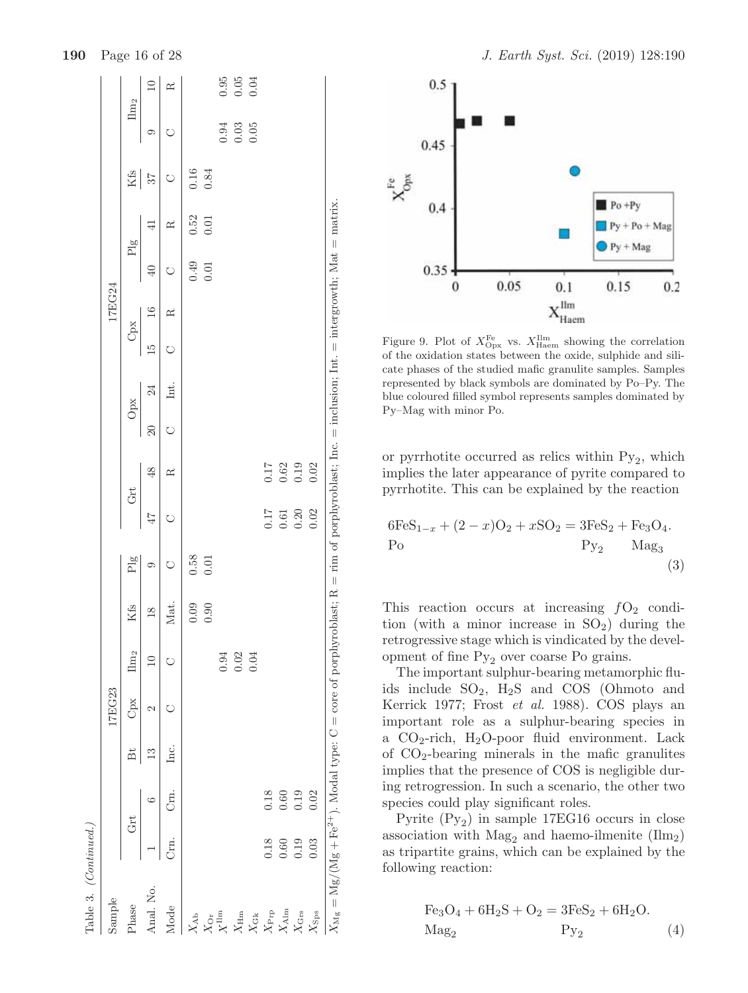| Table 3. (Continued.)                                                                                                                                                                                                                                                                                                                                                                 |                                             |         |             |        |                                                     |                |         |                                                     |                                                      |                          |      |                |           |                |                 |      |            |                 |
|---------------------------------------------------------------------------------------------------------------------------------------------------------------------------------------------------------------------------------------------------------------------------------------------------------------------------------------------------------------------------------------|---------------------------------------------|---------|-------------|--------|-----------------------------------------------------|----------------|---------|-----------------------------------------------------|------------------------------------------------------|--------------------------|------|----------------|-----------|----------------|-----------------|------|------------|-----------------|
| Sample                                                                                                                                                                                                                                                                                                                                                                                |                                             |         |             | 17EG23 |                                                     |                |         |                                                     |                                                      |                          |      |                | 17EG24    |                |                 |      |            |                 |
| Phase                                                                                                                                                                                                                                                                                                                                                                                 | $\tilde{G}t$                                |         | $_{\rm Bt}$ | Cpx    | $\rm{Im}_{2}$                                       | Kfs            | Plg     | Grt                                                 |                                                      | Opx                      |      | Cpx            |           | Plg            |                 | Kfs  | $\lim_{2}$ |                 |
| Anal. No.                                                                                                                                                                                                                                                                                                                                                                             |                                             | $\circ$ | 13          | 2      | $\overline{10}$                                     | $\frac{8}{18}$ | $\circ$ | 47                                                  | 48                                                   | $\overline{\mathcal{S}}$ | 24   | $\frac{5}{10}$ | 16        | $\frac{40}{5}$ | $\overline{41}$ | 27   | $\circ$    | $\overline{10}$ |
| Mode                                                                                                                                                                                                                                                                                                                                                                                  | Crn.                                        | Crn.    | Inc.        | O      | Ò                                                   | Mat.           | $\circ$ | Õ                                                   | $\approx$                                            | Ò                        | Int. | Ò              | $\approx$ | Õ              | $\approx$       | Õ    | $\circ$    | $\approx$       |
|                                                                                                                                                                                                                                                                                                                                                                                       |                                             |         |             |        |                                                     | 0.09           | 0.58    |                                                     |                                                      |                          |      |                |           | 0.49           | 0.52            | 0.16 |            |                 |
| $\begin{array}{l} X_{A5} \\ X_{C1} \\ X_{A1} \\ X_{B2} \\ X_{B1} \\ X_{B1} \\ X_{B1} \\ X_{B1} \\ X_{B1} \\ X_{B1} \\ X_{B1} \\ X_{B1} \\ X_{B1} \\ X_{B2} \\ X_{B2} \\ X_{B1} \\ X_{B2} \\ X_{B2} \\ X_{B1} \\ X_{B2} \\ X_{B2} \\ X_{B3} \\ X_{B1} \\ X_{B2} \\ X_{B2} \\ X_{B3} \\ X_{B4} \\ X_{B5} \\ X_{B5} \\ X_{B6} \\ X_{B7} \\ X_{B8} \\ X_{B1} \\ X_{B2} \\ X_{B2} \\ X_{B$ |                                             |         |             |        |                                                     | 0.90           | $0.01$  |                                                     |                                                      |                          |      |                |           | $0.01$         | 0.01            | 0.84 |            |                 |
|                                                                                                                                                                                                                                                                                                                                                                                       |                                             |         |             |        |                                                     |                |         |                                                     |                                                      |                          |      |                |           |                |                 |      | $0.94\,$   | 0.95            |
|                                                                                                                                                                                                                                                                                                                                                                                       |                                             |         |             |        | $\begin{array}{c} 0.94 \\ 0.02 \\ 0.04 \end{array}$ |                |         |                                                     |                                                      |                          |      |                |           |                |                 |      | $0.03\,$   | 0.05            |
|                                                                                                                                                                                                                                                                                                                                                                                       |                                             |         |             |        |                                                     |                |         |                                                     |                                                      |                          |      |                |           |                |                 |      | 0.05       | 0.04            |
|                                                                                                                                                                                                                                                                                                                                                                                       |                                             | 0.18    |             |        |                                                     |                |         |                                                     |                                                      |                          |      |                |           |                |                 |      |            |                 |
|                                                                                                                                                                                                                                                                                                                                                                                       | $\begin{array}{c} 0.18 \\ 0.60 \end{array}$ | 0.60    |             |        |                                                     |                |         |                                                     | $\begin{array}{c} 0.17 \\ 0.62 \\ 0.019 \end{array}$ |                          |      |                |           |                |                 |      |            |                 |
| $X_{\rm Grs}$                                                                                                                                                                                                                                                                                                                                                                         | 0.19                                        | 0.19    |             |        |                                                     |                |         | $\begin{array}{c} 0.17 \\ 0.61 \\ 0.20 \end{array}$ |                                                      |                          |      |                |           |                |                 |      |            |                 |
| $X_{\rm Sps}$                                                                                                                                                                                                                                                                                                                                                                         | 0.03                                        | 0.02    |             |        |                                                     |                |         | 0.02                                                | 0.02                                                 |                          |      |                |           |                |                 |      |            |                 |
| $X_{Mg} = Mg/(Mg + Fe^{2+})$ . Modal type: C = core of porphyroblast; R = rim of porphyroblast; Inc. = inclusion; Int. = intergrowth; Mat = matrix.                                                                                                                                                                                                                                   |                                             |         |             |        |                                                     |                |         |                                                     |                                                      |                          |      |                |           |                |                 |      |            |                 |



Figure 9. Plot of  $X_{\text{De}}^{\text{fe}}$  vs.  $X_{\text{Haem}}^{\text{lim}}$  showing the correlation of the oxidation states between the oxide, sulphide and silicate phases of the studied mafic granulite samples. Samples represented by black symbols are dominated by Po–Py. The blue coloured filled symbol represents samples dominated by Py–Mag with minor Po.

or pyrrhotite occurred as relics within  $Py<sub>2</sub>$ , which implies the later appearance of pyrite compared to pyrrhotite. This can be explained by the reaction

$$
6FeS_{1-x} + (2-x)O_2 + xSO_2 = 3FeS_2 + Fe_3O_4.
$$
  
Po  

$$
Py_2
$$
 Mag<sub>3</sub> (3)

This reaction occurs at increasing  $fO_2$  condition (with a minor increase in  $SO_2$ ) during the retrogressive stage which is vindicated by the development of fine  $Py_2$  over coarse Po grains.

The important sulphur-bearing metamorphic fluids include  $SO_2$ ,  $H_2S$  and  $COS$  (Ohmoto and Kerrick 1977; Frost *et al.* 1988). COS plays an important role as a sulphur-bearing species in a  $CO_2$ -rich,  $H_2O$ -poor fluid environment. Lack of  $CO<sub>2</sub>$ -bearing minerals in the mafic granulites implies that the presence of COS is negligible during retrogression. In such a scenario, the other two species could play significant roles.

Pyrite  $(Py_2)$  in sample 17EG16 occurs in close association with  $Mag<sub>2</sub>$  and haemo-ilmenite (Ilm<sub>2</sub>) as tripartite grains, which can be explained by the following reaction:

$$
Fe3O4 + 6H2S + O2 = 3FeS2 + 6H2O.
$$
  
Mag<sub>2</sub> Py<sub>2</sub> (4)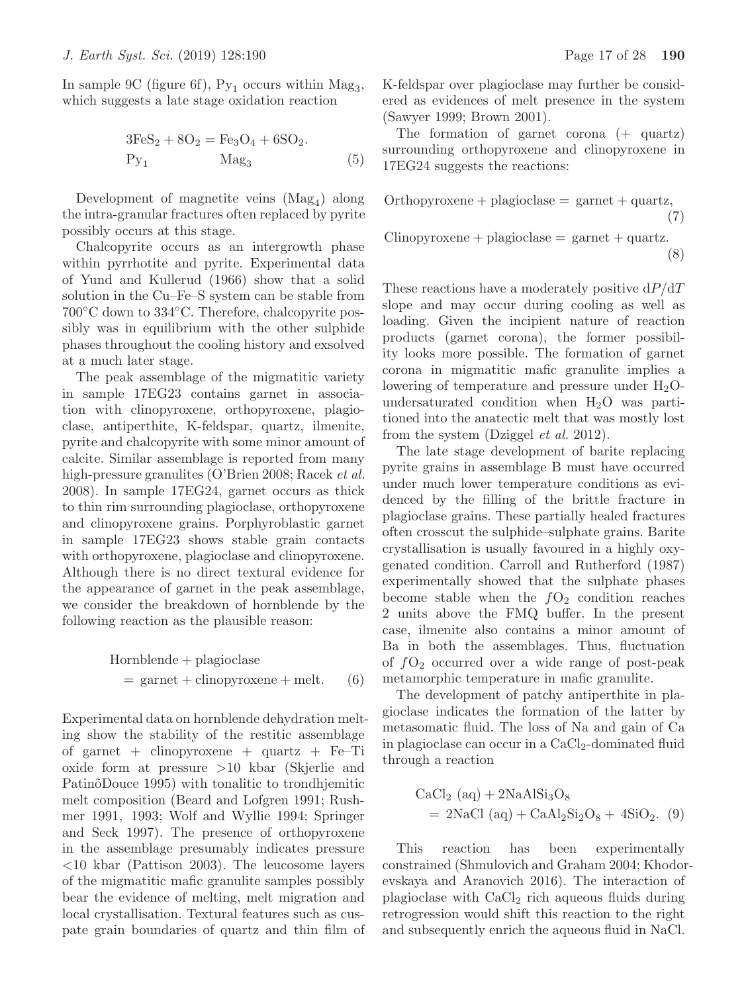In sample 9C (figure 6f),  $Py_1$  occurs within Mag<sub>3</sub>, which suggests a late stage oxidation reaction

$$
3FeS2 + 8O2 = Fe3O4 + 6SO2.
$$
  
Py<sub>1</sub> Mag<sub>3</sub> (5)

Development of magnetite veins  $(Mag_4)$  along the intra-granular fractures often replaced by pyrite possibly occurs at this stage.

Chalcopyrite occurs as an intergrowth phase within pyrrhotite and pyrite. Experimental data of Yund and Kullerud (1966) show that a solid solution in the Cu–Fe–S system can be stable from 700◦C down to 334◦C. Therefore, chalcopyrite possibly was in equilibrium with the other sulphide phases throughout the cooling history and exsolved at a much later stage.

The peak assemblage of the migmatitic variety in sample 17EG23 contains garnet in association with clinopyroxene, orthopyroxene, plagioclase, antiperthite, K-feldspar, quartz, ilmenite, pyrite and chalcopyrite with some minor amount of calcite. Similar assemblage is reported from many high-pressure granulites (O'Brien 2008; Racek *et al.* 2008). In sample 17EG24, garnet occurs as thick to thin rim surrounding plagioclase, orthopyroxene and clinopyroxene grains. Porphyroblastic garnet in sample 17EG23 shows stable grain contacts with orthopyroxene, plagioclase and clinopyroxene. Although there is no direct textural evidence for the appearance of garnet in the peak assemblage, we consider the breakdown of hornblende by the following reaction as the plausible reason:

$$
Hornblende + plagioclase
$$

$$
= garnet + clinopyroxene + melt.
$$
 (6)

Experimental data on hornblende dehydration melting show the stability of the restitic assemblage of garnet + clinopyroxene + quartz +  $Fe-Ti$ oxide form at pressure >10 kbar (Skjerlie and PatinõDouce 1995) with tonalitic to trondhjemitic melt composition (Beard and Lofgren 1991; Rushmer 1991, 1993; Wolf and Wyllie 1994; Springer and Seck 1997). The presence of orthopyroxene in the assemblage presumably indicates pressure <10 kbar (Pattison 2003). The leucosome layers of the migmatitic mafic granulite samples possibly bear the evidence of melting, melt migration and local crystallisation. Textural features such as cuspate grain boundaries of quartz and thin film of

K-feldspar over plagioclase may further be considered as evidences of melt presence in the system (Sawyer 1999; Brown 2001).

The formation of garnet corona (+ quartz) surrounding orthopyroxene and clinopyroxene in 17EG24 suggests the reactions:

Orthopyroxene + plagioclase = garnet + quartz, (7) Clinopyroxene + plagioclase = garnet + quartz. (8)

These reactions have a moderately positive  $dP/dT$ slope and may occur during cooling as well as loading. Given the incipient nature of reaction products (garnet corona), the former possibility looks more possible. The formation of garnet corona in migmatitic mafic granulite implies a lowering of temperature and pressure under  $H_2O$ undersaturated condition when  $H_2O$  was partitioned into the anatectic melt that was mostly lost from the system (Dziggel *et al.* 2012).

The late stage development of barite replacing pyrite grains in assemblage B must have occurred under much lower temperature conditions as evidenced by the filling of the brittle fracture in plagioclase grains. These partially healed fractures often crosscut the sulphide–sulphate grains. Barite crystallisation is usually favoured in a highly oxygenated condition. Carroll and Rutherford (1987) experimentally showed that the sulphate phases become stable when the  $fO_2$  condition reaches 2 units above the FMQ buffer. In the present case, ilmenite also contains a minor amount of Ba in both the assemblages. Thus, fluctuation of  $fO<sub>2</sub>$  occurred over a wide range of post-peak metamorphic temperature in mafic granulite.

The development of patchy antiperthite in plagioclase indicates the formation of the latter by metasomatic fluid. The loss of Na and gain of Ca in plagioclase can occur in a  $CaCl<sub>2</sub>$ -dominated fluid through a reaction

$$
CaCl2 (aq) + 2NaAlSi3O8
$$
  
= 2NaCl (aq) + CaAl<sub>2</sub>Si<sub>2</sub>O<sub>8</sub> + 4SiO<sub>2</sub>. (9)

This reaction has been experimentally constrained (Shmulovich and Graham 2004; Khodorevskaya and Aranovich 2016). The interaction of plagioclase with  $CaCl<sub>2</sub>$  rich aqueous fluids during retrogression would shift this reaction to the right and subsequently enrich the aqueous fluid in NaCl.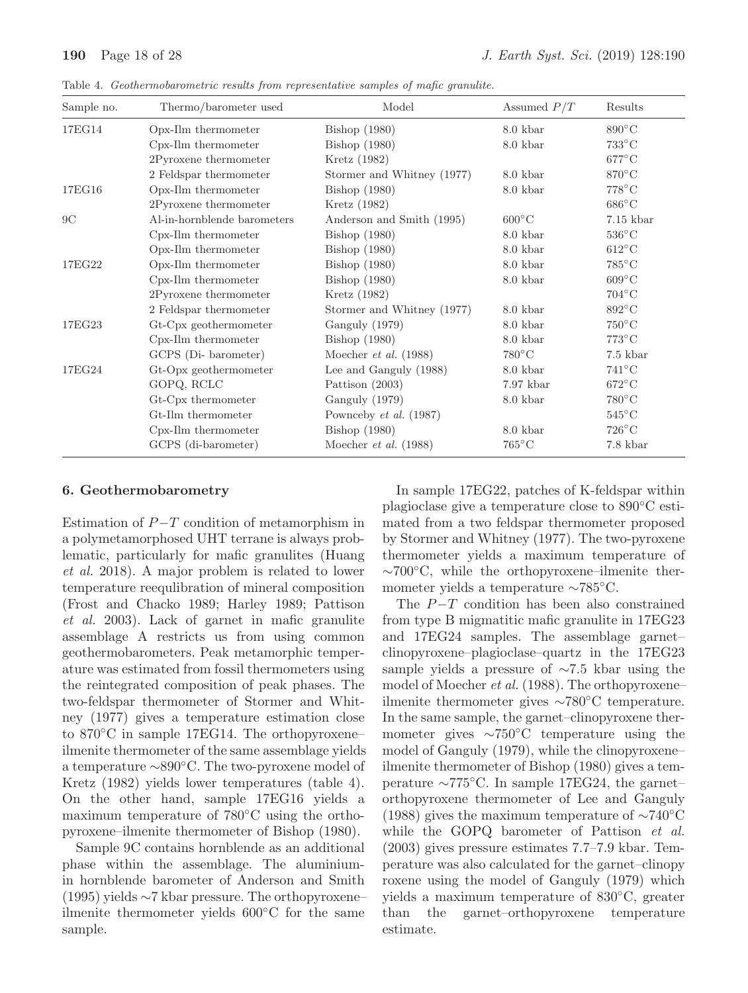| Sample no.     | Thermo/barometer used       | Model                      | Assumed $P/T$   | Results                 |
|----------------|-----------------------------|----------------------------|-----------------|-------------------------|
| 17EG14         | Opx-Ilm thermometer         | Bishop $(1980)$            | 8.0 kbar        | $890^{\circ}$ C         |
|                | Cpx-Ilm thermometer         | <b>Bishop</b> (1980)       | 8.0 kbar        | $733^{\circ}$ C         |
|                | 2Pyroxene thermometer       | Kretz (1982)               |                 | $677^{\circ}$ C         |
|                | 2 Feldspar thermometer      | Stormer and Whitney (1977) | 8.0 kbar        | $870^{\circ}$ C         |
| 17EG16         | Opx-Ilm thermometer         | <b>Bishop</b> (1980)       | 8.0 kbar        | $778^{\circ}{\rm C}$    |
|                | 2Pyroxene thermometer       | Kretz (1982)               |                 | $686^{\circ}$ C         |
| 9 <sup>C</sup> | Al-in-hornblende barometers | Anderson and Smith (1995)  | $600^{\circ}$ C | $7.15$ kbar             |
|                | Cpx-Ilm thermometer         | Bishop $(1980)$            | 8.0 kbar        | $536^{\circ}\mathrm{C}$ |
|                | Opx-Ilm thermometer         | <b>Bishop</b> (1980)       | 8.0 kbar        | $612^{\circ}$ C         |
| 17EG22         | Opx-Ilm thermometer         | <b>Bishop</b> (1980)       | 8.0 kbar        | $785^{\circ}$ C         |
|                | Cpx-Ilm thermometer         | <b>Bishop</b> (1980)       | 8.0 kbar        | $609^{\circ}$ C         |
|                | 2Pyroxene thermometer       | Kretz (1982)               |                 | $704^{\circ}$ C         |
|                | 2 Feldspar thermometer      | Stormer and Whitney (1977) | 8.0 kbar        | $892^{\circ}$ C         |
| 17EG23         | Gt-Cpx geothermometer       | Ganguly (1979)             | 8.0 kbar        | $750^{\circ}$ C         |
|                | Cpx-Ilm thermometer         | Bishop $(1980)$            | 8.0 kbar        | $773^{\circ}$ C         |
|                | GCPS (Di-barometer)         | Moecher et al. $(1988)$    | $780^{\circ}$ C | 7.5 kbar                |
| 17EG24         | Gt-Opx geothermometer       | Lee and Ganguly (1988)     | 8.0 kbar        | $741^{\circ}$ C         |
|                | GOPQ, RCLC                  | Pattison $(2003)$          | $7.97$ kbar     | $672^{\circ}$ C         |
|                | Gt-Cpx thermometer          | Ganguly (1979)             | 8.0 kbar        | $780^{\circ}$ C         |
|                | Gt-Ilm thermometer          | Pownceby et al. (1987)     |                 | $545^{\circ}$ C         |
|                | Cpx-Ilm thermometer         | <b>Bishop</b> (1980)       | 8.0 kbar        | $726^{\circ}$ C         |
|                | GCPS (di-barometer)         | Moecher et al. $(1988)$    | $765^{\circ}$ C | 7.8 kbar                |

Table 4. Geothermobarometric results from representative samples of mafic granulite.

## **6. Geothermobarometry**

Estimation of P−T condition of metamorphism in a polymetamorphosed UHT terrane is always problematic, particularly for mafic granulites (Huang *et al.* 2018). A major problem is related to lower temperature reequlibration of mineral composition (Frost and Chacko 1989; Harley 1989; Pattison *et al.* 2003). Lack of garnet in mafic granulite assemblage A restricts us from using common geothermobarometers. Peak metamorphic temperature was estimated from fossil thermometers using the reintegrated composition of peak phases. The two-feldspar thermometer of Stormer and Whitney (1977) gives a temperature estimation close to 870◦C in sample 17EG14. The orthopyroxene– ilmenite thermometer of the same assemblage yields a temperature ∼890◦C. The two-pyroxene model of Kretz (1982) yields lower temperatures (table 4). On the other hand, sample 17EG16 yields a maximum temperature of 780◦C using the orthopyroxene–ilmenite thermometer of Bishop (1980).

Sample 9C contains hornblende as an additional phase within the assemblage. The aluminiumin hornblende barometer of Anderson and Smith (1995) yields ∼7 kbar pressure. The orthopyroxene– ilmenite thermometer yields 600◦C for the same sample.

In sample 17EG22, patches of K-feldspar within plagioclase give a temperature close to 890◦C estimated from a two feldspar thermometer proposed by Stormer and Whitney (1977). The two-pyroxene thermometer yields a maximum temperature of ∼700◦C, while the orthopyroxene–ilmenite thermometer yields a temperature ∼785◦C.

The P−T condition has been also constrained from type B migmatitic mafic granulite in 17EG23 and 17EG24 samples. The assemblage garnet– clinopyroxene–plagioclase–quartz in the 17EG23 sample yields a pressure of ∼7.5 kbar using the model of Moecher *et al.* (1988). The orthopyroxene– ilmenite thermometer gives ∼780◦C temperature. In the same sample, the garnet–clinopyroxene thermometer gives ∼750◦C temperature using the model of Ganguly (1979), while the clinopyroxene– ilmenite thermometer of Bishop (1980) gives a temperature ∼775◦C. In sample 17EG24, the garnet– orthopyroxene thermometer of Lee and Ganguly (1988) gives the maximum temperature of ∼740◦C while the GOPQ barometer of Pattison *et al.* (2003) gives pressure estimates 7.7–7.9 kbar. Temperature was also calculated for the garnet–clinopy roxene using the model of Ganguly (1979) which yields a maximum temperature of 830◦C, greater than the garnet–orthopyroxene temperature estimate.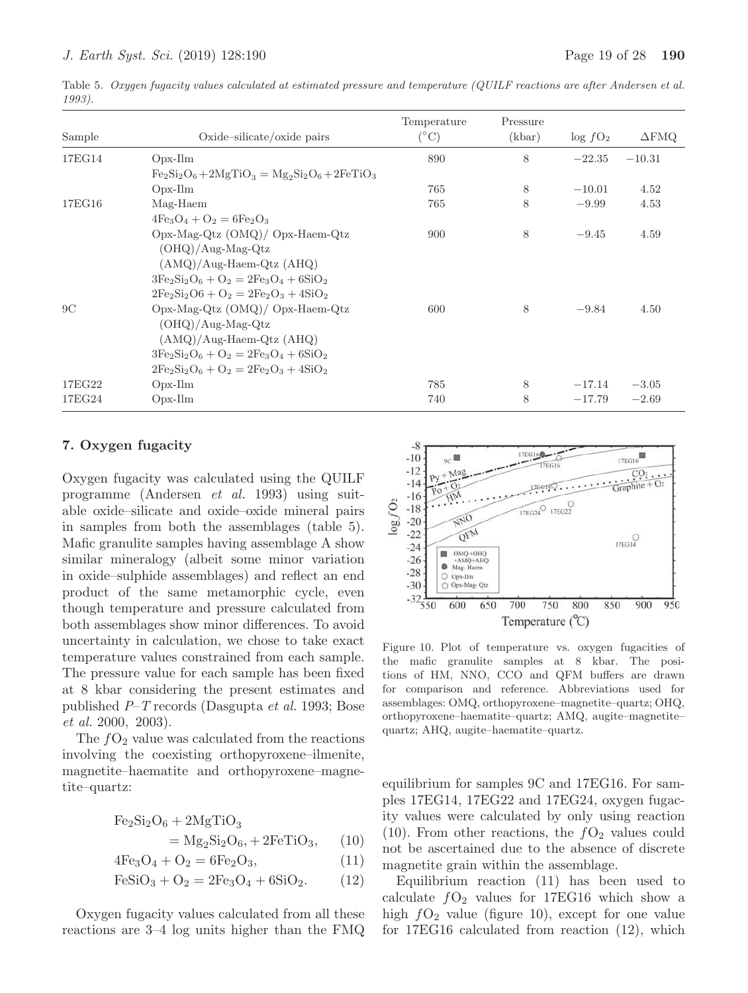Table 5. Oxygen fugacity values calculated at estimated pressure and temperature (QUILF reactions are after Andersen et al. 1993).

| Sample         | Oxide-silicate/oxide pairs                                                                | Temperature<br>$({}^{\circ}C)$ | Pressure<br>(kbar) | $\log fO_2$ | $\Delta$ FMQ |
|----------------|-------------------------------------------------------------------------------------------|--------------------------------|--------------------|-------------|--------------|
| 17EG14         | $Opx$ -Ilm                                                                                | 890                            | 8                  | $-22.35$    | $-10.31$     |
|                | $Fe2Si2O6+2MgTiO3 = Mg2Si2O6+2FeTiO3$                                                     |                                |                    |             |              |
|                | $Opx$ -Ilm                                                                                | 765                            | 8                  | $-10.01$    | 4.52         |
| 17EG16         | Mag-Haem                                                                                  | 765                            | 8                  | $-9.99$     | 4.53         |
|                | $4Fe3O4 + O2 = 6Fe2O3$                                                                    |                                |                    |             |              |
|                | $Opx-Mag-Qtz$ $(OMQ)/Opx-Haem-Qtz$                                                        | 900                            | 8                  | $-9.45$     | 4.59         |
|                | $(OHQ)/Aug-Mag-Qtz$                                                                       |                                |                    |             |              |
|                | $(AMQ)/Aug$ -Haem-Qtz $(AHQ)$                                                             |                                |                    |             |              |
|                | $3Fe_2Si_2O_6 + O_2 = 2Fe_3O_4 + 6SiO_2$                                                  |                                |                    |             |              |
|                | $2Fe_2Si_2O6 + O_2 = 2Fe_2O_3 + 4SiO_2$                                                   |                                |                    |             |              |
| 9 <sub>C</sub> | $Opx-Mag-Qtz$ $(OMQ)/Opx-Haem-Qtz$                                                        | 600                            | 8                  | $-9.84$     | 4.50         |
|                | $(OHQ)/Aug-Mag-Qtz$                                                                       |                                |                    |             |              |
|                | $(AMQ)/Aug$ -Haem-Qtz $(AHQ)$                                                             |                                |                    |             |              |
|                | $3Fe_2Si_2O_6 + O_2 = 2Fe_3O_4 + 6SiO_2$                                                  |                                |                    |             |              |
|                | $2\text{Fe}_2\text{Si}_2\text{O}_6 + \text{O}_2 = 2\text{Fe}_2\text{O}_3 + 4\text{SiO}_2$ |                                |                    |             |              |
| 17EG22         | $Opx$ -Ilm                                                                                | 785                            | 8                  | $-17.14$    | $-3.05$      |
| 17EG24         | $Opx$ -Ilm                                                                                | 740                            | 8                  | $-17.79$    | $-2.69$      |

# **7. Oxygen fugacity**

Oxygen fugacity was calculated using the QUILF programme (Andersen *et al.* 1993) using suitable oxide–silicate and oxide–oxide mineral pairs in samples from both the assemblages (table 5). Mafic granulite samples having assemblage A show similar mineralogy (albeit some minor variation in oxide–sulphide assemblages) and reflect an end product of the same metamorphic cycle, even though temperature and pressure calculated from both assemblages show minor differences. To avoid uncertainty in calculation, we chose to take exact temperature values constrained from each sample. The pressure value for each sample has been fixed at 8 kbar considering the present estimates and published *P*–*T* records (Dasgupta *et al.* 1993; Bose *et al.* 2000, 2003).

The  $fO<sub>2</sub>$  value was calculated from the reactions involving the coexisting orthopyroxene–ilmenite, magnetite–haematite and orthopyroxene–magnetite–quartz:

$$
Fe2Si2O6 + 2MgTiO3
$$
  
= Mg<sub>2</sub>Si<sub>2</sub>O<sub>6</sub>, + 2FeTiO<sub>3</sub>, (10)

$$
4Fe3O4 + O2 = 6Fe2O3, \t(11)
$$

$$
FeSiO3 + O2 = 2Fe3O4 + 6SiO2.
$$
 (12)

Oxygen fugacity values calculated from all these reactions are 3–4 log units higher than the FMQ



Figure 10. Plot of temperature vs. oxygen fugacities of the mafic granulite samples at 8 kbar. The positions of HM, NNO, CCO and QFM buffers are drawn for comparison and reference. Abbreviations used for assemblages: OMQ, orthopyroxene–magnetite–quartz; OHQ, orthopyroxene–haematite–quartz; AMQ, augite–magnetite– quartz; AHQ, augite–haematite–quartz.

equilibrium for samples 9C and 17EG16. For samples 17EG14, 17EG22 and 17EG24, oxygen fugacity values were calculated by only using reaction (10). From other reactions, the  $fO<sub>2</sub>$  values could not be ascertained due to the absence of discrete magnetite grain within the assemblage.

Equilibrium reaction (11) has been used to calculate  $fO_2$  values for 17EG16 which show a high  $fO_2$  value (figure 10), except for one value for 17EG16 calculated from reaction (12), which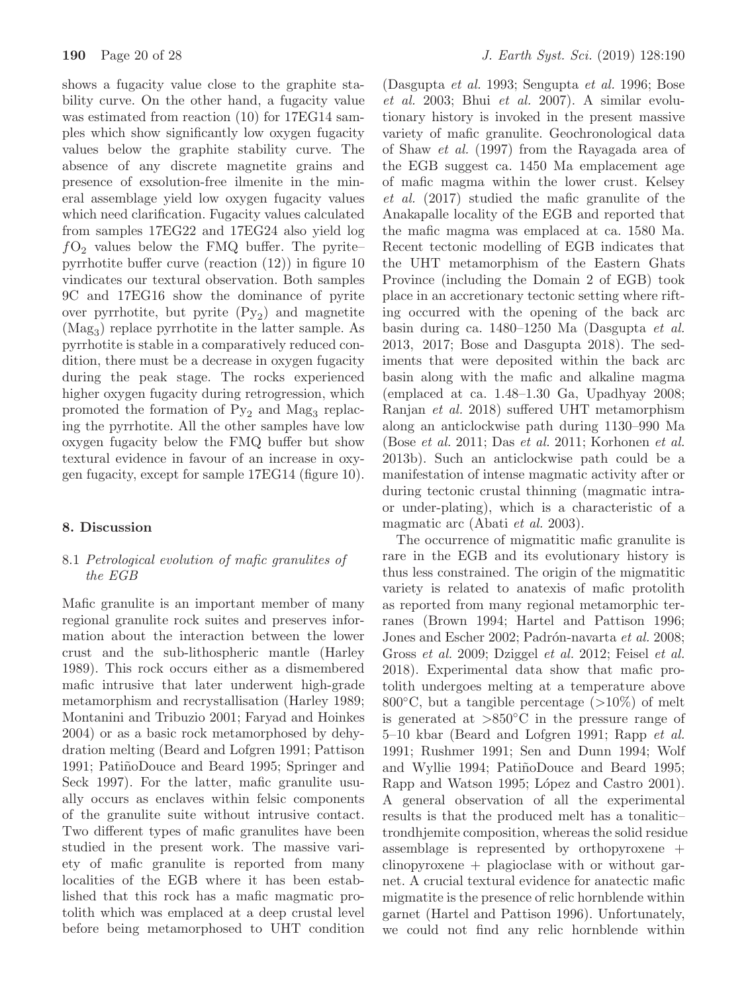shows a fugacity value close to the graphite stability curve. On the other hand, a fugacity value was estimated from reaction (10) for 17EG14 samples which show significantly low oxygen fugacity values below the graphite stability curve. The absence of any discrete magnetite grains and presence of exsolution-free ilmenite in the mineral assemblage yield low oxygen fugacity values which need clarification. Fugacity values calculated from samples 17EG22 and 17EG24 also yield log  $fO<sub>2</sub>$  values below the FMQ buffer. The pyrite– pyrrhotite buffer curve (reaction (12)) in figure 10 vindicates our textural observation. Both samples 9C and 17EG16 show the dominance of pyrite over pyrrhotite, but pyrite  $(Py_2)$  and magnetite  $(Mag<sub>3</sub>)$  replace pyrrhotite in the latter sample. As pyrrhotite is stable in a comparatively reduced condition, there must be a decrease in oxygen fugacity during the peak stage. The rocks experienced higher oxygen fugacity during retrogression, which promoted the formation of  $Py_2$  and Mag<sub>3</sub> replacing the pyrrhotite. All the other samples have low oxygen fugacity below the FMQ buffer but show textural evidence in favour of an increase in oxygen fugacity, except for sample 17EG14 (figure 10).

# **8. Discussion**

# 8.1 *Petrological evolution of mafic granulites of the EGB*

Mafic granulite is an important member of many regional granulite rock suites and preserves information about the interaction between the lower crust and the sub-lithospheric mantle (Harley 1989). This rock occurs either as a dismembered mafic intrusive that later underwent high-grade metamorphism and recrystallisation (Harley 1989; Montanini and Tribuzio 2001; Faryad and Hoinkes 2004) or as a basic rock metamorphosed by dehydration melting (Beard and Lofgren 1991; Pattison 1991; PatiñoDouce and Beard 1995; Springer and Seck 1997). For the latter, mafic granulite usually occurs as enclaves within felsic components of the granulite suite without intrusive contact. Two different types of mafic granulites have been studied in the present work. The massive variety of mafic granulite is reported from many localities of the EGB where it has been established that this rock has a mafic magmatic protolith which was emplaced at a deep crustal level before being metamorphosed to UHT condition

(Dasgupta *et al.* 1993; Sengupta *et al.* 1996; Bose *et al.* 2003; Bhui *et al.* 2007). A similar evolutionary history is invoked in the present massive variety of mafic granulite. Geochronological data of Shaw *et al.* (1997) from the Rayagada area of the EGB suggest ca. 1450 Ma emplacement age of mafic magma within the lower crust. Kelsey *et al.* (2017) studied the mafic granulite of the Anakapalle locality of the EGB and reported that the mafic magma was emplaced at ca. 1580 Ma. Recent tectonic modelling of EGB indicates that the UHT metamorphism of the Eastern Ghats Province (including the Domain 2 of EGB) took place in an accretionary tectonic setting where rifting occurred with the opening of the back arc basin during ca. 1480–1250 Ma (Dasgupta *et al.* 2013, 2017; Bose and Dasgupta 2018). The sediments that were deposited within the back arc basin along with the mafic and alkaline magma (emplaced at ca. 1.48–1.30 Ga, Upadhyay 2008; Ranjan *et al.* 2018) suffered UHT metamorphism along an anticlockwise path during 1130–990 Ma (Bose *et al.* 2011; Das *et al.* 2011; Korhonen *et al.* 2013b). Such an anticlockwise path could be a manifestation of intense magmatic activity after or during tectonic crustal thinning (magmatic intraor under-plating), which is a characteristic of a magmatic arc (Abati *et al.* 2003).

The occurrence of migmatitic mafic granulite is rare in the EGB and its evolutionary history is thus less constrained. The origin of the migmatitic variety is related to anatexis of mafic protolith as reported from many regional metamorphic terranes (Brown 1994; Hartel and Pattison 1996; Jones and Escher 2002; Padrón-navarta *et al.* 2008; Gross *et al.* 2009; Dziggel *et al.* 2012; Feisel *et al.* 2018). Experimental data show that mafic protolith undergoes melting at a temperature above 800 $^{\circ}$ C, but a tangible percentage (>10\%) of melt is generated at >850◦C in the pressure range of 5–10 kbar (Beard and Lofgren 1991; Rapp *et al.* 1991; Rushmer 1991; Sen and Dunn 1994; Wolf and Wyllie 1994; PatiñoDouce and Beard 1995; Rapp and Watson 1995; López and Castro 2001). A general observation of all the experimental results is that the produced melt has a tonalitic– trondhjemite composition, whereas the solid residue assemblage is represented by orthopyroxene + clinopyroxene + plagioclase with or without garnet. A crucial textural evidence for anatectic mafic migmatite is the presence of relic hornblende within garnet (Hartel and Pattison 1996). Unfortunately, we could not find any relic hornblende within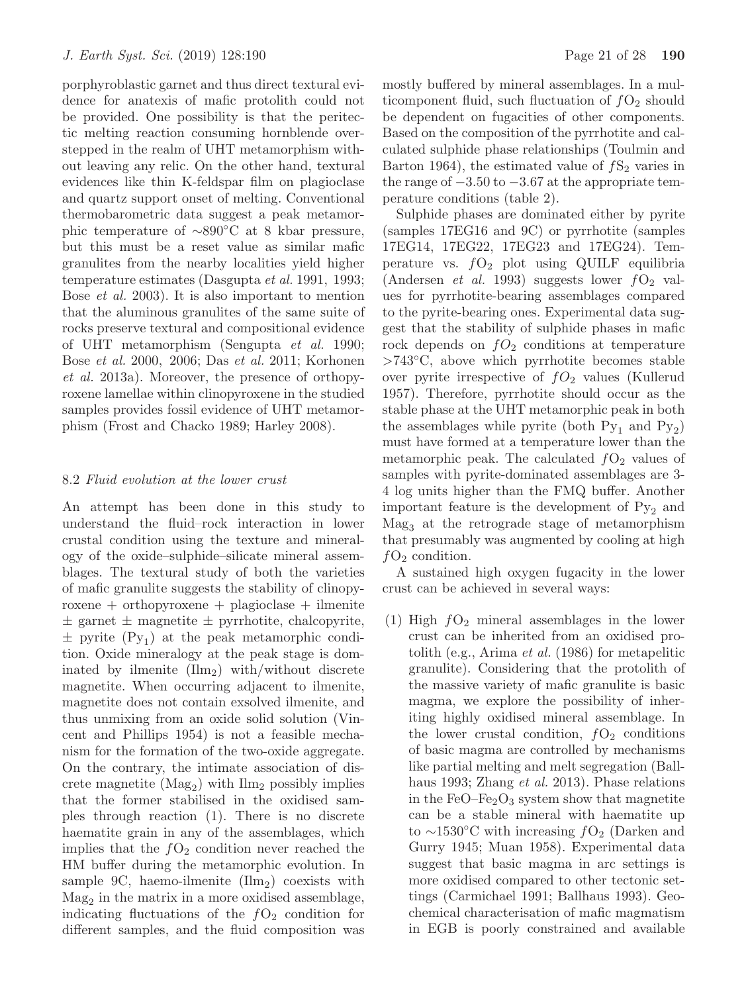porphyroblastic garnet and thus direct textural evidence for anatexis of mafic protolith could not be provided. One possibility is that the peritectic melting reaction consuming hornblende overstepped in the realm of UHT metamorphism without leaving any relic. On the other hand, textural evidences like thin K-feldspar film on plagioclase and quartz support onset of melting. Conventional thermobarometric data suggest a peak metamorphic temperature of ∼890◦C at 8 kbar pressure, but this must be a reset value as similar mafic granulites from the nearby localities yield higher temperature estimates (Dasgupta *et al.* 1991, 1993; Bose *et al.* 2003). It is also important to mention that the aluminous granulites of the same suite of rocks preserve textural and compositional evidence of UHT metamorphism (Sengupta *et al.* 1990; Bose *et al.* 2000, 2006; Das *et al.* 2011; Korhonen *et al.* 2013a). Moreover, the presence of orthopyroxene lamellae within clinopyroxene in the studied samples provides fossil evidence of UHT metamorphism (Frost and Chacko 1989; Harley 2008).

#### 8.2 *Fluid evolution at the lower crust*

An attempt has been done in this study to understand the fluid–rock interaction in lower crustal condition using the texture and mineralogy of the oxide–sulphide–silicate mineral assemblages. The textural study of both the varieties of mafic granulite suggests the stability of clinopyroxene + orthopyroxene + plagioclase + ilmenite  $\pm$  garnet  $\pm$  magnetite  $\pm$  pyrrhotite, chalcopyrite,  $\pm$  pyrite (Py<sub>1</sub>) at the peak metamorphic condition. Oxide mineralogy at the peak stage is dominated by ilmenite  $(\text{Ilm}_2)$  with/without discrete magnetite. When occurring adjacent to ilmenite, magnetite does not contain exsolved ilmenite, and thus unmixing from an oxide solid solution (Vincent and Phillips 1954) is not a feasible mechanism for the formation of the two-oxide aggregate. On the contrary, the intimate association of discrete magnetite  $(Mag_2)$  with  $Ilm_2$  possibly implies that the former stabilised in the oxidised samples through reaction (1). There is no discrete haematite grain in any of the assemblages, which implies that the  $fO_2$  condition never reached the HM buffer during the metamorphic evolution. In sample 9C, haemo-ilmenite  $(\text{Ilm}_2)$  coexists with  $Mag<sub>2</sub>$  in the matrix in a more oxidised assemblage, indicating fluctuations of the  $fO_2$  condition for different samples, and the fluid composition was

mostly buffered by mineral assemblages. In a multicomponent fluid, such fluctuation of  $fO<sub>2</sub>$  should be dependent on fugacities of other components. Based on the composition of the pyrrhotite and calculated sulphide phase relationships (Toulmin and Barton 1964), the estimated value of  $fS_2$  varies in the range of  $-3.50$  to  $-3.67$  at the appropriate temperature conditions (table 2).

Sulphide phases are dominated either by pyrite (samples 17EG16 and 9C) or pyrrhotite (samples 17EG14, 17EG22, 17EG23 and 17EG24). Temperature vs.  $fO_2$  plot using QUILF equilibria (Andersen *et al.* 1993) suggests lower  $fO_2$  values for pyrrhotite-bearing assemblages compared to the pyrite-bearing ones. Experimental data suggest that the stability of sulphide phases in mafic rock depends on  $fO_2$  conditions at temperature >743◦C, above which pyrrhotite becomes stable over pyrite irrespective of  $fO_2$  values (Kullerud 1957). Therefore, pyrrhotite should occur as the stable phase at the UHT metamorphic peak in both the assemblages while pyrite (both  $Py_1$  and  $Py_2$ ) must have formed at a temperature lower than the metamorphic peak. The calculated  $fO<sub>2</sub>$  values of samples with pyrite-dominated assemblages are 3- 4 log units higher than the FMQ buffer. Another important feature is the development of  $Py<sub>2</sub>$  and  $Mag<sub>3</sub>$  at the retrograde stage of metamorphism that presumably was augmented by cooling at high  $fO<sub>2</sub>$  condition.

A sustained high oxygen fugacity in the lower crust can be achieved in several ways:

(1) High  $fO_2$  mineral assemblages in the lower crust can be inherited from an oxidised protolith (e.g., Arima *et al.* (1986) for metapelitic granulite). Considering that the protolith of the massive variety of mafic granulite is basic magma, we explore the possibility of inheriting highly oxidised mineral assemblage. In the lower crustal condition,  $fO_2$  conditions of basic magma are controlled by mechanisms like partial melting and melt segregation (Ballhaus 1993; Zhang *et al.* 2013). Phase relations in the  $FeO-Fe<sub>2</sub>O<sub>3</sub>$  system show that magnetite can be a stable mineral with haematite up to ∼1530°C with increasing  $fO_2$  (Darken and Gurry 1945; Muan 1958). Experimental data suggest that basic magma in arc settings is more oxidised compared to other tectonic settings (Carmichael 1991; Ballhaus 1993). Geochemical characterisation of mafic magmatism in EGB is poorly constrained and available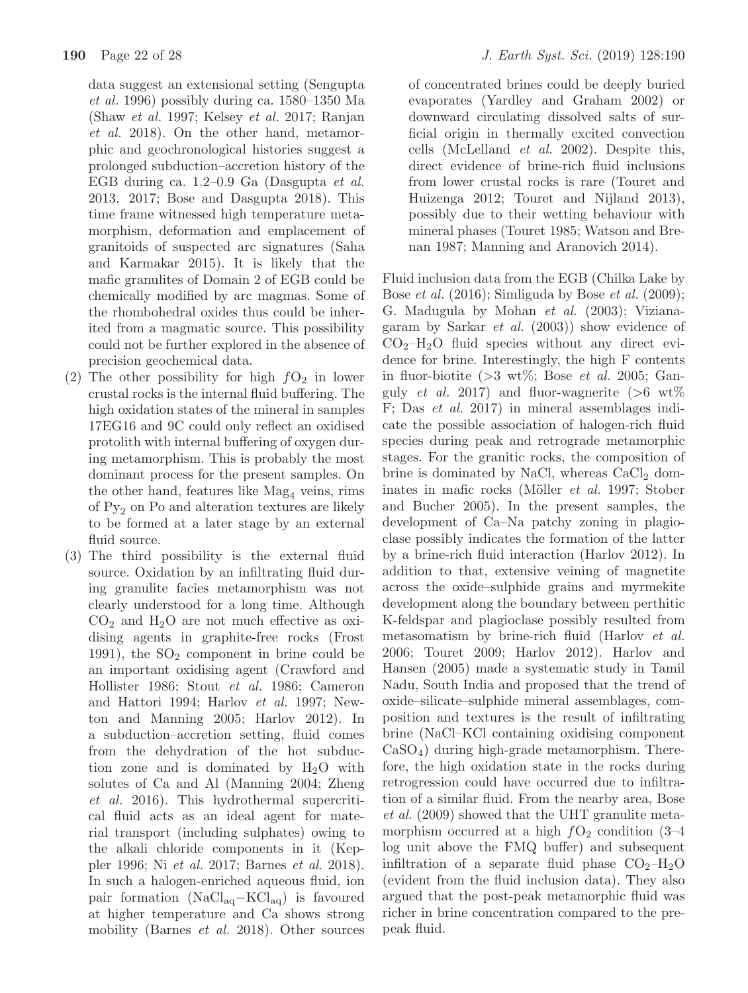data suggest an extensional setting (Sengupta *et al.* 1996) possibly during ca. 1580–1350 Ma (Shaw *et al.* 1997; Kelsey *et al.* 2017; Ranjan *et al.* 2018). On the other hand, metamorphic and geochronological histories suggest a prolonged subduction–accretion history of the EGB during ca. 1.2–0.9 Ga (Dasgupta *et al.* 2013, 2017; Bose and Dasgupta 2018). This time frame witnessed high temperature metamorphism, deformation and emplacement of granitoids of suspected arc signatures (Saha and Karmakar 2015). It is likely that the mafic granulites of Domain 2 of EGB could be chemically modified by arc magmas. Some of the rhombohedral oxides thus could be inherited from a magmatic source. This possibility could not be further explored in the absence of precision geochemical data.

- (2) The other possibility for high  $fO<sub>2</sub>$  in lower crustal rocks is the internal fluid buffering. The high oxidation states of the mineral in samples 17EG16 and 9C could only reflect an oxidised protolith with internal buffering of oxygen during metamorphism. This is probably the most dominant process for the present samples. On the other hand, features like  $Mag<sub>4</sub>$  veins, rims of  $Py_2$  on Po and alteration textures are likely to be formed at a later stage by an external fluid source.
- (3) The third possibility is the external fluid source. Oxidation by an infiltrating fluid during granulite facies metamorphism was not clearly understood for a long time. Although  $CO<sub>2</sub>$  and  $H<sub>2</sub>O$  are not much effective as oxidising agents in graphite-free rocks (Frost 1991), the  $SO<sub>2</sub>$  component in brine could be an important oxidising agent (Crawford and Hollister 1986; Stout *et al.* 1986; Cameron and Hattori 1994; Harlov *et al.* 1997; Newton and Manning 2005; Harlov 2012). In a subduction–accretion setting, fluid comes from the dehydration of the hot subduction zone and is dominated by  $H_2O$  with solutes of Ca and Al (Manning 2004; Zheng *et al.* 2016). This hydrothermal supercritical fluid acts as an ideal agent for material transport (including sulphates) owing to the alkali chloride components in it (Keppler 1996; Ni *et al.* 2017; Barnes *et al.* 2018). In such a halogen-enriched aqueous fluid, ion pair formation (NaClaq−KClaq) is favoured at higher temperature and Ca shows strong mobility (Barnes *et al.* 2018). Other sources

of concentrated brines could be deeply buried evaporates (Yardley and Graham 2002) or downward circulating dissolved salts of surficial origin in thermally excited convection cells (McLelland *et al.* 2002). Despite this, direct evidence of brine-rich fluid inclusions from lower crustal rocks is rare (Touret and Huizenga 2012; Touret and Nijland 2013), possibly due to their wetting behaviour with mineral phases (Touret 1985; Watson and Brenan 1987; Manning and Aranovich 2014).

Fluid inclusion data from the EGB (Chilka Lake by Bose *et al.* (2016); Simliguda by Bose *et al.* (2009); G. Madugula by Mohan *et al.* (2003); Vizianagaram by Sarkar *et al.* (2003)) show evidence of  $CO<sub>2</sub>–H<sub>2</sub>O$  fluid species without any direct evidence for brine. Interestingly, the high F contents in fluor-biotite  $(>3 \text{ wt\%})$ ; Bose *et al.* 2005; Ganguly *et al.* 2017) and fluor-wagnerite  $(>6 \text{ wt})$ F; Das *et al.* 2017) in mineral assemblages indicate the possible association of halogen-rich fluid species during peak and retrograde metamorphic stages. For the granitic rocks, the composition of brine is dominated by NaCl, whereas  $CaCl<sub>2</sub>$  dominates in mafic rocks (Möller *et al.* 1997; Stober and Bucher 2005). In the present samples, the development of Ca–Na patchy zoning in plagioclase possibly indicates the formation of the latter by a brine-rich fluid interaction (Harlov 2012). In addition to that, extensive veining of magnetite across the oxide–sulphide grains and myrmekite development along the boundary between perthitic K-feldspar and plagioclase possibly resulted from metasomatism by brine-rich fluid (Harlov *et al.* 2006; Touret 2009; Harlov 2012). Harlov and Hansen (2005) made a systematic study in Tamil Nadu, South India and proposed that the trend of oxide–silicate–sulphide mineral assemblages, composition and textures is the result of infiltrating brine (NaCl–KCl containing oxidising component  $CaSO<sub>4</sub>$ ) during high-grade metamorphism. Therefore, the high oxidation state in the rocks during retrogression could have occurred due to infiltration of a similar fluid. From the nearby area, Bose *et al.* (2009) showed that the UHT granulite metamorphism occurred at a high  $fO_2$  condition (3–4 log unit above the FMQ buffer) and subsequent infiltration of a separate fluid phase  $CO<sub>2</sub>–H<sub>2</sub>O$ (evident from the fluid inclusion data). They also argued that the post-peak metamorphic fluid was richer in brine concentration compared to the prepeak fluid.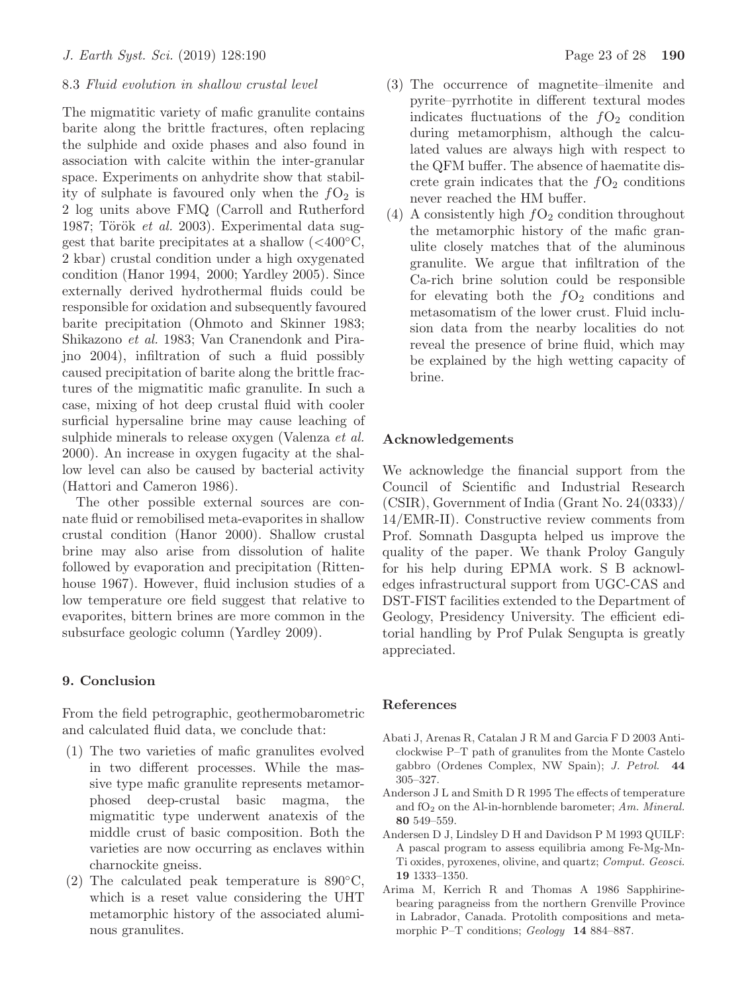#### 8.3 *Fluid evolution in shallow crustal level*

The migmatitic variety of mafic granulite contains barite along the brittle fractures, often replacing the sulphide and oxide phases and also found in association with calcite within the inter-granular space. Experiments on anhydrite show that stability of sulphate is favoured only when the  $fO<sub>2</sub>$  is 2 log units above FMQ (Carroll and Rutherford 1987; Török et al. 2003). Experimental data suggest that barite precipitates at a shallow  $( $400^{\circ}C$ ,$ 2 kbar) crustal condition under a high oxygenated condition (Hanor 1994, 2000; Yardley 2005). Since externally derived hydrothermal fluids could be responsible for oxidation and subsequently favoured barite precipitation (Ohmoto and Skinner 1983; Shikazono *et al.* 1983; Van Cranendonk and Pirajno 2004), infiltration of such a fluid possibly caused precipitation of barite along the brittle fractures of the migmatitic mafic granulite. In such a case, mixing of hot deep crustal fluid with cooler surficial hypersaline brine may cause leaching of sulphide minerals to release oxygen (Valenza *et al.* 2000). An increase in oxygen fugacity at the shallow level can also be caused by bacterial activity (Hattori and Cameron 1986).

The other possible external sources are connate fluid or remobilised meta-evaporites in shallow crustal condition (Hanor 2000). Shallow crustal brine may also arise from dissolution of halite followed by evaporation and precipitation (Rittenhouse 1967). However, fluid inclusion studies of a low temperature ore field suggest that relative to evaporites, bittern brines are more common in the subsurface geologic column (Yardley 2009).

# **9. Conclusion**

From the field petrographic, geothermobarometric and calculated fluid data, we conclude that:

- (1) The two varieties of mafic granulites evolved in two different processes. While the massive type mafic granulite represents metamorphosed deep-crustal basic magma, the migmatitic type underwent anatexis of the middle crust of basic composition. Both the varieties are now occurring as enclaves within charnockite gneiss.
- (2) The calculated peak temperature is  $890^{\circ}$ C, which is a reset value considering the UHT metamorphic history of the associated aluminous granulites.
- (3) The occurrence of magnetite–ilmenite and pyrite–pyrrhotite in different textural modes indicates fluctuations of the  $fO<sub>2</sub>$  condition during metamorphism, although the calculated values are always high with respect to the QFM buffer. The absence of haematite discrete grain indicates that the  $fO_2$  conditions never reached the HM buffer.
- (4) A consistently high  $fO_2$  condition throughout the metamorphic history of the mafic granulite closely matches that of the aluminous granulite. We argue that infiltration of the Ca-rich brine solution could be responsible for elevating both the  $fO_2$  conditions and metasomatism of the lower crust. Fluid inclusion data from the nearby localities do not reveal the presence of brine fluid, which may be explained by the high wetting capacity of brine.

### **Acknowledgements**

We acknowledge the financial support from the Council of Scientific and Industrial Research (CSIR), Government of India (Grant No. 24(0333)/ 14/EMR-II). Constructive review comments from Prof. Somnath Dasgupta helped us improve the quality of the paper. We thank Proloy Ganguly for his help during EPMA work. S B acknowledges infrastructural support from UGC-CAS and DST-FIST facilities extended to the Department of Geology, Presidency University. The efficient editorial handling by Prof Pulak Sengupta is greatly appreciated.

#### **References**

- Abati J, Arenas R, Catalan J R M and Garcia F D 2003 Anticlockwise P–T path of granulites from the Monte Castelo gabbro (Ordenes Complex, NW Spain); J. Petrol. **44** 305–327.
- Anderson J L and Smith D R 1995 The effects of temperature and  $fO_2$  on the Al-in-hornblende barometer; Am. Mineral. **80** 549–559.
- Andersen D J, Lindsley D H and Davidson P M 1993 QUILF: A pascal program to assess equilibria among Fe-Mg-Mn-Ti oxides, pyroxenes, olivine, and quartz; Comput. Geosci. **19** 1333–1350.
- Arima M, Kerrich R and Thomas A 1986 Sapphirinebearing paragneiss from the northern Grenville Province in Labrador, Canada. Protolith compositions and metamorphic P–T conditions; Geology **14** 884–887.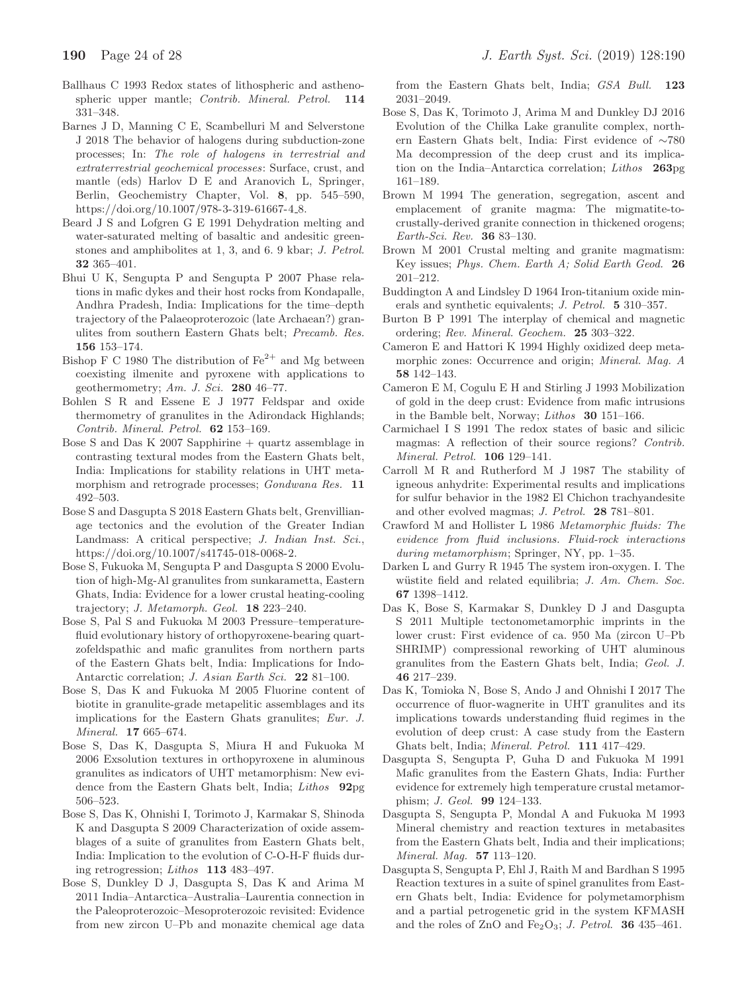- Ballhaus C 1993 Redox states of lithospheric and asthenospheric upper mantle; Contrib. Mineral. Petrol. **114** 331–348.
- Barnes J D, Manning C E, Scambelluri M and Selverstone J 2018 The behavior of halogens during subduction-zone processes; In: The role of halogens in terrestrial and extraterrestrial geochemical processes: Surface, crust, and mantle (eds) Harlov D E and Aranovich L, Springer, Berlin, Geochemistry Chapter, Vol. **8**, pp. 545–590, https://doi.org/10.1007/978-3-319-61667-4\_8.
- Beard J S and Lofgren G E 1991 Dehydration melting and water-saturated melting of basaltic and andesitic greenstones and amphibolites at 1, 3, and 6. 9 kbar; J. Petrol. **32** 365–401.
- Bhui U K, Sengupta P and Sengupta P 2007 Phase relations in mafic dykes and their host rocks from Kondapalle, Andhra Pradesh, India: Implications for the time–depth trajectory of the Palaeoproterozoic (late Archaean?) granulites from southern Eastern Ghats belt; Precamb. Res. **156** 153–174.
- Bishop F C 1980 The distribution of  $\text{Fe}^{2+}$  and Mg between coexisting ilmenite and pyroxene with applications to geothermometry; Am. J. Sci. **280** 46–77.
- Bohlen S R and Essene E J 1977 Feldspar and oxide thermometry of granulites in the Adirondack Highlands; Contrib. Mineral. Petrol. **62** 153–169.
- Bose S and Das K  $2007$  Sapphirine  $+$  quartz assemblage in contrasting textural modes from the Eastern Ghats belt, India: Implications for stability relations in UHT metamorphism and retrograde processes; Gondwana Res. **11** 492–503.
- Bose S and Dasgupta S 2018 Eastern Ghats belt, Grenvillianage tectonics and the evolution of the Greater Indian Landmass: A critical perspective; J. Indian Inst. Sci., https://doi.org/10.1007/s41745-018-0068-2.
- Bose S, Fukuoka M, Sengupta P and Dasgupta S 2000 Evolution of high-Mg-Al granulites from sunkarametta, Eastern Ghats, India: Evidence for a lower crustal heating-cooling trajectory; J. Metamorph. Geol. **18** 223–240.
- Bose S, Pal S and Fukuoka M 2003 Pressure–temperaturefluid evolutionary history of orthopyroxene-bearing quartzofeldspathic and mafic granulites from northern parts of the Eastern Ghats belt, India: Implications for Indo-Antarctic correlation; J. Asian Earth Sci. **22** 81–100.
- Bose S, Das K and Fukuoka M 2005 Fluorine content of biotite in granulite-grade metapelitic assemblages and its implications for the Eastern Ghats granulites; Eur. J. Mineral. **17** 665–674.
- Bose S, Das K, Dasgupta S, Miura H and Fukuoka M 2006 Exsolution textures in orthopyroxene in aluminous granulites as indicators of UHT metamorphism: New evidence from the Eastern Ghats belt, India; Lithos **92**pg 506–523.
- Bose S, Das K, Ohnishi I, Torimoto J, Karmakar S, Shinoda K and Dasgupta S 2009 Characterization of oxide assemblages of a suite of granulites from Eastern Ghats belt, India: Implication to the evolution of C-O-H-F fluids during retrogression; Lithos **113** 483–497.
- Bose S, Dunkley D J, Dasgupta S, Das K and Arima M 2011 India–Antarctica–Australia–Laurentia connection in the Paleoproterozoic–Mesoproterozoic revisited: Evidence from new zircon U–Pb and monazite chemical age data

from the Eastern Ghats belt, India; GSA Bull. **123** 2031–2049.

- Bose S, Das K, Torimoto J, Arima M and Dunkley DJ 2016 Evolution of the Chilka Lake granulite complex, northern Eastern Ghats belt, India: First evidence of ∼780 Ma decompression of the deep crust and its implication on the India–Antarctica correlation; Lithos **263**pg 161–189.
- Brown M 1994 The generation, segregation, ascent and emplacement of granite magma: The migmatite-tocrustally-derived granite connection in thickened orogens; Earth-Sci. Rev. **36** 83–130.
- Brown M 2001 Crustal melting and granite magmatism: Key issues; Phys. Chem. Earth A; Solid Earth Geod. **26** 201–212.
- Buddington A and Lindsley D 1964 Iron-titanium oxide minerals and synthetic equivalents; J. Petrol. **5** 310–357.
- Burton B P 1991 The interplay of chemical and magnetic ordering; Rev. Mineral. Geochem. **25** 303–322.
- Cameron E and Hattori K 1994 Highly oxidized deep metamorphic zones: Occurrence and origin; Mineral. Mag. A **58** 142–143.
- Cameron E M, Cogulu E H and Stirling J 1993 Mobilization of gold in the deep crust: Evidence from mafic intrusions in the Bamble belt, Norway; Lithos **30** 151–166.
- Carmichael I S 1991 The redox states of basic and silicic magmas: A reflection of their source regions? Contrib. Mineral. Petrol. **106** 129–141.
- Carroll M R and Rutherford M J 1987 The stability of igneous anhydrite: Experimental results and implications for sulfur behavior in the 1982 El Chichon trachyandesite and other evolved magmas; J. Petrol. **28** 781–801.
- Crawford M and Hollister L 1986 Metamorphic fluids: The evidence from fluid inclusions. Fluid-rock interactions during metamorphism; Springer, NY, pp. 1–35.
- Darken L and Gurry R 1945 The system iron-oxygen. I. The wüstite field and related equilibria; J. Am. Chem. Soc. **67** 1398–1412.
- Das K, Bose S, Karmakar S, Dunkley D J and Dasgupta S 2011 Multiple tectonometamorphic imprints in the lower crust: First evidence of ca. 950 Ma (zircon U–Pb SHRIMP) compressional reworking of UHT aluminous granulites from the Eastern Ghats belt, India; Geol. J. **46** 217–239.
- Das K, Tomioka N, Bose S, Ando J and Ohnishi I 2017 The occurrence of fluor-wagnerite in UHT granulites and its implications towards understanding fluid regimes in the evolution of deep crust: A case study from the Eastern Ghats belt, India; Mineral. Petrol. **111** 417–429.
- Dasgupta S, Sengupta P, Guha D and Fukuoka M 1991 Mafic granulites from the Eastern Ghats, India: Further evidence for extremely high temperature crustal metamorphism; J. Geol. **99** 124–133.
- Dasgupta S, Sengupta P, Mondal A and Fukuoka M 1993 Mineral chemistry and reaction textures in metabasites from the Eastern Ghats belt, India and their implications; Mineral. Mag. **57** 113–120.
- Dasgupta S, Sengupta P, Ehl J, Raith M and Bardhan S 1995 Reaction textures in a suite of spinel granulites from Eastern Ghats belt, India: Evidence for polymetamorphism and a partial petrogenetic grid in the system KFMASH and the roles of ZnO and Fe2O3; J. Petrol. **<sup>36</sup>** 435–461.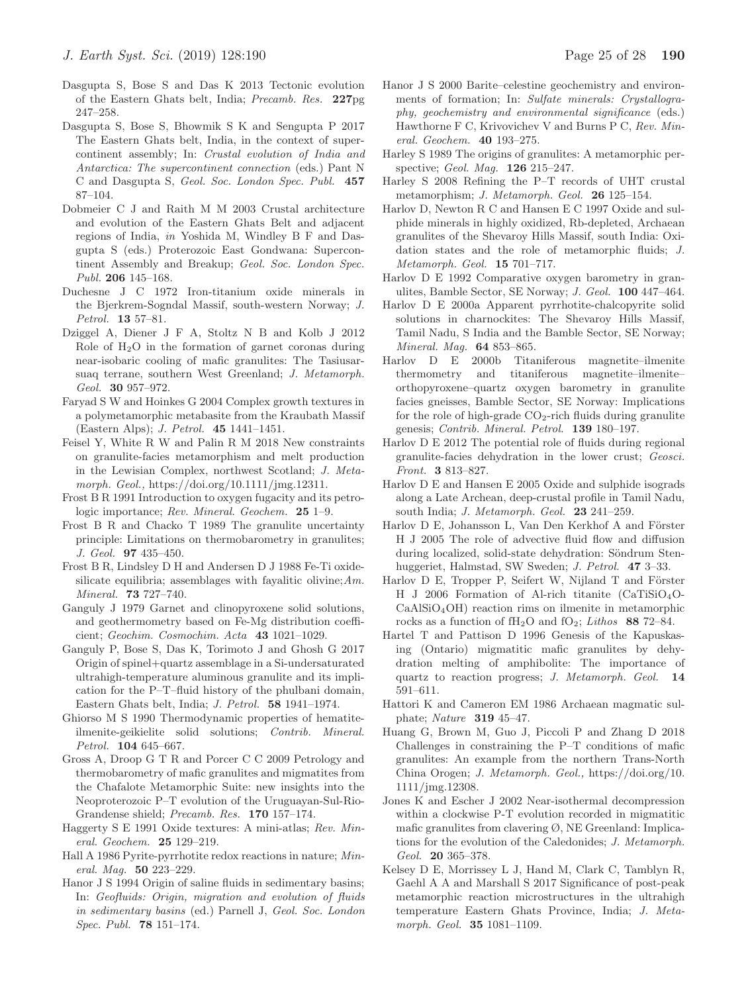- Dasgupta S, Bose S and Das K 2013 Tectonic evolution of the Eastern Ghats belt, India; Precamb. Res. **227**pg 247–258.
- Dasgupta S, Bose S, Bhowmik S K and Sengupta P 2017 The Eastern Ghats belt, India, in the context of supercontinent assembly; In: Crustal evolution of India and Antarctica: The supercontinent connection (eds.) Pant N C and Dasgupta S, Geol. Soc. London Spec. Publ. **457** 87–104.
- Dobmeier C J and Raith M M 2003 Crustal architecture and evolution of the Eastern Ghats Belt and adjacent regions of India, in Yoshida M, Windley B F and Dasgupta S (eds.) Proterozoic East Gondwana: Supercontinent Assembly and Breakup; Geol. Soc. London Spec. Publ. **206** 145–168.
- Duchesne J C 1972 Iron-titanium oxide minerals in the Bjerkrem-Sogndal Massif, south-western Norway; J. Petrol. **13** 57–81.
- Dziggel A, Diener J F A, Stoltz N B and Kolb J 2012 Role of  $H_2O$  in the formation of garnet coronas during near-isobaric cooling of mafic granulites: The Tasiusarsuaq terrane, southern West Greenland; J. Metamorph. Geol. **30** 957–972.
- Faryad S W and Hoinkes G 2004 Complex growth textures in a polymetamorphic metabasite from the Kraubath Massif (Eastern Alps); J. Petrol. **45** 1441–1451.
- Feisel Y, White R W and Palin R M 2018 New constraints on granulite-facies metamorphism and melt production in the Lewisian Complex, northwest Scotland; J. Metamorph. Geol., https://doi.org/10.1111/jmg.12311.
- Frost B R 1991 Introduction to oxygen fugacity and its petrologic importance; Rev. Mineral. Geochem. **25** 1–9.
- Frost B R and Chacko T 1989 The granulite uncertainty principle: Limitations on thermobarometry in granulites; J. Geol. **97** 435–450.
- Frost B R, Lindsley D H and Andersen D J 1988 Fe-Ti oxidesilicate equilibria; assemblages with fayalitic olivine;  $Am$ . Mineral. **73** 727–740.
- Ganguly J 1979 Garnet and clinopyroxene solid solutions, and geothermometry based on Fe-Mg distribution coefficient; Geochim. Cosmochim. Acta **43** 1021–1029.
- Ganguly P, Bose S, Das K, Torimoto J and Ghosh G 2017 Origin of spinel+quartz assemblage in a Si-undersaturated ultrahigh-temperature aluminous granulite and its implication for the P–T–fluid history of the phulbani domain, Eastern Ghats belt, India; J. Petrol. **58** 1941–1974.
- Ghiorso M S 1990 Thermodynamic properties of hematiteilmenite-geikielite solid solutions; Contrib. Mineral. Petrol. **104** 645–667.
- Gross A, Droop G T R and Porcer C C 2009 Petrology and thermobarometry of mafic granulites and migmatites from the Chafalote Metamorphic Suite: new insights into the Neoproterozoic P–T evolution of the Uruguayan-Sul-Rio-Grandense shield; Precamb. Res. **170** 157–174.
- Haggerty S E 1991 Oxide textures: A mini-atlas; Rev. Mineral. Geochem. **25** 129–219.
- Hall A 1986 Pyrite-pyrrhotite redox reactions in nature; Mineral. Mag. **50** 223–229.
- Hanor J S 1994 Origin of saline fluids in sedimentary basins; In: Geofluids: Origin, migration and evolution of fluids in sedimentary basins (ed.) Parnell J, Geol. Soc. London Spec. Publ. **78** 151–174.
- Hanor J S 2000 Barite–celestine geochemistry and environments of formation; In: Sulfate minerals: Crystallography, geochemistry and environmental significance (eds.) Hawthorne F C, Krivovichev V and Burns P C, Rev. Mineral. Geochem. **40** 193–275.
- Harley S 1989 The origins of granulites: A metamorphic perspective; Geol. Mag. **126** 215–247.
- Harley S 2008 Refining the P–T records of UHT crustal metamorphism; J. Metamorph. Geol. **26** 125–154.
- Harlov D, Newton R C and Hansen E C 1997 Oxide and sulphide minerals in highly oxidized, Rb-depleted, Archaean granulites of the Shevaroy Hills Massif, south India: Oxidation states and the role of metamorphic fluids; J. Metamorph. Geol. **15** 701–717.
- Harlov D E 1992 Comparative oxygen barometry in granulites, Bamble Sector, SE Norway; J. Geol. **100** 447–464.
- Harlov D E 2000a Apparent pyrrhotite-chalcopyrite solid solutions in charnockites: The Shevaroy Hills Massif, Tamil Nadu, S India and the Bamble Sector, SE Norway; Mineral. Mag. **64** 853–865.
- Harlov D E 2000b Titaniferous magnetite–ilmenite thermometry and titaniferous magnetite–ilmenite– orthopyroxene–quartz oxygen barometry in granulite facies gneisses, Bamble Sector, SE Norway: Implications for the role of high-grade  $CO<sub>2</sub>$ -rich fluids during granulite genesis; Contrib. Mineral. Petrol. **139** 180–197.
- Harlov D E 2012 The potential role of fluids during regional granulite-facies dehydration in the lower crust; Geosci. Front. **3** 813–827.
- Harlov D E and Hansen E 2005 Oxide and sulphide isograds along a Late Archean, deep-crustal profile in Tamil Nadu, south India; J. Metamorph. Geol. **23** 241–259.
- Harlov D E, Johansson L, Van Den Kerkhof A and Förster H J 2005 The role of advective fluid flow and diffusion during localized, solid-state dehydration: Söndrum Stenhuggeriet, Halmstad, SW Sweden; J. Petrol. **47** 3–33.
- Harlov D E, Tropper P, Seifert W, Nijland T and Förster H J 2006 Formation of Al-rich titanite  $(CaTiSiO<sub>4</sub>O CaAlSiO<sub>4</sub>OH$ ) reaction rims on ilmenite in metamorphic rocks as a function of fH2O and fO2; Lithos **<sup>88</sup>** 72–84.
- Hartel T and Pattison D 1996 Genesis of the Kapuskasing (Ontario) migmatitic mafic granulites by dehydration melting of amphibolite: The importance of quartz to reaction progress; J. Metamorph. Geol. **14** 591–611.
- Hattori K and Cameron EM 1986 Archaean magmatic sulphate; Nature **319** 45–47.
- Huang G, Brown M, Guo J, Piccoli P and Zhang D 2018 Challenges in constraining the P–T conditions of mafic granulites: An example from the northern Trans-North China Orogen; J. Metamorph. Geol., https://doi.org/10. 1111/jmg.12308.
- Jones K and Escher J 2002 Near-isothermal decompression within a clockwise P-T evolution recorded in migmatitic mafic granulites from clavering  $\emptyset$ , NE Greenland: Implications for the evolution of the Caledonides; J. Metamorph. Geol. **20** 365–378.
- Kelsey D E, Morrissey L J, Hand M, Clark C, Tamblyn R, Gaehl A A and Marshall S 2017 Significance of post-peak metamorphic reaction microstructures in the ultrahigh temperature Eastern Ghats Province, India; J. Metamorph. Geol. **35** 1081–1109.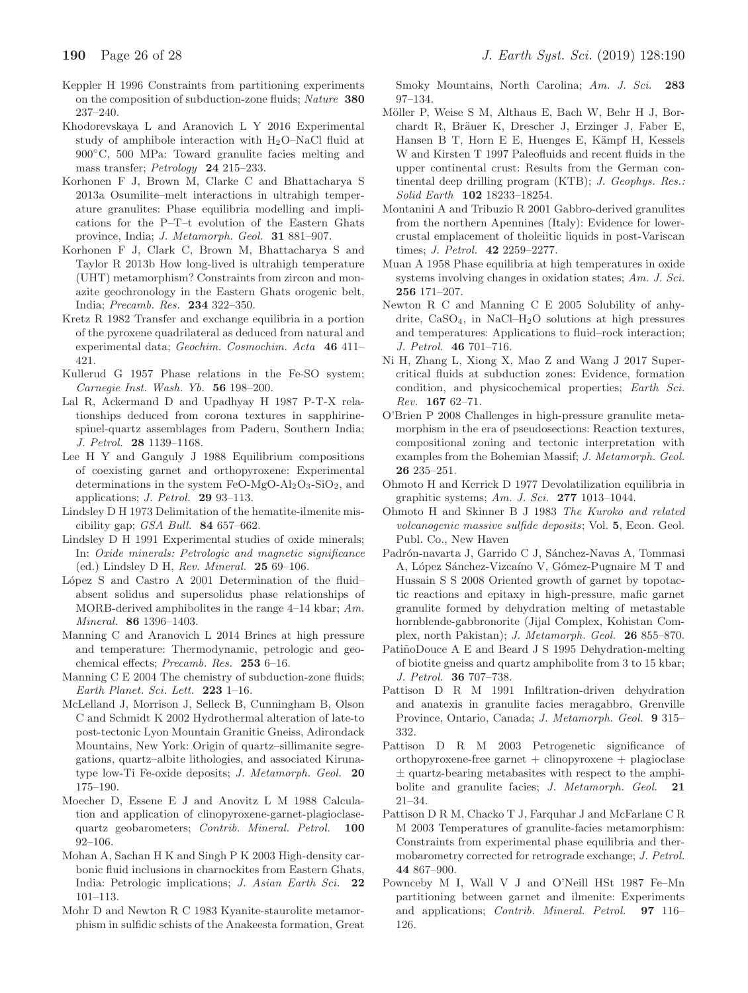- Keppler H 1996 Constraints from partitioning experiments on the composition of subduction-zone fluids; Nature **380** 237–240.
- Khodorevskaya L and Aranovich L Y 2016 Experimental study of amphibole interaction with H2O–NaCl fluid at 900◦C, 500 MPa: Toward granulite facies melting and mass transfer; Petrology **24** 215–233.
- Korhonen F J, Brown M, Clarke C and Bhattacharya S 2013a Osumilite–melt interactions in ultrahigh temperature granulites: Phase equilibria modelling and implications for the P–T–t evolution of the Eastern Ghats province, India; J. Metamorph. Geol. **31** 881–907.
- Korhonen F J, Clark C, Brown M, Bhattacharya S and Taylor R 2013b How long-lived is ultrahigh temperature (UHT) metamorphism? Constraints from zircon and monazite geochronology in the Eastern Ghats orogenic belt, India; Precamb. Res. **234** 322–350.
- Kretz R 1982 Transfer and exchange equilibria in a portion of the pyroxene quadrilateral as deduced from natural and experimental data; Geochim. Cosmochim. Acta **46** 411– 421.
- Kullerud G 1957 Phase relations in the Fe-SO system; Carnegie Inst. Wash. Yb. **56** 198–200.
- Lal R, Ackermand D and Upadhyay H 1987 P-T-X relationships deduced from corona textures in sapphirinespinel-quartz assemblages from Paderu, Southern India; J. Petrol. **28** 1139–1168.
- Lee H Y and Ganguly J 1988 Equilibrium compositions of coexisting garnet and orthopyroxene: Experimental determinations in the system FeO-MgO-Al<sub>2</sub>O<sub>3</sub>-SiO<sub>2</sub>, and applications; J. Petrol. **29** 93–113.
- Lindsley D H 1973 Delimitation of the hematite-ilmenite miscibility gap; GSA Bull. **84** 657–662.
- Lindsley D H 1991 Experimental studies of oxide minerals; In: Oxide minerals: Petrologic and magnetic significance (ed.) Lindsley D H, Rev. Mineral. **25** 69–106.
- López S and Castro A 2001 Determination of the fluidabsent solidus and supersolidus phase relationships of MORB-derived amphibolites in the range 4–14 kbar; Am. Mineral. **86** 1396–1403.
- Manning C and Aranovich L 2014 Brines at high pressure and temperature: Thermodynamic, petrologic and geochemical effects; Precamb. Res. **253** 6–16.
- Manning C E 2004 The chemistry of subduction-zone fluids; Earth Planet. Sci. Lett. **223** 1–16.
- McLelland J, Morrison J, Selleck B, Cunningham B, Olson C and Schmidt K 2002 Hydrothermal alteration of late-to post-tectonic Lyon Mountain Granitic Gneiss, Adirondack Mountains, New York: Origin of quartz–sillimanite segregations, quartz–albite lithologies, and associated Kirunatype low-Ti Fe-oxide deposits; J. Metamorph. Geol. **20** 175–190.
- Moecher D, Essene E J and Anovitz L M 1988 Calculation and application of clinopyroxene-garnet-plagioclasequartz geobarometers; Contrib. Mineral. Petrol. **100** 92–106.
- Mohan A, Sachan H K and Singh P K 2003 High-density carbonic fluid inclusions in charnockites from Eastern Ghats, India: Petrologic implications; J. Asian Earth Sci. **22** 101–113.
- Mohr D and Newton R C 1983 Kyanite-staurolite metamorphism in sulfidic schists of the Anakeesta formation, Great

Smoky Mountains, North Carolina; Am. J. Sci. **283** 97–134.

- Möller P, Weise S M, Althaus E, Bach W, Behr H J, Borchardt R, Bräuer K, Drescher J, Erzinger J, Faber E, Hansen B T, Horn E E, Huenges E, Kämpf H, Kessels W and Kirsten T 1997 Paleofluids and recent fluids in the upper continental crust: Results from the German continental deep drilling program (KTB); J. Geophys. Res.: Solid Earth **102** 18233–18254.
- Montanini A and Tribuzio R 2001 Gabbro-derived granulites from the northern Apennines (Italy): Evidence for lowercrustal emplacement of tholeiitic liquids in post-Variscan times; J. Petrol. **42** 2259–2277.
- Muan A 1958 Phase equilibria at high temperatures in oxide systems involving changes in oxidation states; Am. J. Sci. **256** 171–207.
- Newton R C and Manning C E 2005 Solubility of anhydrite, CaSO4, in NaCl–H2O solutions at high pressures and temperatures: Applications to fluid–rock interaction; J. Petrol. **46** 701–716.
- Ni H, Zhang L, Xiong X, Mao Z and Wang J 2017 Supercritical fluids at subduction zones: Evidence, formation condition, and physicochemical properties; Earth Sci. Rev. **167** 62–71.
- O'Brien P 2008 Challenges in high-pressure granulite metamorphism in the era of pseudosections: Reaction textures, compositional zoning and tectonic interpretation with examples from the Bohemian Massif; J. Metamorph. Geol. **26** 235–251.
- Ohmoto H and Kerrick D 1977 Devolatilization equilibria in graphitic systems; Am. J. Sci. **277** 1013–1044.
- Ohmoto H and Skinner B J 1983 The Kuroko and related volcanogenic massive sulfide deposits; Vol. **5**, Econ. Geol. Publ. Co., New Haven
- Padrón-navarta J, Garrido C J, Sánchez-Navas A, Tommasi A, López Sánchez-Vizcaíno V, Gómez-Pugnaire M T and Hussain S S 2008 Oriented growth of garnet by topotactic reactions and epitaxy in high-pressure, mafic garnet granulite formed by dehydration melting of metastable hornblende-gabbronorite (Jijal Complex, Kohistan Complex, north Pakistan); J. Metamorph. Geol. **26** 855–870.
- PatiñoDouce A E and Beard J S 1995 Dehydration-melting of biotite gneiss and quartz amphibolite from 3 to 15 kbar; J. Petrol. **36** 707–738.
- Pattison D R M 1991 Infiltration-driven dehydration and anatexis in granulite facies meragabbro, Grenville Province, Ontario, Canada; J. Metamorph. Geol. **9** 315– 332.
- Pattison D R M 2003 Petrogenetic significance of orthopyroxene-free garnet + clinopyroxene + plagioclase  $\pm$  quartz-bearing metabasites with respect to the amphi-<br>bolite and granulite facies: *J. Metamorph. Geol.* 21 bolite and granulite facies; J. Metamorph. Geol. **21** 21–34.
- Pattison D R M, Chacko T J, Farquhar J and McFarlane C R M 2003 Temperatures of granulite-facies metamorphism: Constraints from experimental phase equilibria and thermobarometry corrected for retrograde exchange; J. Petrol. **44** 867–900.
- Pownceby M I, Wall V J and O'Neill HSt 1987 Fe–Mn partitioning between garnet and ilmenite: Experiments and applications; Contrib. Mineral. Petrol. **97** 116– 126.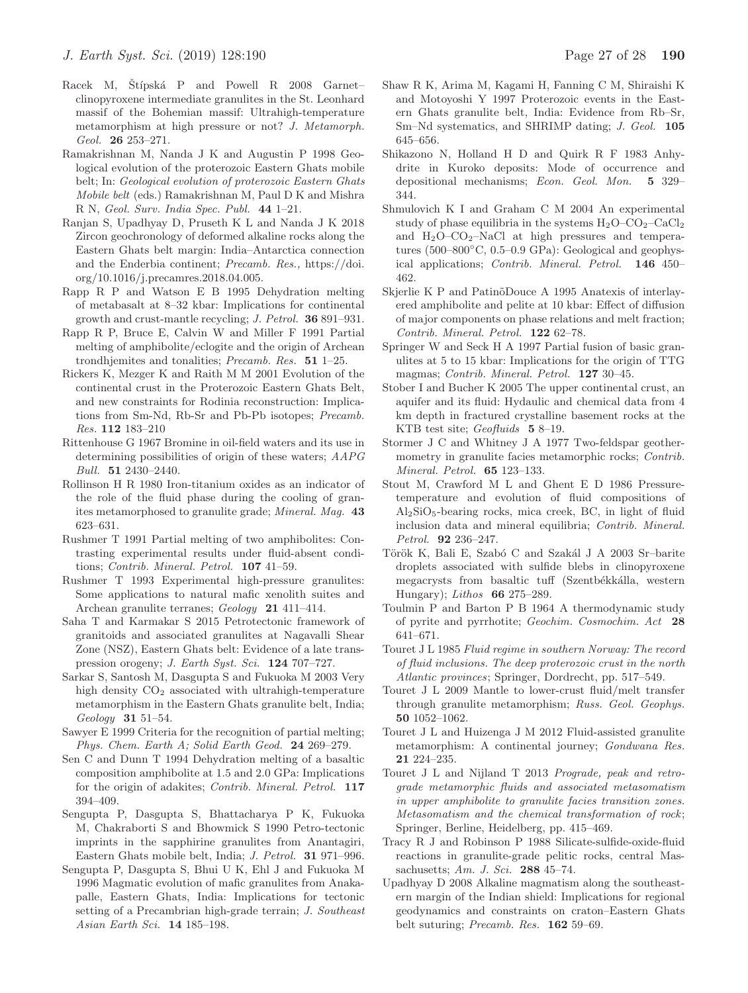- Racek M, Štípská P and Powell R 2008 Garnet– clinopyroxene intermediate granulites in the St. Leonhard massif of the Bohemian massif: Ultrahigh-temperature metamorphism at high pressure or not? J. Metamorph. Geol. **26** 253–271.
- Ramakrishnan M, Nanda J K and Augustin P 1998 Geological evolution of the proterozoic Eastern Ghats mobile belt; In: Geological evolution of proterozoic Eastern Ghats Mobile belt (eds.) Ramakrishnan M, Paul D K and Mishra R N, Geol. Surv. India Spec. Publ. **44** 1–21.
- Ranjan S, Upadhyay D, Pruseth K L and Nanda J K 2018 Zircon geochronology of deformed alkaline rocks along the Eastern Ghats belt margin: India–Antarctica connection and the Enderbia continent; Precamb. Res., https://doi. org/10.1016/j.precamres.2018.04.005.
- Rapp R P and Watson E B 1995 Dehydration melting of metabasalt at 8–32 kbar: Implications for continental growth and crust-mantle recycling; J. Petrol. **36** 891–931.
- Rapp R P, Bruce E, Calvin W and Miller F 1991 Partial melting of amphibolite/eclogite and the origin of Archean trondhjemites and tonalities; Precamb. Res. **51** 1–25.
- Rickers K, Mezger K and Raith M M 2001 Evolution of the continental crust in the Proterozoic Eastern Ghats Belt, and new constraints for Rodinia reconstruction: Implications from Sm-Nd, Rb-Sr and Pb-Pb isotopes; Precamb. Res. **112** 183–210
- Rittenhouse G 1967 Bromine in oil-field waters and its use in determining possibilities of origin of these waters; AAPG Bull. **51** 2430–2440.
- Rollinson H R 1980 Iron-titanium oxides as an indicator of the role of the fluid phase during the cooling of granites metamorphosed to granulite grade; Mineral. Mag. **43** 623–631.
- Rushmer T 1991 Partial melting of two amphibolites: Contrasting experimental results under fluid-absent conditions; Contrib. Mineral. Petrol. **107** 41–59.
- Rushmer T 1993 Experimental high-pressure granulites: Some applications to natural mafic xenolith suites and Archean granulite terranes; Geology **21** 411–414.
- Saha T and Karmakar S 2015 Petrotectonic framework of granitoids and associated granulites at Nagavalli Shear Zone (NSZ), Eastern Ghats belt: Evidence of a late transpression orogeny; J. Earth Syst. Sci. **124** 707–727.
- Sarkar S, Santosh M, Dasgupta S and Fukuoka M 2003 Very high density  $CO<sub>2</sub>$  associated with ultrahigh-temperature metamorphism in the Eastern Ghats granulite belt, India; Geology **31** 51–54.
- Sawyer E 1999 Criteria for the recognition of partial melting; Phys. Chem. Earth A; Solid Earth Geod. **24** 269–279.
- Sen C and Dunn T 1994 Dehydration melting of a basaltic composition amphibolite at 1.5 and 2.0 GPa: Implications for the origin of adakites; Contrib. Mineral. Petrol. **117** 394–409.
- Sengupta P, Dasgupta S, Bhattacharya P K, Fukuoka M, Chakraborti S and Bhowmick S 1990 Petro-tectonic imprints in the sapphirine granulites from Anantagiri, Eastern Ghats mobile belt, India; J. Petrol. **31** 971–996.
- Sengupta P, Dasgupta S, Bhui U K, Ehl J and Fukuoka M 1996 Magmatic evolution of mafic granulites from Anakapalle, Eastern Ghats, India: Implications for tectonic setting of a Precambrian high-grade terrain; J. Southeast Asian Earth Sci. **14** 185–198.
- Shaw R K, Arima M, Kagami H, Fanning C M, Shiraishi K and Motoyoshi Y 1997 Proterozoic events in the Eastern Ghats granulite belt, India: Evidence from Rb–Sr, Sm–Nd systematics, and SHRIMP dating; J. Geol. **105** 645–656.
- Shikazono N, Holland H D and Quirk R F 1983 Anhydrite in Kuroko deposits: Mode of occurrence and depositional mechanisms; Econ. Geol. Mon. **5** 329– 344.
- Shmulovich K I and Graham C M 2004 An experimental study of phase equilibria in the systems  $H_2O-CO_2-CaCl_2$ and  $H_2O-CO_2-NaCl$  at high pressures and temperatures  $(500-800°\text{C}, 0.5-0.9 \text{ GPa})$ : Geological and geophysical applications; Contrib. Mineral. Petrol. **146** 450– 462.
- Skjerlie K P and PatinõDouce A 1995 Anatexis of interlayered amphibolite and pelite at 10 kbar: Effect of diffusion of major components on phase relations and melt fraction; Contrib. Mineral. Petrol. **122** 62–78.
- Springer W and Seck H A 1997 Partial fusion of basic granulites at 5 to 15 kbar: Implications for the origin of TTG magmas; Contrib. Mineral. Petrol. **127** 30–45.
- Stober I and Bucher K 2005 The upper continental crust, an aquifer and its fluid: Hydaulic and chemical data from 4 km depth in fractured crystalline basement rocks at the KTB test site; Geofluids **5** 8–19.
- Stormer J C and Whitney J A 1977 Two-feldspar geothermometry in granulite facies metamorphic rocks; Contrib. Mineral. Petrol. **65** 123–133.
- Stout M, Crawford M L and Ghent E D 1986 Pressuretemperature and evolution of fluid compositions of Al2SiO5-bearing rocks, mica creek, BC, in light of fluid inclusion data and mineral equilibria; Contrib. Mineral. Petrol. **92** 236–247.
- Török K, Bali E, Szabó C and Szakál J A 2003 Sr-barite droplets associated with sulfide blebs in clinopyroxene megacrysts from basaltic tuff (Szentbékkálla, western Hungary); Lithos **66** 275–289.
- Toulmin P and Barton P B 1964 A thermodynamic study of pyrite and pyrrhotite; Geochim. Cosmochim. Act **28** 641–671.
- Touret J L 1985 Fluid regime in southern Norway: The record of fluid inclusions. The deep proterozoic crust in the north Atlantic provinces; Springer, Dordrecht, pp. 517–549.
- Touret J L 2009 Mantle to lower-crust fluid/melt transfer through granulite metamorphism; Russ. Geol. Geophys. **50** 1052–1062.
- Touret J L and Huizenga J M 2012 Fluid-assisted granulite metamorphism: A continental journey; Gondwana Res. **21** 224–235.
- Touret J L and Nijland T 2013 Prograde, peak and retrograde metamorphic fluids and associated metasomatism in upper amphibolite to granulite facies transition zones. Metasomatism and the chemical transformation of rock; Springer, Berline, Heidelberg, pp. 415–469.
- Tracy R J and Robinson P 1988 Silicate-sulfide-oxide-fluid reactions in granulite-grade pelitic rocks, central Massachusetts; Am. J. Sci. **288** 45–74.
- Upadhyay D 2008 Alkaline magmatism along the southeastern margin of the Indian shield: Implications for regional geodynamics and constraints on craton–Eastern Ghats belt suturing; Precamb. Res. **162** 59–69.